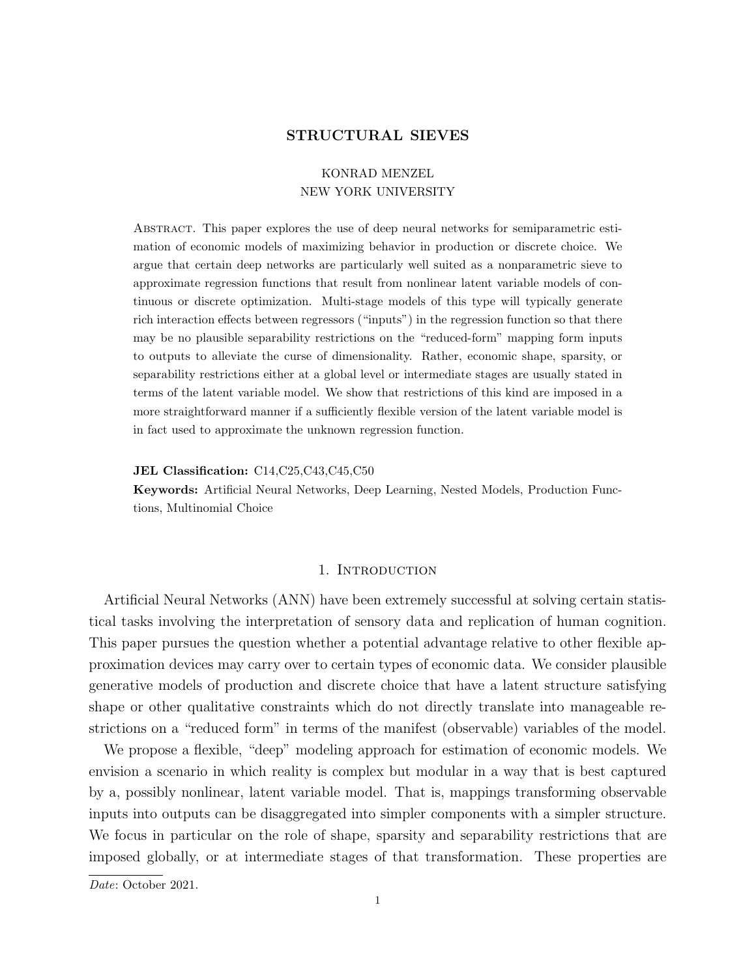## STRUCTURAL SIEVES

# KONRAD MENZEL NEW YORK UNIVERSITY

Abstract. This paper explores the use of deep neural networks for semiparametric estimation of economic models of maximizing behavior in production or discrete choice. We argue that certain deep networks are particularly well suited as a nonparametric sieve to approximate regression functions that result from nonlinear latent variable models of continuous or discrete optimization. Multi-stage models of this type will typically generate rich interaction effects between regressors ("inputs") in the regression function so that there may be no plausible separability restrictions on the "reduced-form" mapping form inputs to outputs to alleviate the curse of dimensionality. Rather, economic shape, sparsity, or separability restrictions either at a global level or intermediate stages are usually stated in terms of the latent variable model. We show that restrictions of this kind are imposed in a more straightforward manner if a sufficiently flexible version of the latent variable model is in fact used to approximate the unknown regression function.

#### JEL Classification: C14,C25,C43,C45,C50

Keywords: Artificial Neural Networks, Deep Learning, Nested Models, Production Functions, Multinomial Choice

## 1. Introduction

Artificial Neural Networks (ANN) have been extremely successful at solving certain statistical tasks involving the interpretation of sensory data and replication of human cognition. This paper pursues the question whether a potential advantage relative to other flexible approximation devices may carry over to certain types of economic data. We consider plausible generative models of production and discrete choice that have a latent structure satisfying shape or other qualitative constraints which do not directly translate into manageable restrictions on a "reduced form" in terms of the manifest (observable) variables of the model.

We propose a flexible, "deep" modeling approach for estimation of economic models. We envision a scenario in which reality is complex but modular in a way that is best captured by a, possibly nonlinear, latent variable model. That is, mappings transforming observable inputs into outputs can be disaggregated into simpler components with a simpler structure. We focus in particular on the role of shape, sparsity and separability restrictions that are imposed globally, or at intermediate stages of that transformation. These properties are

Date: October 2021.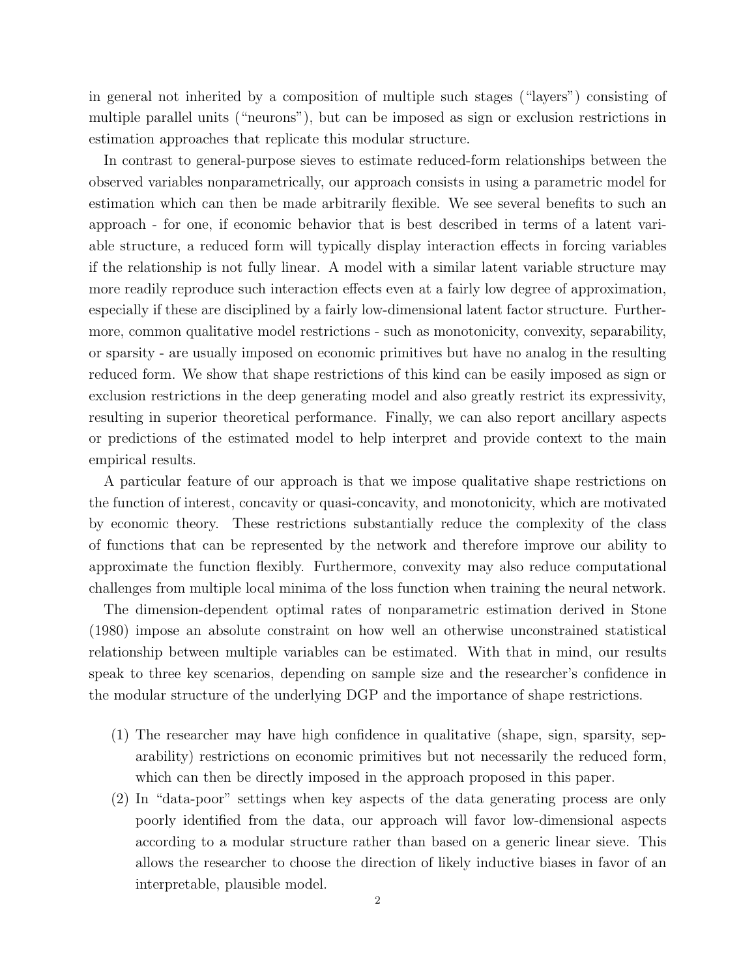in general not inherited by a composition of multiple such stages ("layers") consisting of multiple parallel units ("neurons"), but can be imposed as sign or exclusion restrictions in estimation approaches that replicate this modular structure.

In contrast to general-purpose sieves to estimate reduced-form relationships between the observed variables nonparametrically, our approach consists in using a parametric model for estimation which can then be made arbitrarily flexible. We see several benefits to such an approach - for one, if economic behavior that is best described in terms of a latent variable structure, a reduced form will typically display interaction effects in forcing variables if the relationship is not fully linear. A model with a similar latent variable structure may more readily reproduce such interaction effects even at a fairly low degree of approximation, especially if these are disciplined by a fairly low-dimensional latent factor structure. Furthermore, common qualitative model restrictions - such as monotonicity, convexity, separability, or sparsity - are usually imposed on economic primitives but have no analog in the resulting reduced form. We show that shape restrictions of this kind can be easily imposed as sign or exclusion restrictions in the deep generating model and also greatly restrict its expressivity, resulting in superior theoretical performance. Finally, we can also report ancillary aspects or predictions of the estimated model to help interpret and provide context to the main empirical results.

A particular feature of our approach is that we impose qualitative shape restrictions on the function of interest, concavity or quasi-concavity, and monotonicity, which are motivated by economic theory. These restrictions substantially reduce the complexity of the class of functions that can be represented by the network and therefore improve our ability to approximate the function flexibly. Furthermore, convexity may also reduce computational challenges from multiple local minima of the loss function when training the neural network.

The dimension-dependent optimal rates of nonparametric estimation derived in Stone (1980) impose an absolute constraint on how well an otherwise unconstrained statistical relationship between multiple variables can be estimated. With that in mind, our results speak to three key scenarios, depending on sample size and the researcher's confidence in the modular structure of the underlying DGP and the importance of shape restrictions.

- (1) The researcher may have high confidence in qualitative (shape, sign, sparsity, separability) restrictions on economic primitives but not necessarily the reduced form, which can then be directly imposed in the approach proposed in this paper.
- (2) In "data-poor" settings when key aspects of the data generating process are only poorly identified from the data, our approach will favor low-dimensional aspects according to a modular structure rather than based on a generic linear sieve. This allows the researcher to choose the direction of likely inductive biases in favor of an interpretable, plausible model.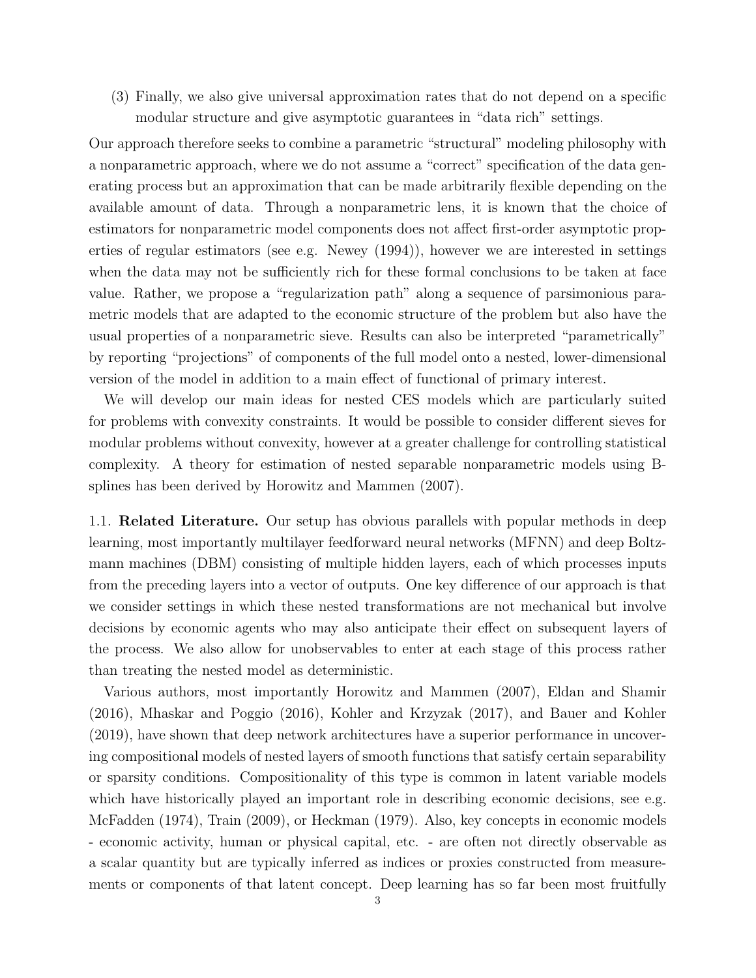(3) Finally, we also give universal approximation rates that do not depend on a specific modular structure and give asymptotic guarantees in "data rich" settings.

Our approach therefore seeks to combine a parametric "structural" modeling philosophy with a nonparametric approach, where we do not assume a "correct" specification of the data generating process but an approximation that can be made arbitrarily flexible depending on the available amount of data. Through a nonparametric lens, it is known that the choice of estimators for nonparametric model components does not affect first-order asymptotic properties of regular estimators (see e.g. Newey (1994)), however we are interested in settings when the data may not be sufficiently rich for these formal conclusions to be taken at face value. Rather, we propose a "regularization path" along a sequence of parsimonious parametric models that are adapted to the economic structure of the problem but also have the usual properties of a nonparametric sieve. Results can also be interpreted "parametrically" by reporting "projections" of components of the full model onto a nested, lower-dimensional version of the model in addition to a main effect of functional of primary interest.

We will develop our main ideas for nested CES models which are particularly suited for problems with convexity constraints. It would be possible to consider different sieves for modular problems without convexity, however at a greater challenge for controlling statistical complexity. A theory for estimation of nested separable nonparametric models using Bsplines has been derived by Horowitz and Mammen (2007).

1.1. Related Literature. Our setup has obvious parallels with popular methods in deep learning, most importantly multilayer feedforward neural networks (MFNN) and deep Boltzmann machines (DBM) consisting of multiple hidden layers, each of which processes inputs from the preceding layers into a vector of outputs. One key difference of our approach is that we consider settings in which these nested transformations are not mechanical but involve decisions by economic agents who may also anticipate their effect on subsequent layers of the process. We also allow for unobservables to enter at each stage of this process rather than treating the nested model as deterministic.

Various authors, most importantly Horowitz and Mammen (2007), Eldan and Shamir (2016), Mhaskar and Poggio (2016), Kohler and Krzyzak (2017), and Bauer and Kohler (2019), have shown that deep network architectures have a superior performance in uncovering compositional models of nested layers of smooth functions that satisfy certain separability or sparsity conditions. Compositionality of this type is common in latent variable models which have historically played an important role in describing economic decisions, see e.g. McFadden (1974), Train (2009), or Heckman (1979). Also, key concepts in economic models - economic activity, human or physical capital, etc. - are often not directly observable as a scalar quantity but are typically inferred as indices or proxies constructed from measurements or components of that latent concept. Deep learning has so far been most fruitfully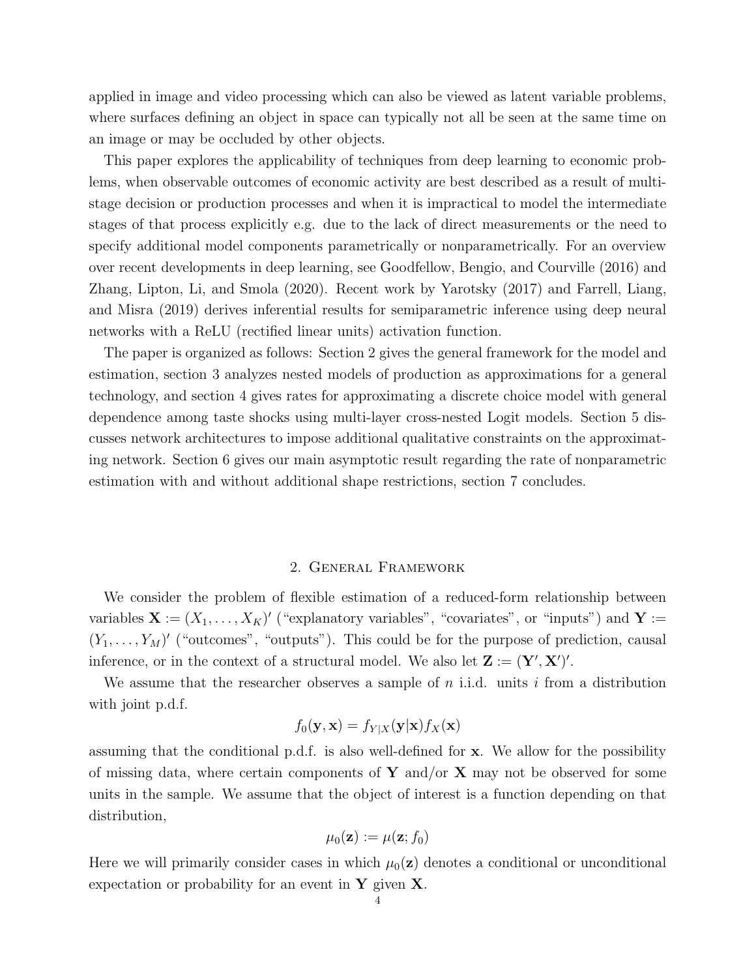applied in image and video processing which can also be viewed as latent variable problems, where surfaces defining an object in space can typically not all be seen at the same time on an image or may be occluded by other objects.

This paper explores the applicability of techniques from deep learning to economic problems, when observable outcomes of economic activity are best described as a result of multistage decision or production processes and when it is impractical to model the intermediate stages of that process explicitly e.g. due to the lack of direct measurements or the need to specify additional model components parametrically or nonparametrically. For an overview over recent developments in deep learning, see Goodfellow, Bengio, and Courville (2016) and Zhang, Lipton, Li, and Smola (2020). Recent work by Yarotsky (2017) and Farrell, Liang, and Misra (2019) derives inferential results for semiparametric inference using deep neural networks with a ReLU (rectified linear units) activation function.

The paper is organized as follows: Section 2 gives the general framework for the model and estimation, section 3 analyzes nested models of production as approximations for a general technology, and section 4 gives rates for approximating a discrete choice model with general dependence among taste shocks using multi-layer cross-nested Logit models. Section 5 discusses network architectures to impose additional qualitative constraints on the approximating network. Section 6 gives our main asymptotic result regarding the rate of nonparametric estimation with and without additional shape restrictions, section 7 concludes.

## 2. General Framework

We consider the problem of flexible estimation of a reduced-form relationship between variables  $\mathbf{X} := (X_1, \ldots, X_K)'$  ("explanatory variables", "covariates", or "inputs") and  $\mathbf{Y} :=$  $(Y_1, \ldots, Y_M)'$  ("outcomes", "outputs"). This could be for the purpose of prediction, causal inference, or in the context of a structural model. We also let  $\mathbf{Z} := (\mathbf{Y}', \mathbf{X}')'.$ 

We assume that the researcher observes a sample of  $n$  i.i.d. units  $i$  from a distribution with joint p.d.f.

$$
f_0(\mathbf{y}, \mathbf{x}) = f_{Y|X}(\mathbf{y}|\mathbf{x}) f_X(\mathbf{x})
$$

assuming that the conditional p.d.f. is also well-defined for x. We allow for the possibility of missing data, where certain components of Y and/or X may not be observed for some units in the sample. We assume that the object of interest is a function depending on that distribution,

$$
\mu_0(\mathbf{z}) := \mu(\mathbf{z}; f_0)
$$

Here we will primarily consider cases in which  $\mu_0(z)$  denotes a conditional or unconditional expectation or probability for an event in  $Y$  given  $X$ .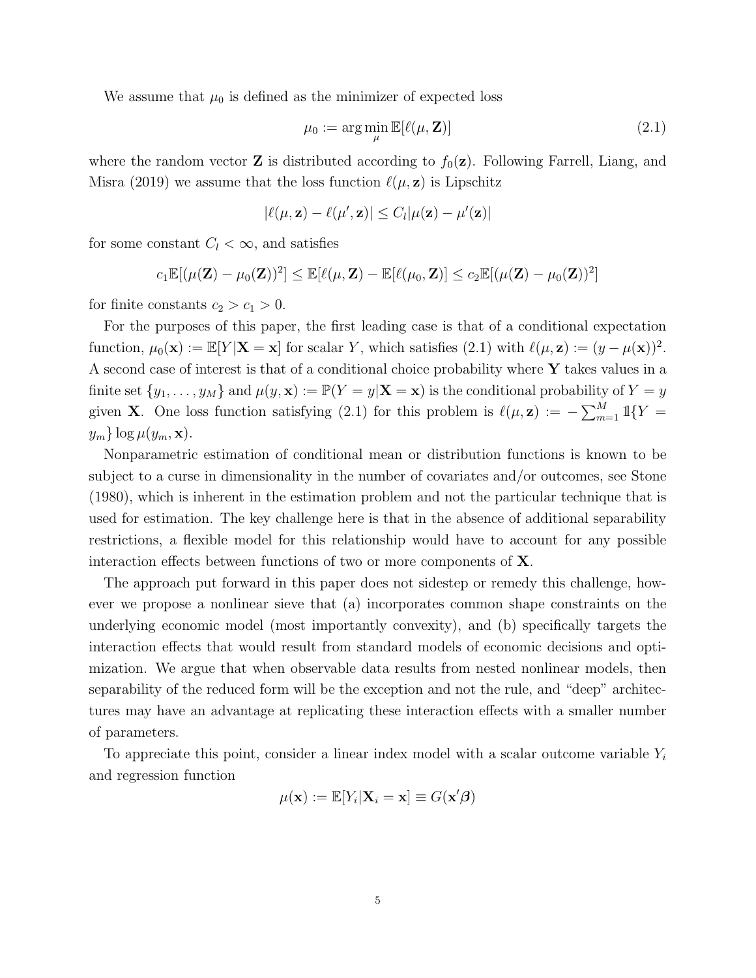We assume that  $\mu_0$  is defined as the minimizer of expected loss

$$
\mu_0 := \arg\min_{\mu} \mathbb{E}[\ell(\mu, \mathbf{Z})] \tag{2.1}
$$

where the random vector **Z** is distributed according to  $f_0(\mathbf{z})$ . Following Farrell, Liang, and Misra (2019) we assume that the loss function  $\ell(\mu, \mathbf{z})$  is Lipschitz

$$
|\ell(\mu, \mathbf{z}) - \ell(\mu', \mathbf{z})| \leq C_l |\mu(\mathbf{z}) - \mu'(\mathbf{z})|
$$

for some constant  $C_l < \infty$ , and satisfies

$$
c_1 \mathbb{E}[(\mu(\mathbf{Z}) - \mu_0(\mathbf{Z}))^2] \leq \mathbb{E}[\ell(\mu, \mathbf{Z}) - \mathbb{E}[\ell(\mu_0, \mathbf{Z})] \leq c_2 \mathbb{E}[(\mu(\mathbf{Z}) - \mu_0(\mathbf{Z}))^2]
$$

for finite constants  $c_2 > c_1 > 0$ .

For the purposes of this paper, the first leading case is that of a conditional expectation function,  $\mu_0(\mathbf{x}) := \mathbb{E}[Y|\mathbf{X} = \mathbf{x}]$  for scalar Y, which satisfies (2.1) with  $\ell(\mu, \mathbf{z}) := (y - \mu(\mathbf{x}))^2$ . A second case of interest is that of a conditional choice probability where  $\bf{Y}$  takes values in a finite set  $\{y_1, \ldots, y_M\}$  and  $\mu(y, \mathbf{x}) := \mathbb{P}(Y = y | \mathbf{X} = \mathbf{x})$  is the conditional probability of  $Y = y$ given **X**. One loss function satisfying (2.1) for this problem is  $\ell(\mu, \mathbf{z}) := -\sum_{m=1}^{M} \mathbb{1}\{Y =$  $y_m\}\log\mu(y_m,\mathbf{x}).$ 

Nonparametric estimation of conditional mean or distribution functions is known to be subject to a curse in dimensionality in the number of covariates and/or outcomes, see Stone (1980), which is inherent in the estimation problem and not the particular technique that is used for estimation. The key challenge here is that in the absence of additional separability restrictions, a flexible model for this relationship would have to account for any possible interaction effects between functions of two or more components of  $X$ .

The approach put forward in this paper does not sidestep or remedy this challenge, however we propose a nonlinear sieve that (a) incorporates common shape constraints on the underlying economic model (most importantly convexity), and (b) specifically targets the interaction effects that would result from standard models of economic decisions and optimization. We argue that when observable data results from nested nonlinear models, then separability of the reduced form will be the exception and not the rule, and "deep" architectures may have an advantage at replicating these interaction effects with a smaller number of parameters.

To appreciate this point, consider a linear index model with a scalar outcome variable  $Y_i$ and regression function

$$
\mu(\mathbf{x}) := \mathbb{E}[Y_i | \mathbf{X}_i = \mathbf{x}] \equiv G(\mathbf{x}'\boldsymbol{\beta})
$$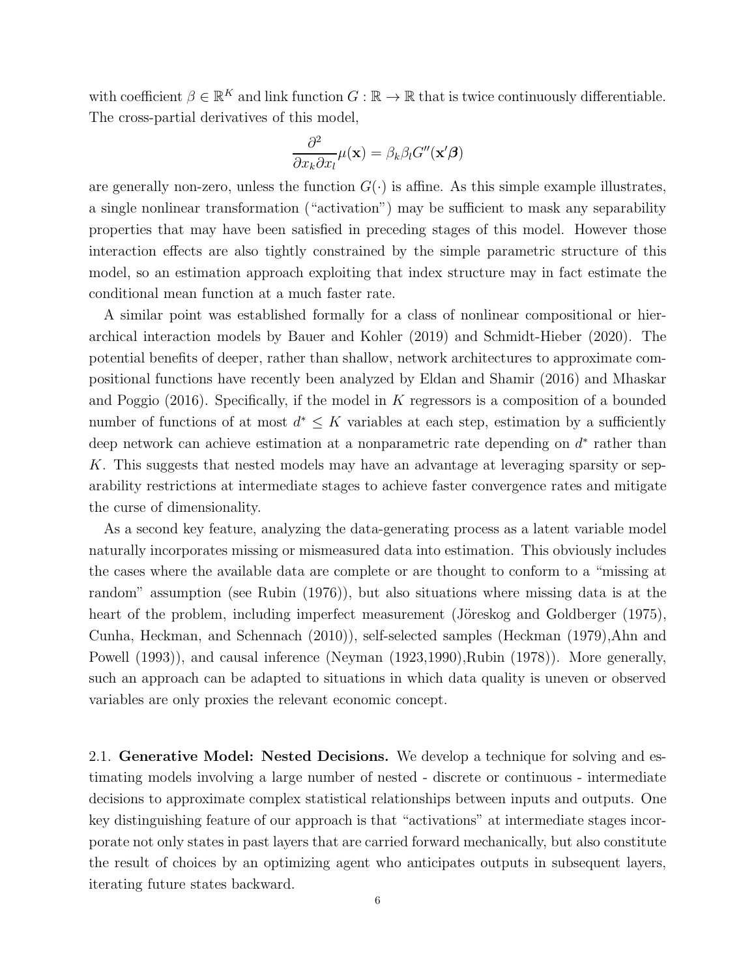with coefficient  $\beta \in \mathbb{R}^K$  and link function  $G : \mathbb{R} \to \mathbb{R}$  that is twice continuously differentiable. The cross-partial derivatives of this model,

$$
\frac{\partial^2}{\partial x_k \partial x_l} \mu(\mathbf{x}) = \beta_k \beta_l G''(\mathbf{x}' \boldsymbol{\beta})
$$

are generally non-zero, unless the function  $G(\cdot)$  is affine. As this simple example illustrates, a single nonlinear transformation ("activation") may be sufficient to mask any separability properties that may have been satisfied in preceding stages of this model. However those interaction effects are also tightly constrained by the simple parametric structure of this model, so an estimation approach exploiting that index structure may in fact estimate the conditional mean function at a much faster rate.

A similar point was established formally for a class of nonlinear compositional or hierarchical interaction models by Bauer and Kohler (2019) and Schmidt-Hieber (2020). The potential benefits of deeper, rather than shallow, network architectures to approximate compositional functions have recently been analyzed by Eldan and Shamir (2016) and Mhaskar and Poggio (2016). Specifically, if the model in K regressors is a composition of a bounded number of functions of at most  $d^* \leq K$  variables at each step, estimation by a sufficiently deep network can achieve estimation at a nonparametric rate depending on  $d^*$  rather than K. This suggests that nested models may have an advantage at leveraging sparsity or separability restrictions at intermediate stages to achieve faster convergence rates and mitigate the curse of dimensionality.

As a second key feature, analyzing the data-generating process as a latent variable model naturally incorporates missing or mismeasured data into estimation. This obviously includes the cases where the available data are complete or are thought to conform to a "missing at random" assumption (see Rubin (1976)), but also situations where missing data is at the heart of the problem, including imperfect measurement (Jöreskog and Goldberger (1975), Cunha, Heckman, and Schennach (2010)), self-selected samples (Heckman (1979),Ahn and Powell (1993)), and causal inference (Neyman (1923,1990), Rubin (1978)). More generally, such an approach can be adapted to situations in which data quality is uneven or observed variables are only proxies the relevant economic concept.

2.1. Generative Model: Nested Decisions. We develop a technique for solving and estimating models involving a large number of nested - discrete or continuous - intermediate decisions to approximate complex statistical relationships between inputs and outputs. One key distinguishing feature of our approach is that "activations" at intermediate stages incorporate not only states in past layers that are carried forward mechanically, but also constitute the result of choices by an optimizing agent who anticipates outputs in subsequent layers, iterating future states backward.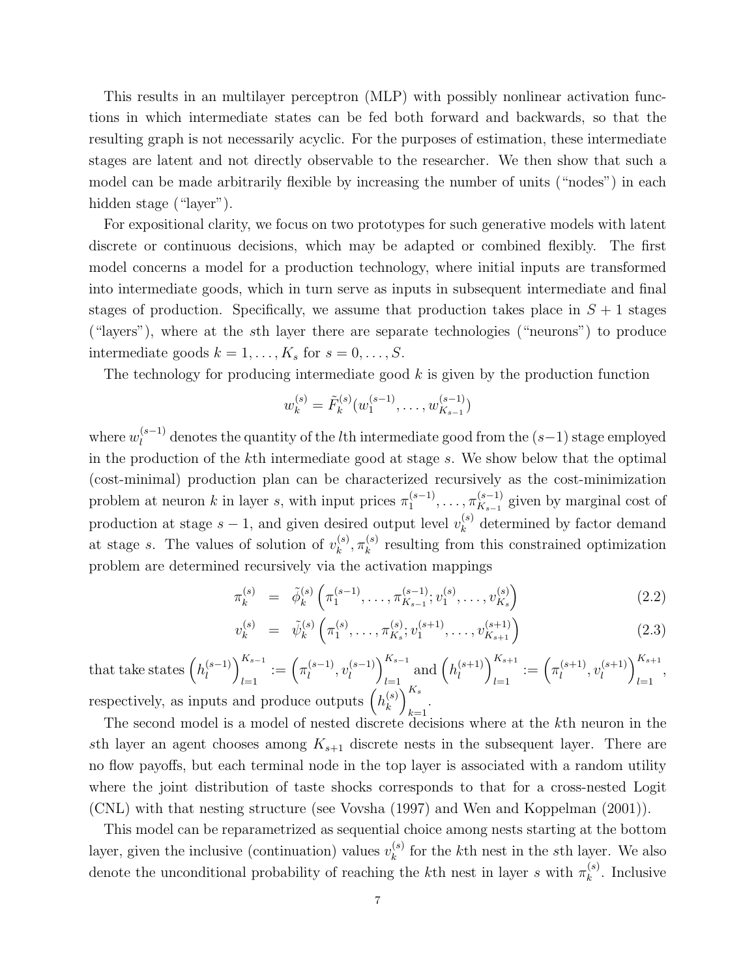This results in an multilayer perceptron (MLP) with possibly nonlinear activation functions in which intermediate states can be fed both forward and backwards, so that the resulting graph is not necessarily acyclic. For the purposes of estimation, these intermediate stages are latent and not directly observable to the researcher. We then show that such a model can be made arbitrarily flexible by increasing the number of units ("nodes") in each hidden stage ("layer").

For expositional clarity, we focus on two prototypes for such generative models with latent discrete or continuous decisions, which may be adapted or combined flexibly. The first model concerns a model for a production technology, where initial inputs are transformed into intermediate goods, which in turn serve as inputs in subsequent intermediate and final stages of production. Specifically, we assume that production takes place in  $S + 1$  stages ("layers"), where at the sth layer there are separate technologies ("neurons") to produce intermediate goods  $k = 1, \ldots, K_s$  for  $s = 0, \ldots, S$ .

The technology for producing intermediate good  $k$  is given by the production function

$$
w_k^{(s)} = \tilde{F}_k^{(s)}(w_1^{(s-1)}, \dots, w_{K_{s-1}}^{(s-1)})
$$

where  $w_l^{(s-1)}$  $\ell_i^{(s-1)}$  denotes the quantity of the *l*<sup>th</sup> intermediate good from the  $(s-1)$  stage employed in the production of the kth intermediate good at stage s. We show below that the optimal (cost-minimal) production plan can be characterized recursively as the cost-minimization problem at neuron k in layer s, with input prices  $\pi_1^{(s-1)}$  $\frac{(s-1)}{1}, \ldots, \pi_{K_{s-1}}^{(s-1)}$  $\frac{K_{s-1}}{K_{s-1}}$  given by marginal cost of production at stage  $s-1$ , and given desired output level  $v_k^{(s)}$  $k<sup>(s)</sup>$  determined by factor demand at stage s. The values of solution of  $v_k^{(s)}$  $_{k}^{(s)},\pi _{k}^{(s)}$  $\kappa_k^{(s)}$  resulting from this constrained optimization problem are determined recursively via the activation mappings

$$
\pi_k^{(s)} = \tilde{\phi}_k^{(s)} \left( \pi_1^{(s-1)}, \dots, \pi_{K_{s-1}}^{(s-1)}; v_1^{(s)}, \dots, v_{K_s}^{(s)} \right) \tag{2.2}
$$

$$
v_k^{(s)} = \tilde{\psi}_k^{(s)} \left( \pi_1^{(s)}, \dots, \pi_{K_s}^{(s)}; v_1^{(s+1)}, \dots, v_{K_{s+1}}^{(s+1)} \right)
$$
 (2.3)

that take states  $\left( h_l^{(s-1)} \right)$  $\binom{s-1}{l}$ <sub> $\sum_{l=1}^{K_{s-1}}$ </sub>  $\binom{n_{s-1}}{l=1} := \left( \pi_l^{(s-1)} \right)$  $\iota^{(s-1)}$ ,  $v_l^{(s-1)}$  $\binom{s-1}{l}$ <sub> $\sum_{l=1}^{K_{s-1}}$ </sub>  $\prod_{l=1}^{N_{s-1}}$  and  $\left(h_l^{(s+1)}\right)$  $\binom{s+1}{l}\}_{l=1}^{K_{s+1}}$  $\sum_{l=1}^{K_{s+1}} := \left( \pi_l^{(s+1)} \right)$  $l^{(s+1)}$ ,  $v_l^{(s+1)}$  $\binom{s+1}{l}$ <sub> $\sum_{l=1}^{K_{s+1}}$ </sub>  $\begin{matrix} l=1 \end{matrix}$ , respectively, as inputs and produce outputs  $\left(h_k^{(s)}\right)$  $\binom{(s)}{k}_{l}^{K_{s}}$  $\sum_{k=1}$ 

The second model is a model of nested discrete decisions where at the kth neuron in the sth layer an agent chooses among  $K_{s+1}$  discrete nests in the subsequent layer. There are no flow payoffs, but each terminal node in the top layer is associated with a random utility where the joint distribution of taste shocks corresponds to that for a cross-nested Logit (CNL) with that nesting structure (see Vovsha (1997) and Wen and Koppelman (2001)).

This model can be reparametrized as sequential choice among nests starting at the bottom layer, given the inclusive (continuation) values  $v_k^{(s)}$  $\binom{s}{k}$  for the k<sup>th</sup> nest in the sth layer. We also denote the unconditional probability of reaching the k<sup>th</sup> nest in layer s with  $\pi_k^{(s)}$  $k^{(s)}$ . Inclusive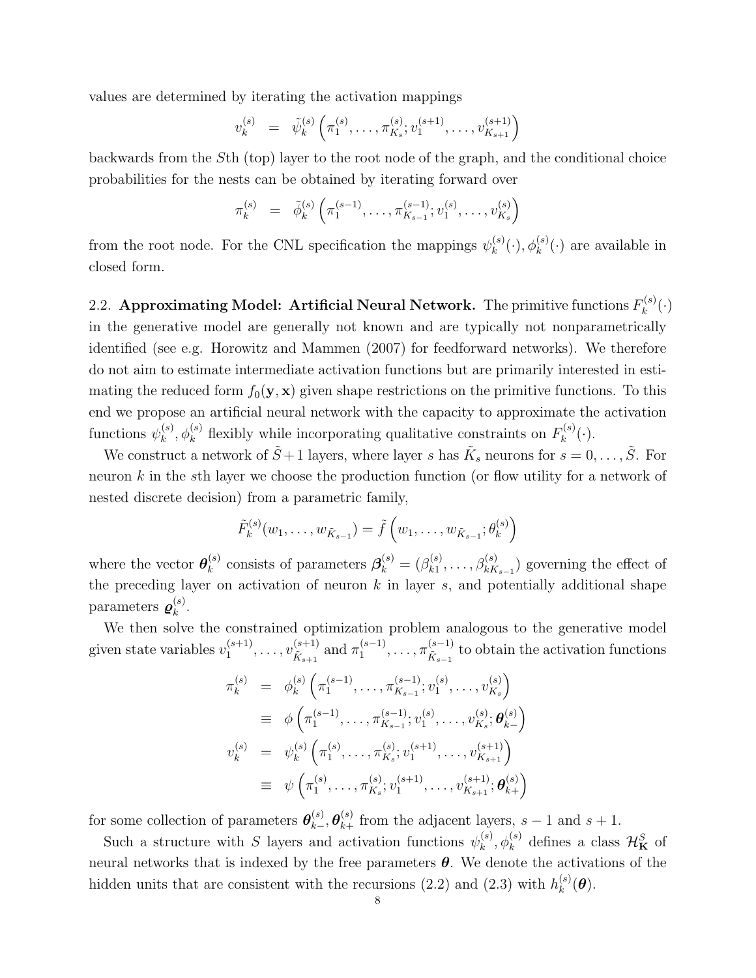values are determined by iterating the activation mappings

$$
v_k^{(s)} = \tilde{\psi}_k^{(s)} \left( \pi_1^{(s)}, \ldots, \pi_{K_s}^{(s)}; v_1^{(s+1)}, \ldots, v_{K_{s+1}}^{(s+1)} \right)
$$

backwards from the Sth (top) layer to the root node of the graph, and the conditional choice probabilities for the nests can be obtained by iterating forward over

$$
\pi_k^{(s)} = \tilde{\phi}_k^{(s)} \left( \pi_1^{(s-1)}, \dots, \pi_{K_{s-1}}^{(s-1)}; v_1^{(s)}, \dots, v_{K_s}^{(s)} \right)
$$

from the root node. For the CNL specification the mappings  $\psi_k^{(s)}$  $k^{(s)}(·), \phi_k^{(s)}(·)$  are available in closed form.

2.2. Approximating Model: Artificial Neural Network. The primitive functions  $F_k^{(s)}$  $\binom{k}{k}(\cdot)$ in the generative model are generally not known and are typically not nonparametrically identified (see e.g. Horowitz and Mammen (2007) for feedforward networks). We therefore do not aim to estimate intermediate activation functions but are primarily interested in estimating the reduced form  $f_0(\mathbf{y}, \mathbf{x})$  given shape restrictions on the primitive functions. To this end we propose an artificial neural network with the capacity to approximate the activation functions  $\psi_k^{(s)}$  $k^{(s)}_k$ ,  $\phi_k^{(s)}$  flexibly while incorporating qualitative constraints on  $F_k^{(s)}$  $\binom{n(s)}{k}(\cdot).$ 

We construct a network of  $\tilde{S}+1$  layers, where layer s has  $\tilde{K}_s$  neurons for  $s=0,\ldots,\tilde{S}$ . For neuron k in the sth layer we choose the production function (or flow utility for a network of nested discrete decision) from a parametric family,

$$
\tilde{F}_k^{(s)}(w_1, \ldots, w_{\tilde{K}_{s-1}}) = \tilde{f}(w_1, \ldots, w_{\tilde{K}_{s-1}}; \theta_k^{(s)})
$$

where the vector  $\boldsymbol{\theta}_k^{(s)}$  $\mathcal{B}_k^{(s)}$  consists of parameters  $\mathcal{B}_k^{(s)} = (\beta_{k1}^{(s)})$  $\chi_{k1}^{(s)}, \ldots, \beta_{kK_{s-1}}^{(s)}$  governing the effect of the preceding layer on activation of neuron  $k$  in layer  $s$ , and potentially additional shape parameters  $\boldsymbol{\varrho}_k^{(s)}$  $\frac{(s)}{k}$ .

We then solve the constrained optimization problem analogous to the generative model given state variables  $v_1^{(s+1)}$  $v_{\tilde K_{s+1}}^{(s+1)}, \ldots, v_{\tilde K_{s+1}}^{(s+1)}$  $\frac{(s+1)}{\tilde{K}_{s+1}}$  and  $\pi_1^{(s-1)}$  $\pi_1^{(s-1)}, \ldots, \pi_{\tilde{K}_{s-1}}^{(s-1)}$  $K_{s-1}^{(s-1)}$  to obtain the activation functions

$$
\pi_k^{(s)} = \phi_k^{(s)} \left( \pi_1^{(s-1)}, \dots, \pi_{K_{s-1}}^{(s-1)}; v_1^{(s)}, \dots, v_{K_s}^{(s)} \right)
$$
\n
$$
\equiv \phi \left( \pi_1^{(s-1)}, \dots, \pi_{K_{s-1}}^{(s-1)}; v_1^{(s)}, \dots, v_{K_s}^{(s)}; \boldsymbol{\theta}_{k-}^{(s)} \right)
$$
\n
$$
v_k^{(s)} = \psi_k^{(s)} \left( \pi_1^{(s)}, \dots, \pi_{K_s}^{(s)}; v_1^{(s+1)}, \dots, v_{K_{s+1}}^{(s+1)} \right)
$$
\n
$$
\equiv \psi \left( \pi_1^{(s)}, \dots, \pi_{K_s}^{(s)}; v_1^{(s+1)}, \dots, v_{K_{s+1}}^{(s+1)}; \boldsymbol{\theta}_{k+}^{(s)} \right)
$$

for some collection of parameters  $\boldsymbol{\theta}_{k-}^{(s)}$  $_{k-}^{(s)},\boldsymbol{\theta}_{k+}^{(s)}$  $\binom{s}{k+}$  from the adjacent layers,  $s-1$  and  $s+1$ .

Such a structure with S layers and activation functions  $\psi_k^{(s)}$  $\mathcal{H}_{k}^{(s)}$ ,  $\phi_{k}^{(s)}$  defines a class  $\mathcal{H}_{\mathbf{K}}^{S}$  of neural networks that is indexed by the free parameters  $\theta$ . We denote the activations of the hidden units that are consistent with the recursions (2.2) and (2.3) with  $h_k^{(s)}$  $_k^{\scriptscriptstyle (S)}(\boldsymbol{\theta}).$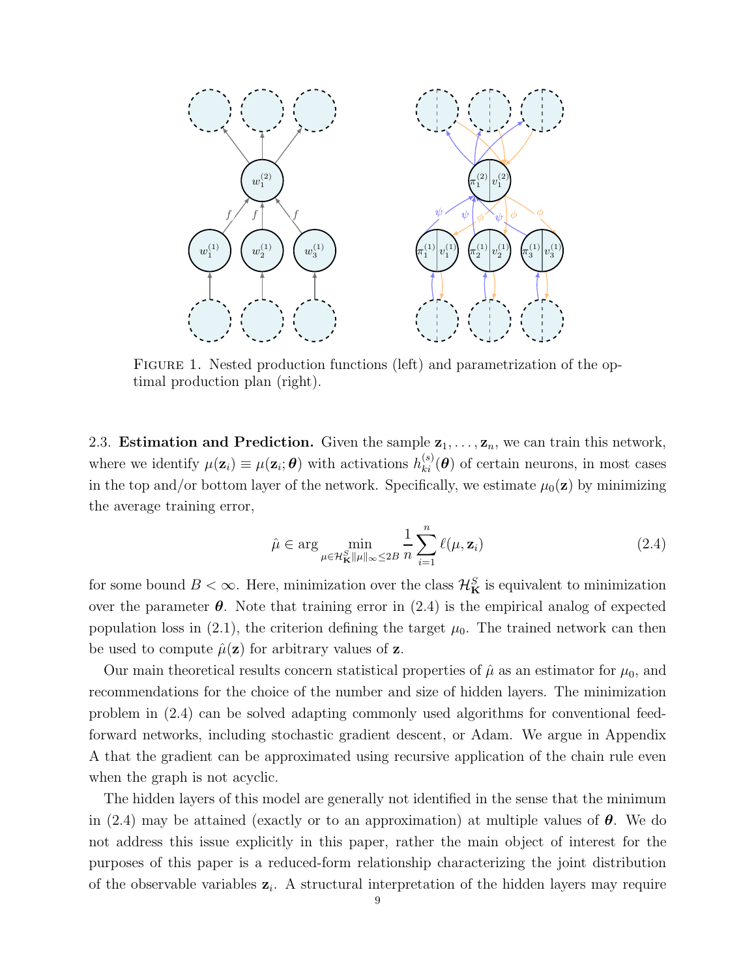

FIGURE 1. Nested production functions (left) and parametrization of the optimal production plan (right).

2.3. **Estimation and Prediction.** Given the sample  $z_1, \ldots, z_n$ , we can train this network, where we identify  $\mu(\mathbf{z}_i) \equiv \mu(\mathbf{z}_i; \boldsymbol{\theta})$  with activations  $h_{ki}^{(s)}(\boldsymbol{\theta})$  of certain neurons, in most cases in the top and/or bottom layer of the network. Specifically, we estimate  $\mu_0(\mathbf{z})$  by minimizing the average training error,

$$
\hat{\mu} \in \arg\min_{\mu \in \mathcal{H}_{\mathbf{K}}^S \|\mu\|_{\infty} \le 2B} \frac{1}{n} \sum_{i=1}^n \ell(\mu, \mathbf{z}_i)
$$
\n(2.4)

for some bound  $B < \infty$ . Here, minimization over the class  $\mathcal{H}_{\mathbf{K}}^S$  is equivalent to minimization over the parameter  $\theta$ . Note that training error in (2.4) is the empirical analog of expected population loss in (2.1), the criterion defining the target  $\mu_0$ . The trained network can then be used to compute  $\hat{\mu}(\mathbf{z})$  for arbitrary values of **z**.

Our main theoretical results concern statistical properties of  $\hat{\mu}$  as an estimator for  $\mu_0$ , and recommendations for the choice of the number and size of hidden layers. The minimization problem in (2.4) can be solved adapting commonly used algorithms for conventional feedforward networks, including stochastic gradient descent, or Adam. We argue in Appendix A that the gradient can be approximated using recursive application of the chain rule even when the graph is not acyclic.

The hidden layers of this model are generally not identified in the sense that the minimum in (2.4) may be attained (exactly or to an approximation) at multiple values of  $\theta$ . We do not address this issue explicitly in this paper, rather the main object of interest for the purposes of this paper is a reduced-form relationship characterizing the joint distribution of the observable variables  $z_i$ . A structural interpretation of the hidden layers may require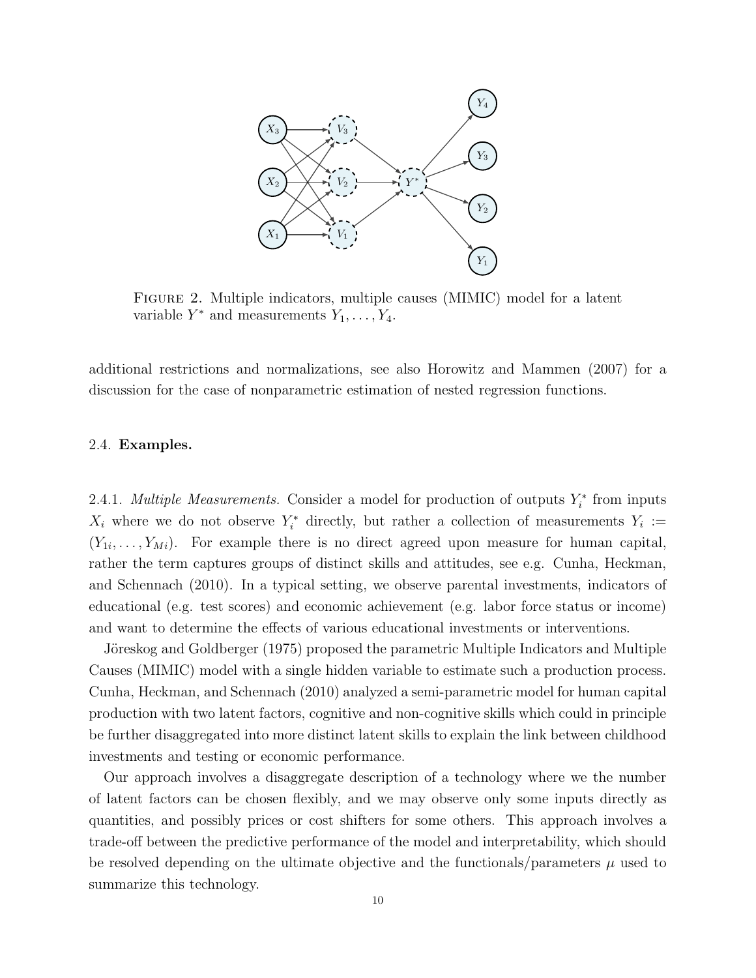

Figure 2. Multiple indicators, multiple causes (MIMIC) model for a latent variable  $Y^*$  and measurements  $Y_1, \ldots, Y_4$ .

additional restrictions and normalizations, see also Horowitz and Mammen (2007) for a discussion for the case of nonparametric estimation of nested regression functions.

#### 2.4. Examples.

2.4.1. *Multiple Measurements*. Consider a model for production of outputs  $Y_i^*$  from inputs  $X_i$  where we do not observe  $Y_i^*$  directly, but rather a collection of measurements  $Y_i :=$  $(Y_{1i}, \ldots, Y_{Mi})$ . For example there is no direct agreed upon measure for human capital, rather the term captures groups of distinct skills and attitudes, see e.g. Cunha, Heckman, and Schennach (2010). In a typical setting, we observe parental investments, indicators of educational (e.g. test scores) and economic achievement (e.g. labor force status or income) and want to determine the effects of various educational investments or interventions.

Jöreskog and Goldberger (1975) proposed the parametric Multiple Indicators and Multiple Causes (MIMIC) model with a single hidden variable to estimate such a production process. Cunha, Heckman, and Schennach (2010) analyzed a semi-parametric model for human capital production with two latent factors, cognitive and non-cognitive skills which could in principle be further disaggregated into more distinct latent skills to explain the link between childhood investments and testing or economic performance.

Our approach involves a disaggregate description of a technology where we the number of latent factors can be chosen flexibly, and we may observe only some inputs directly as quantities, and possibly prices or cost shifters for some others. This approach involves a trade-off between the predictive performance of the model and interpretability, which should be resolved depending on the ultimate objective and the functionals/parameters  $\mu$  used to summarize this technology.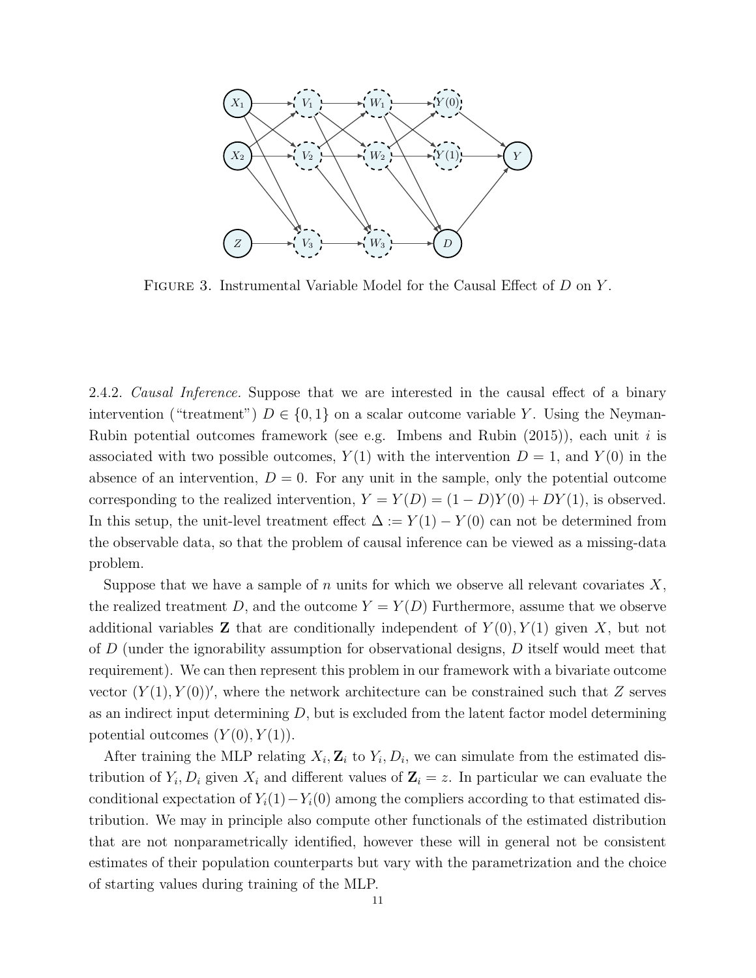

FIGURE 3. Instrumental Variable Model for the Causal Effect of D on Y.

2.4.2. *Causal Inference*. Suppose that we are interested in the causal effect of a binary intervention ("treatment")  $D \in \{0,1\}$  on a scalar outcome variable Y. Using the Neyman-Rubin potential outcomes framework (see e.g. Imbens and Rubin  $(2015)$ ), each unit i is associated with two possible outcomes,  $Y(1)$  with the intervention  $D = 1$ , and  $Y(0)$  in the absence of an intervention,  $D = 0$ . For any unit in the sample, only the potential outcome corresponding to the realized intervention,  $Y = Y(D) = (1 - D)Y(0) + DY(1)$ , is observed. In this setup, the unit-level treatment effect  $\Delta := Y(1) - Y(0)$  can not be determined from the observable data, so that the problem of causal inference can be viewed as a missing-data problem.

Suppose that we have a sample of n units for which we observe all relevant covariates  $X$ , the realized treatment D, and the outcome  $Y = Y(D)$  Furthermore, assume that we observe additional variables **Z** that are conditionally independent of  $Y(0), Y(1)$  given X, but not of D (under the ignorability assumption for observational designs, D itself would meet that requirement). We can then represent this problem in our framework with a bivariate outcome vector  $(Y(1), Y(0))'$ , where the network architecture can be constrained such that Z serves as an indirect input determining  $D$ , but is excluded from the latent factor model determining potential outcomes  $(Y(0), Y(1))$ .

After training the MLP relating  $X_i$ ,  $\mathbf{Z}_i$  to  $Y_i$ ,  $D_i$ , we can simulate from the estimated distribution of  $Y_i, D_i$  given  $X_i$  and different values of  $\mathbf{Z}_i = z$ . In particular we can evaluate the conditional expectation of  $Y_i(1)-Y_i(0)$  among the compliers according to that estimated distribution. We may in principle also compute other functionals of the estimated distribution that are not nonparametrically identified, however these will in general not be consistent estimates of their population counterparts but vary with the parametrization and the choice of starting values during training of the MLP.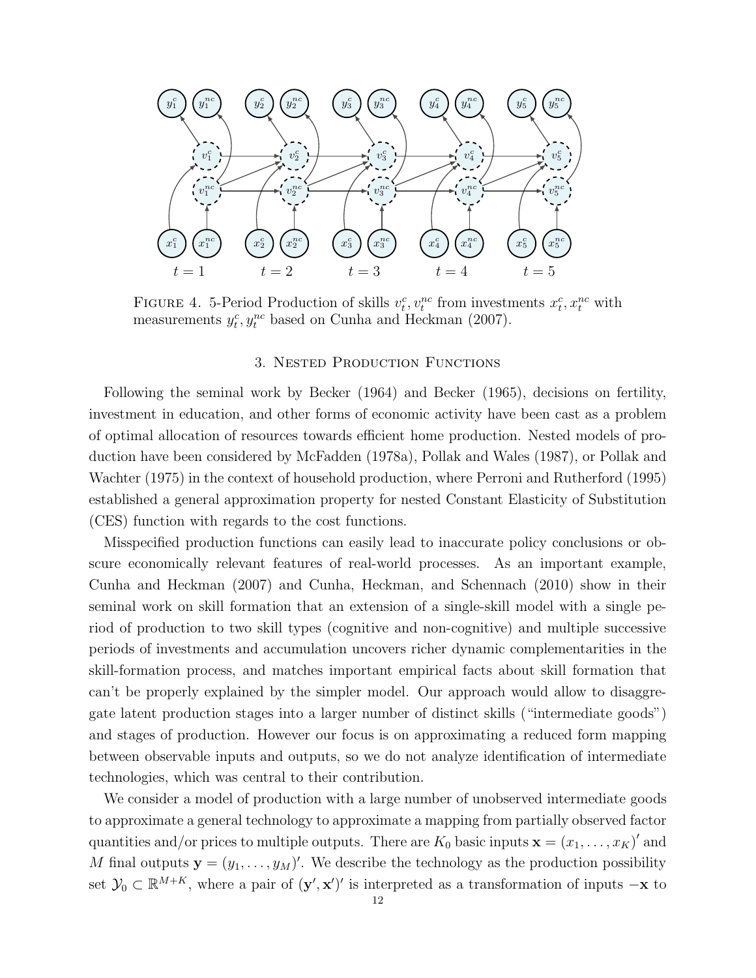

FIGURE 4. 5-Period Production of skills  $v_t^c, v_t^{nc}$  from investments  $x_t^c, x_t^{nc}$  with measurements  $y_t^c, y_t^{nc}$  based on Cunha and Heckman (2007).

## 3. Nested Production Functions

Following the seminal work by Becker (1964) and Becker (1965), decisions on fertility, investment in education, and other forms of economic activity have been cast as a problem of optimal allocation of resources towards efficient home production. Nested models of production have been considered by McFadden (1978a), Pollak and Wales (1987), or Pollak and Wachter (1975) in the context of household production, where Perroni and Rutherford (1995) established a general approximation property for nested Constant Elasticity of Substitution (CES) function with regards to the cost functions.

Misspecified production functions can easily lead to inaccurate policy conclusions or obscure economically relevant features of real-world processes. As an important example, Cunha and Heckman (2007) and Cunha, Heckman, and Schennach (2010) show in their seminal work on skill formation that an extension of a single-skill model with a single period of production to two skill types (cognitive and non-cognitive) and multiple successive periods of investments and accumulation uncovers richer dynamic complementarities in the skill-formation process, and matches important empirical facts about skill formation that can't be properly explained by the simpler model. Our approach would allow to disaggregate latent production stages into a larger number of distinct skills ("intermediate goods") and stages of production. However our focus is on approximating a reduced form mapping between observable inputs and outputs, so we do not analyze identification of intermediate technologies, which was central to their contribution.

We consider a model of production with a large number of unobserved intermediate goods to approximate a general technology to approximate a mapping from partially observed factor quantities and/or prices to multiple outputs. There are  $K_0$  basic inputs  $\mathbf{x} = (x_1, \ldots, x_K)'$  and M final outputs  $y = (y_1, \ldots, y_M)'$ . We describe the technology as the production possibility set  $\mathcal{Y}_0 \subset \mathbb{R}^{M+K}$ , where a pair of  $(\mathbf{y}', \mathbf{x}')'$  is interpreted as a transformation of inputs  $-\mathbf{x}$  to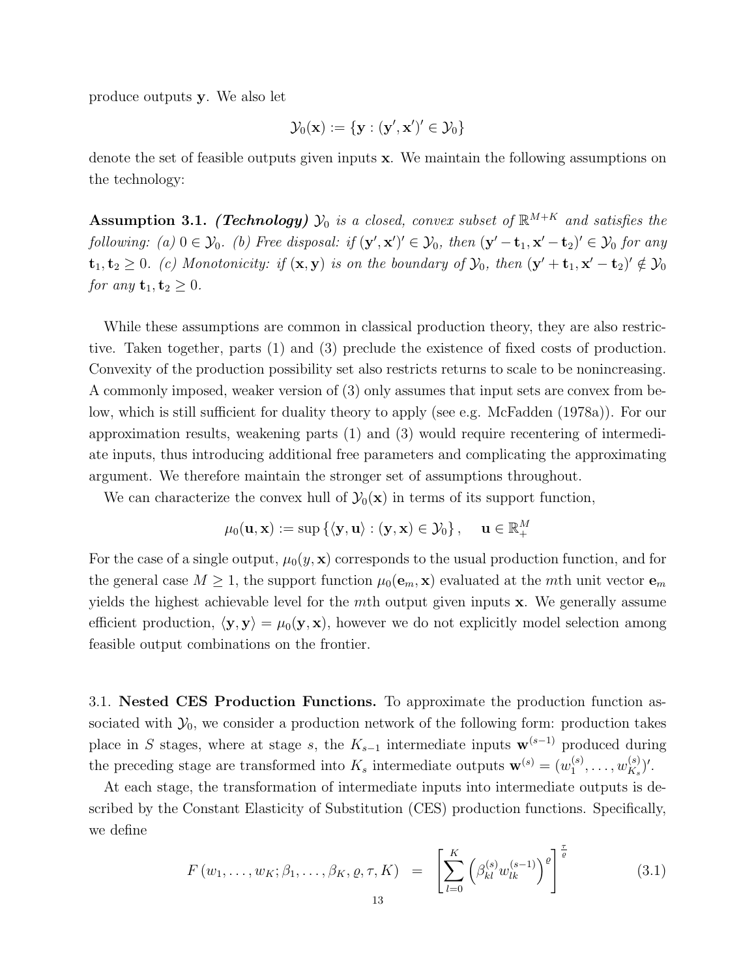produce outputs y. We also let

$$
\mathcal{Y}_0(\mathbf{x}) := \{\mathbf{y} : (\mathbf{y}', \mathbf{x}')' \in \mathcal{Y}_0\}
$$

denote the set of feasible outputs given inputs x. We maintain the following assumptions on the technology:

**Assumption 3.1.** (Technology)  $\mathcal{Y}_0$  is a closed, convex subset of  $\mathbb{R}^{M+K}$  and satisfies the following: (a)  $0 \in \mathcal{Y}_0$ . (b) Free disposal: if  $(\mathbf{y}', \mathbf{x}')' \in \mathcal{Y}_0$ , then  $(\mathbf{y}' - \mathbf{t}_1, \mathbf{x}' - \mathbf{t}_2)' \in \mathcal{Y}_0$  for any  $\mathbf{t}_1, \mathbf{t}_2 \geq 0$ . (c) Monotonicity: if  $(\mathbf{x}, \mathbf{y})$  is on the boundary of  $\mathcal{Y}_0$ , then  $(\mathbf{y}' + \mathbf{t}_1, \mathbf{x}' - \mathbf{t}_2)' \notin \mathcal{Y}_0$ for any  $\mathbf{t}_1, \mathbf{t}_2 \geq 0$ .

While these assumptions are common in classical production theory, they are also restrictive. Taken together, parts (1) and (3) preclude the existence of fixed costs of production. Convexity of the production possibility set also restricts returns to scale to be nonincreasing. A commonly imposed, weaker version of (3) only assumes that input sets are convex from below, which is still sufficient for duality theory to apply (see e.g. McFadden (1978a)). For our approximation results, weakening parts (1) and (3) would require recentering of intermediate inputs, thus introducing additional free parameters and complicating the approximating argument. We therefore maintain the stronger set of assumptions throughout.

We can characterize the convex hull of  $\mathcal{Y}_0(\mathbf{x})$  in terms of its support function,

$$
\mu_0(\mathbf{u}, \mathbf{x}) := \sup \left\{ \langle \mathbf{y}, \mathbf{u} \rangle : (\mathbf{y}, \mathbf{x}) \in \mathcal{Y}_0 \right\}, \quad \mathbf{u} \in \mathbb{R}_+^M
$$

For the case of a single output,  $\mu_0(y, x)$  corresponds to the usual production function, and for the general case  $M \geq 1$ , the support function  $\mu_0(\mathbf{e}_m, \mathbf{x})$  evaluated at the mth unit vector  $\mathbf{e}_m$ yields the highest achievable level for the mth output given inputs  $x$ . We generally assume efficient production,  $\langle y, y \rangle = \mu_0(y, x)$ , however we do not explicitly model selection among feasible output combinations on the frontier.

3.1. Nested CES Production Functions. To approximate the production function associated with  $\mathcal{Y}_0$ , we consider a production network of the following form: production takes place in S stages, where at stage s, the  $K_{s-1}$  intermediate inputs  $\mathbf{w}^{(s-1)}$  produced during the preceding stage are transformed into  $K_s$  intermediate outputs  $\mathbf{w}^{(s)} = (w_1^{(s)})$  $\binom{s}{1},\ldots,w_{K_s}^{(s)}$  $\binom{(s)}{K_s}$ .

At each stage, the transformation of intermediate inputs into intermediate outputs is described by the Constant Elasticity of Substitution (CES) production functions. Specifically, we define

$$
F(w_1, \ldots, w_K; \beta_1, \ldots, \beta_K, \varrho, \tau, K) = \left[ \sum_{l=0}^K \left( \beta_{kl}^{(s)} w_{lk}^{(s-1)} \right)^{\varrho} \right]^{\frac{\tau}{\varrho}}
$$
(3.1)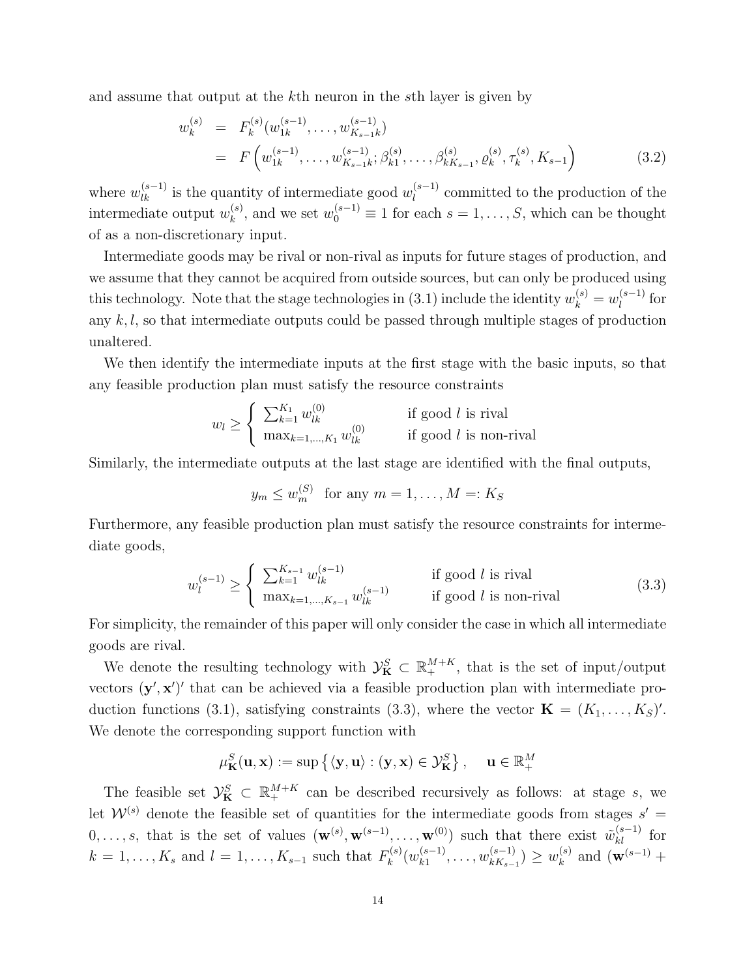and assume that output at the kth neuron in the sth layer is given by

$$
w_k^{(s)} = F_k^{(s)}(w_{1k}^{(s-1)}, \dots, w_{K_{s-1}k}^{(s-1)})
$$
  
=  $F(w_{1k}^{(s-1)}, \dots, w_{K_{s-1}k}^{(s-1)}; \beta_{k1}^{(s)}, \dots, \beta_{kK_{s-1}}^{(s)}, \varrho_k^{(s)}, \tau_k^{(s)}, K_{s-1})$  (3.2)

where  $w_{lk}^{(s-1)}$  is the quantity of intermediate good  $w_l^{(s-1)}$  $\binom{s-1}{l}$  committed to the production of the intermediate output  $w_k^{(s)}$  $\mathbf{w}_k^{(s)}$ , and we set  $w_0^{(s-1)} \equiv 1$  for each  $s = 1, \ldots, S$ , which can be thought of as a non-discretionary input.

Intermediate goods may be rival or non-rival as inputs for future stages of production, and we assume that they cannot be acquired from outside sources, but can only be produced using this technology. Note that the stage technologies in (3.1) include the identity  $w_k^{(s)} = w_l^{(s-1)}$  $\int_l^{(s-1)}$  for any  $k, l$ , so that intermediate outputs could be passed through multiple stages of production unaltered.

We then identify the intermediate inputs at the first stage with the basic inputs, so that any feasible production plan must satisfy the resource constraints

$$
w_l \ge \begin{cases} \sum_{k=1}^{K_1} w_{lk}^{(0)} & \text{if good } l \text{ is rival} \\ \max_{k=1,\dots,K_1} w_{lk}^{(0)} & \text{if good } l \text{ is non-rival} \end{cases}
$$

Similarly, the intermediate outputs at the last stage are identified with the final outputs,

$$
y_m \le w_m^{(S)} \quad \text{for any } m = 1, \dots, M =: K_S
$$

Furthermore, any feasible production plan must satisfy the resource constraints for intermediate goods,

$$
w_l^{(s-1)} \ge \begin{cases} \sum_{k=1}^{K_{s-1}} w_{lk}^{(s-1)} & \text{if good } l \text{ is rival} \\ \max_{k=1,\dots,K_{s-1}} w_{lk}^{(s-1)} & \text{if good } l \text{ is non-rival} \end{cases} \tag{3.3}
$$

For simplicity, the remainder of this paper will only consider the case in which all intermediate goods are rival.

We denote the resulting technology with  $\mathcal{Y}_{\mathbf{K}}^{S} \subset \mathbb{R}_{+}^{M+K}$ , that is the set of input/output vectors  $(y', x')'$  that can be achieved via a feasible production plan with intermediate production functions (3.1), satisfying constraints (3.3), where the vector  $\mathbf{K} = (K_1, \ldots, K_S)'$ . We denote the corresponding support function with

$$
\mu_{\mathbf{K}}^{S}(\mathbf{u}, \mathbf{x}) := \sup \left\{ \langle \mathbf{y}, \mathbf{u} \rangle : (\mathbf{y}, \mathbf{x}) \in \mathcal{Y}_{\mathbf{K}}^{S} \right\}, \quad \mathbf{u} \in \mathbb{R}_{+}^{M}
$$

The feasible set  $\mathcal{Y}_{\mathbf{K}}^{S} \subset \mathbb{R}_{+}^{M+K}$  can be described recursively as follows: at stage s, we let  $W^{(s)}$  denote the feasible set of quantities for the intermediate goods from stages  $s' =$  $0,\ldots,s$ , that is the set of values  $(\mathbf{w}^{(s)},\mathbf{w}^{(s-1)},\ldots,\mathbf{w}^{(0)})$  such that there exist  $\tilde{w}_{kl}^{(s-1)}$  for  $k = 1, \ldots, K_s$  and  $l = 1, \ldots, K_{s-1}$  such that  $F_k^{(s)}$  $\chi_k^{(s)}(w_{k1}^{(s-1)})$  $\binom{(s-1)}{k1}, \ldots, w_{kK_{s-1}}^{(s-1)}$  $\binom{(s-1)}{k_{k-1}} \geq w_k^{(s)}$  $\mathbf{R}_{k}^{(s)}$  and  $(\mathbf{w}^{(s-1)} +$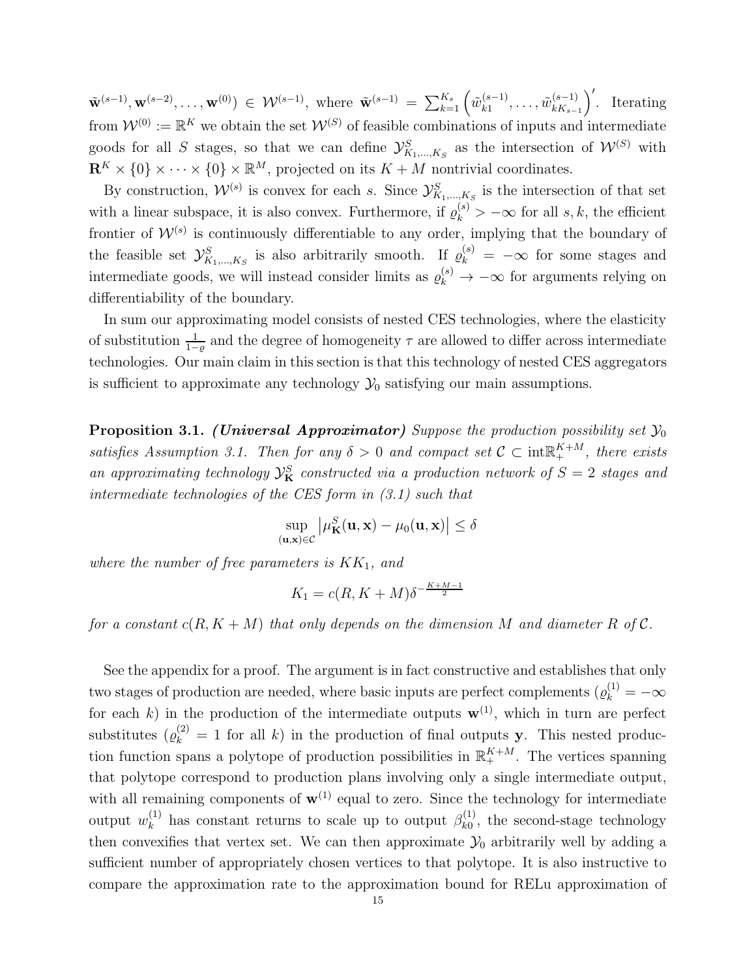$\tilde{\mathbf{w}}^{(s-1)}, \mathbf{w}^{(s-2)}, \dots, \mathbf{w}^{(0)}$   $\in \mathcal{W}^{(s-1)}, \text{ where } \tilde{\mathbf{w}}^{(s-1)} = \sum_{k=1}^{K_s} \left( \tilde{w}_{k1}^{(s-1)} \right)$  $\tilde{w}_{k1}^{(s-1)}, \ldots, \tilde{w}_{kK_{s-1}}^{(s-1)}$  $\binom{(s-1)}{kK_{s-1}}'$ . Iterating from  $\mathcal{W}^{(0)} := \mathbb{R}^K$  we obtain the set  $\mathcal{W}^{(S)}$  of feasible combinations of inputs and intermediate goods for all S stages, so that we can define  $\mathcal{Y}^S_{K_1,\dots,K_S}$  as the intersection of  $\mathcal{W}^{(S)}$  with  $\mathbf{R}^K \times \{0\} \times \cdots \times \{0\} \times \mathbb{R}^M$ , projected on its  $K + M$  nontrivial coordinates.

By construction,  $W^{(s)}$  is convex for each s. Since  $\mathcal{Y}^{S}_{K_1,...,K_S}$  is the intersection of that set with a linear subspace, it is also convex. Furthermore, if  $\varrho_k^{(s)} > -\infty$  for all s, k, the efficient frontier of  $W^{(s)}$  is continuously differentiable to any order, implying that the boundary of the feasible set  $\mathcal{Y}_{K_1,\dots,K_S}^S$  is also arbitrarily smooth. If  $\varrho_k^{(s)} = -\infty$  for some stages and intermediate goods, we will instead consider limits as  $\varrho_k^{(s)} \to -\infty$  for arguments relying on differentiability of the boundary.

In sum our approximating model consists of nested CES technologies, where the elasticity of substitution  $\frac{1}{1-\varrho}$  and the degree of homogeneity  $\tau$  are allowed to differ across intermediate technologies. Our main claim in this section is that this technology of nested CES aggregators is sufficient to approximate any technology  $\mathcal{Y}_0$  satisfying our main assumptions.

**Proposition 3.1.** (Universal Approximator) Suppose the production possibility set  $\mathcal{Y}_0$ satisfies Assumption 3.1. Then for any  $\delta > 0$  and compact set  $C \subset \text{int}^{K+M}_{+}$ , there exists an approximating technology  $\mathcal{Y}_{\mathbf{K}}^{S}$  constructed via a production network of  $S=2$  stages and intermediate technologies of the CES form in (3.1) such that

$$
\sup_{(\mathbf{u},\mathbf{x})\in\mathcal{C}}\left|\mu_{\mathbf{K}}^{S}(\mathbf{u},\mathbf{x})-\mu_{0}(\mathbf{u},\mathbf{x})\right|\leq\delta
$$

where the number of free parameters is  $KK_1$ , and

$$
K_1 = c(R, K + M)\delta^{-\frac{K + M - 1}{2}}
$$

for a constant  $c(R, K + M)$  that only depends on the dimension M and diameter R of C.

See the appendix for a proof. The argument is in fact constructive and establishes that only two stages of production are needed, where basic inputs are perfect complements  $(\varrho_k^{(1)} = -\infty)$ for each k) in the production of the intermediate outputs  $\mathbf{w}^{(1)}$ , which in turn are perfect substitutes  $(\varrho_k^{(2)} = 1$  for all k) in the production of final outputs y. This nested production function spans a polytope of production possibilities in  $\mathbb{R}^{K+M}_+$ . The vertices spanning that polytope correspond to production plans involving only a single intermediate output, with all remaining components of  $w^{(1)}$  equal to zero. Since the technology for intermediate output  $w_k^{(1)}$  $\mathcal{B}_k^{(1)}$  has constant returns to scale up to output  $\beta_{k0}^{(1)}$  $_{k0}^{(1)}$ , the second-stage technology then convexifies that vertex set. We can then approximate  $\mathcal{Y}_0$  arbitrarily well by adding a sufficient number of appropriately chosen vertices to that polytope. It is also instructive to compare the approximation rate to the approximation bound for RELu approximation of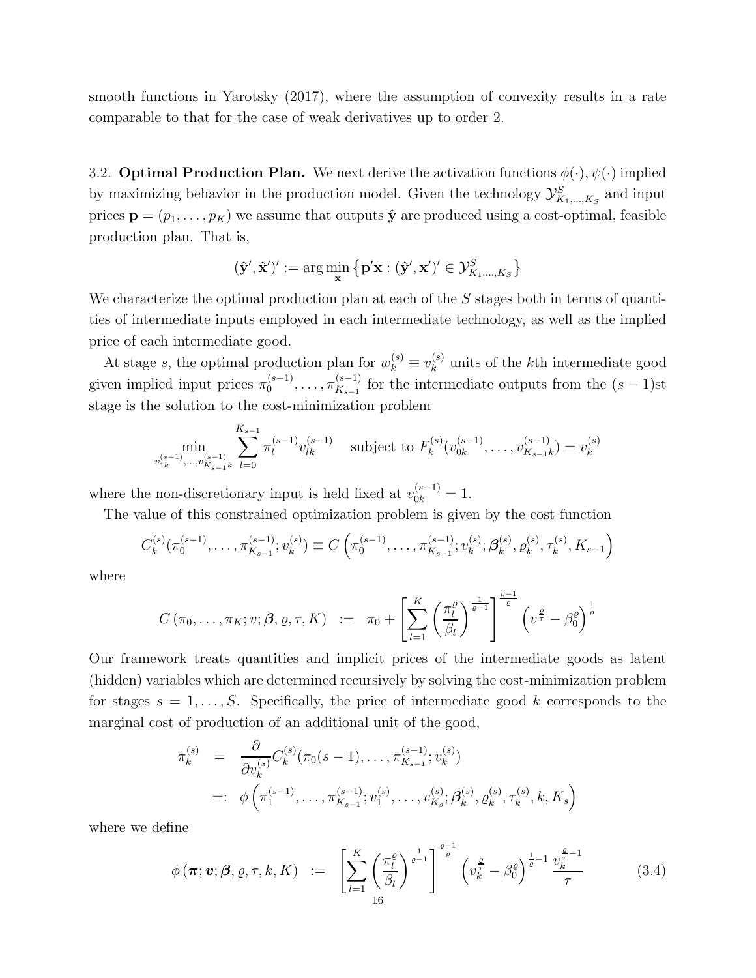smooth functions in Yarotsky (2017), where the assumption of convexity results in a rate comparable to that for the case of weak derivatives up to order 2.

3.2. **Optimal Production Plan.** We next derive the activation functions  $\phi(\cdot), \psi(\cdot)$  implied by maximizing behavior in the production model. Given the technology  $\mathcal{Y}^S_{K_1,\dots,K_S}$  and input prices  $\mathbf{p} = (p_1, \ldots, p_K)$  we assume that outputs  $\hat{\mathbf{y}}$  are produced using a cost-optimal, feasible production plan. That is,

$$
(\hat{\mathbf{y}}', \hat{\mathbf{x}}')' := \arg\min_{\mathbf{x}} \left\{ \mathbf{p}'\mathbf{x} : (\hat{\mathbf{y}}', \mathbf{x}')' \in \mathcal{Y}_{K_1, \dots, K_S}^S \right\}
$$

We characterize the optimal production plan at each of the S stages both in terms of quantities of intermediate inputs employed in each intermediate technology, as well as the implied price of each intermediate good.

At stage s, the optimal production plan for  $w_k^{(s)} \equiv v_k^{(s)}$  $\binom{s}{k}$  units of the k<sup>th</sup> intermediate good given implied input prices  $\pi_0^{(s-1)}$  $\frac{(s-1)}{0}, \ldots, \pi_{K_{s-1}}^{(s-1)}$  $\frac{S-1}{K_{s-1}}$  for the intermediate outputs from the  $(s-1)$ st stage is the solution to the cost-minimization problem

$$
\min_{v_{1k}^{(s-1)}, \dots, v_{K_{s-1}k}^{(s-1)}} \sum_{l=0}^{K_{s-1}} \pi_l^{(s-1)} v_{lk}^{(s-1)} \quad \text{subject to } F_k^{(s)}(v_{0k}^{(s-1)}, \dots, v_{K_{s-1}k}^{(s-1)}) = v_k^{(s)}
$$

where the non-discretionary input is held fixed at  $v_{0k}^{(s-1)} = 1$ .

The value of this constrained optimization problem is given by the cost function

$$
C_k^{(s)}(\pi_0^{(s-1)},\ldots,\pi_{K_{s-1}}^{(s-1)};v_k^{(s)})\equiv C\left(\pi_0^{(s-1)},\ldots,\pi_{K_{s-1}}^{(s-1)};v_k^{(s)};\boldsymbol{\beta}_k^{(s)},\varrho_k^{(s)},\tau_k^{(s)},K_{s-1}\right)
$$

where

$$
C(\pi_0,\ldots,\pi_K; v;\boldsymbol{\beta},\varrho,\tau,K) \ := \ \pi_0 + \left[\sum_{l=1}^K \left(\frac{\pi_l^{\varrho}}{\beta_l}\right)^{\frac{1}{\varrho-1}}\right]^{\frac{\varrho-1}{\varrho}} \left(v^{\frac{\varrho}{\tau}}-\beta_0^{\varrho}\right)^{\frac{1}{\varrho}}
$$

Our framework treats quantities and implicit prices of the intermediate goods as latent (hidden) variables which are determined recursively by solving the cost-minimization problem for stages  $s = 1, \ldots, S$ . Specifically, the price of intermediate good k corresponds to the marginal cost of production of an additional unit of the good,

$$
\pi_k^{(s)} = \frac{\partial}{\partial v_k^{(s)}} C_k^{(s)} (\pi_0(s-1), \dots, \pi_{K_{s-1}}^{(s-1)}; v_k^{(s)})
$$
  
=:  $\phi\left(\pi_1^{(s-1)}, \dots, \pi_{K_{s-1}}^{(s-1)}; v_1^{(s)}, \dots, v_{K_s}^{(s)}; \mathcal{G}_k^{(s)}, \varrho_k^{(s)}, \tau_k^{(s)}, k, K_s\right)$ 

where we define

$$
\phi(\boldsymbol{\pi}; \boldsymbol{v}; \boldsymbol{\beta}, \varrho, \tau, k, K) := \left[ \sum_{l=1}^{K} \left( \frac{\pi_l^{\varrho}}{\beta_l} \right)^{\frac{1}{\varrho-1}} \right]^{\frac{\varrho-1}{\varrho}} \left( v_k^{\frac{\varrho}{\tau}} - \beta_0^{\varrho} \right)^{\frac{1}{\varrho}-1} \frac{v_k^{\frac{\varrho}{\tau}-1}}{\tau}
$$
(3.4)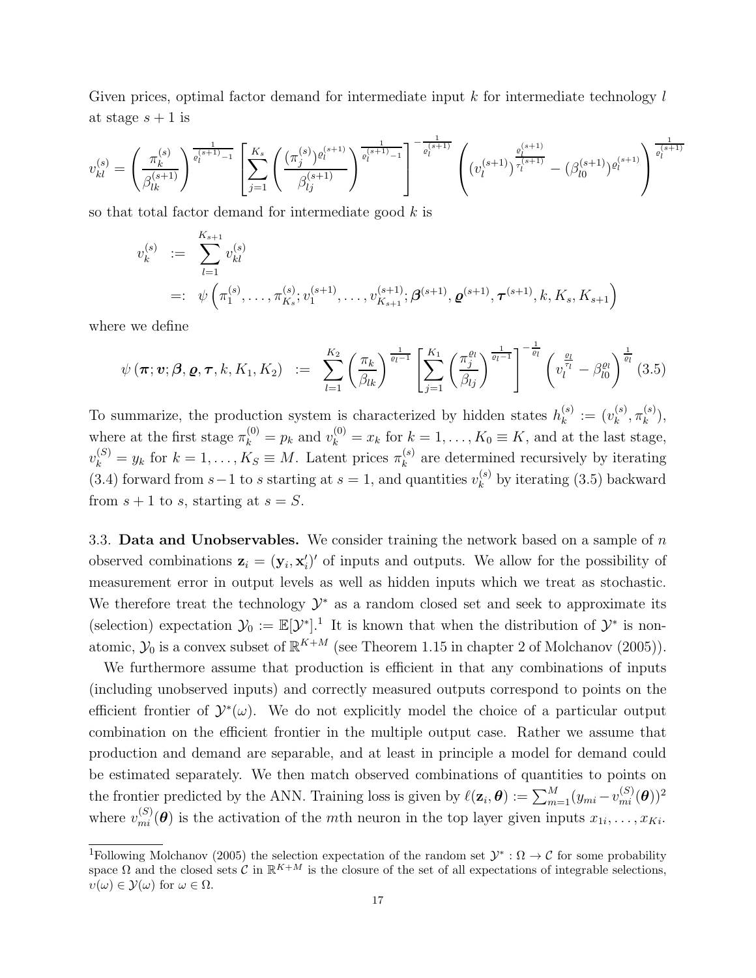Given prices, optimal factor demand for intermediate input  $k$  for intermediate technology  $l$ at stage  $s + 1$  is

$$
v_{kl}^{(s)} = \left(\frac{\pi_k^{(s)}}{\beta_{lk}^{(s+1)}}\right)^{\frac{1}{\varrho_l^{(s+1)}-1}} \left[\sum_{j=1}^{K_s} \left(\frac{(\pi_j^{(s)})^{\varrho_l^{(s+1)}}}{\beta_{lj}^{(s+1)}}\right)^{\frac{1}{\varrho_l^{(s+1)}-1}}\right]^{-\frac{1}{\varrho_l^{(s+1)}}} \left((v_l^{(s+1)})^{\frac{\varrho_l^{(s+1)}}{\tau_l^{(s+1)}}} - (\beta_{l0}^{(s+1)})^{\varrho_l^{(s+1)}}\right)^{\frac{1}{\varrho_l^{(s+1)}}}
$$

so that total factor demand for intermediate good  $k$  is

$$
v_k^{(s)} := \sum_{l=1}^{K_{s+1}} v_{kl}^{(s)}
$$
  
=:  $\psi\left(\pi_1^{(s)}, \ldots, \pi_{K_s}^{(s)}; v_1^{(s+1)}, \ldots, v_{K_{s+1}}^{(s+1)}; \boldsymbol{\beta}^{(s+1)}, \boldsymbol{\varrho}^{(s+1)}, \boldsymbol{\tau}^{(s+1)}, k, K_s, K_{s+1}\right)$ 

where we define

$$
\psi(\boldsymbol{\pi};\boldsymbol{v};\boldsymbol{\beta},\boldsymbol{\varrho},\boldsymbol{\tau},k,K_1,K_2) \ := \ \sum_{l=1}^{K_2} \left(\frac{\pi_k}{\beta_{lk}}\right)^{\frac{1}{\varrho_l-1}} \left[\sum_{j=1}^{K_1} \left(\frac{\pi_j^{\varrho_l}}{\beta_{lj}}\right)^{\frac{1}{\varrho_l-1}}\right]^{-\frac{1}{\varrho_l}} \left(v_l^{\frac{\varrho_l}{\tau_l}} - \beta_{l0}^{\varrho_l}\right)^{\frac{1}{\varrho_l}}(3.5)
$$

To summarize, the production system is characterized by hidden states  $h_k^{(s)}$  $\binom{s}{k} := (v_k^{(s)}$  $_{k}^{(s)},\pi _{k}^{(s)}$  $\binom{s}{k}$ where at the first stage  $\pi_k^{(0)} = p_k$  and  $v_k^{(0)} = x_k$  for  $k = 1, ..., K_0 \equiv K$ , and at the last stage,  $v_k^{(S)} = y_k$  for  $k = 1, ..., K_S \equiv M$ . Latent prices  $\pi_k^{(s)}$  $\kappa^{(s)}$  are determined recursively by iterating (3.4) forward from  $s-1$  to s starting at  $s=1$ , and quantities  $v_k^{(s)}$  by iterating (3.5) backward from  $s + 1$  to s, starting at  $s = S$ .

3.3. Data and Unobservables. We consider training the network based on a sample of  $n$ observed combinations  $\mathbf{z}_i = (\mathbf{y}_i, \mathbf{x}_i')'$  of inputs and outputs. We allow for the possibility of measurement error in output levels as well as hidden inputs which we treat as stochastic. We therefore treat the technology  $\mathcal{Y}^*$  as a random closed set and seek to approximate its (selection) expectation  $\mathcal{Y}_0 := \mathbb{E}[\mathcal{Y}^*].^1$  It is known that when the distribution of  $\mathcal{Y}^*$  is nonatomic,  $\mathcal{Y}_0$  is a convex subset of  $\mathbb{R}^{K+M}$  (see Theorem 1.15 in chapter 2 of Molchanov (2005)).

We furthermore assume that production is efficient in that any combinations of inputs (including unobserved inputs) and correctly measured outputs correspond to points on the efficient frontier of  $\mathcal{Y}^*(\omega)$ . We do not explicitly model the choice of a particular output combination on the efficient frontier in the multiple output case. Rather we assume that production and demand are separable, and at least in principle a model for demand could be estimated separately. We then match observed combinations of quantities to points on the frontier predicted by the ANN. Training loss is given by  $\ell(\mathbf{z}_i, \boldsymbol{\theta}) := \sum_{m=1}^M (y_{mi} - v_{mi}^{(S)}(\boldsymbol{\theta}))^2$ where  $v_{mi}^{(S)}(\theta)$  is the activation of the mth neuron in the top layer given inputs  $x_{1i}, \ldots, x_{Ki}$ .

<sup>&</sup>lt;sup>1</sup>Following Molchanov (2005) the selection expectation of the random set  $\mathcal{Y}^*:\Omega \to \mathcal{C}$  for some probability space  $\Omega$  and the closed sets C in  $\mathbb{R}^{K+M}$  is the closure of the set of all expectations of integrable selections,  $v(\omega) \in \mathcal{Y}(\omega)$  for  $\omega \in \Omega$ .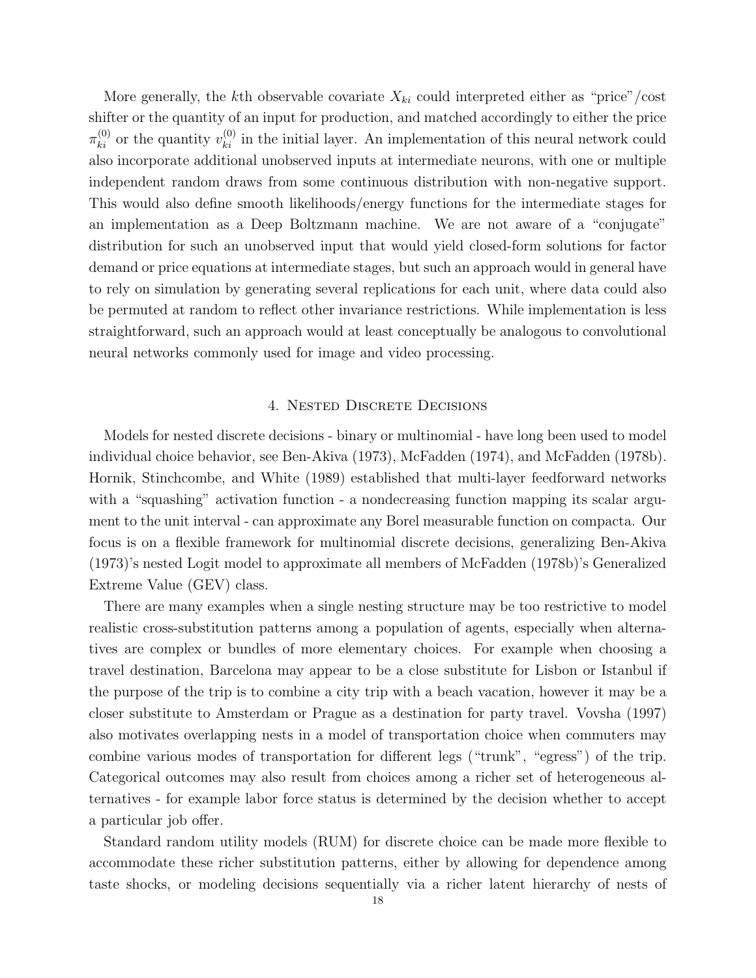More generally, the kth observable covariate  $X_{ki}$  could interpreted either as "price"/cost shifter or the quantity of an input for production, and matched accordingly to either the price  $\pi_{ki}^{(0)}$  or the quantity  $v_{ki}^{(0)}$  in the initial layer. An implementation of this neural network could also incorporate additional unobserved inputs at intermediate neurons, with one or multiple independent random draws from some continuous distribution with non-negative support. This would also define smooth likelihoods/energy functions for the intermediate stages for an implementation as a Deep Boltzmann machine. We are not aware of a "conjugate" distribution for such an unobserved input that would yield closed-form solutions for factor demand or price equations at intermediate stages, but such an approach would in general have to rely on simulation by generating several replications for each unit, where data could also be permuted at random to reflect other invariance restrictions. While implementation is less straightforward, such an approach would at least conceptually be analogous to convolutional neural networks commonly used for image and video processing.

## 4. Nested Discrete Decisions

Models for nested discrete decisions - binary or multinomial - have long been used to model individual choice behavior, see Ben-Akiva (1973), McFadden (1974), and McFadden (1978b). Hornik, Stinchcombe, and White (1989) established that multi-layer feedforward networks with a "squashing" activation function - a nondecreasing function mapping its scalar argument to the unit interval - can approximate any Borel measurable function on compacta. Our focus is on a flexible framework for multinomial discrete decisions, generalizing Ben-Akiva (1973)'s nested Logit model to approximate all members of McFadden (1978b)'s Generalized Extreme Value (GEV) class.

There are many examples when a single nesting structure may be too restrictive to model realistic cross-substitution patterns among a population of agents, especially when alternatives are complex or bundles of more elementary choices. For example when choosing a travel destination, Barcelona may appear to be a close substitute for Lisbon or Istanbul if the purpose of the trip is to combine a city trip with a beach vacation, however it may be a closer substitute to Amsterdam or Prague as a destination for party travel. Vovsha (1997) also motivates overlapping nests in a model of transportation choice when commuters may combine various modes of transportation for different legs ("trunk", "egress") of the trip. Categorical outcomes may also result from choices among a richer set of heterogeneous alternatives - for example labor force status is determined by the decision whether to accept a particular job offer.

Standard random utility models (RUM) for discrete choice can be made more flexible to accommodate these richer substitution patterns, either by allowing for dependence among taste shocks, or modeling decisions sequentially via a richer latent hierarchy of nests of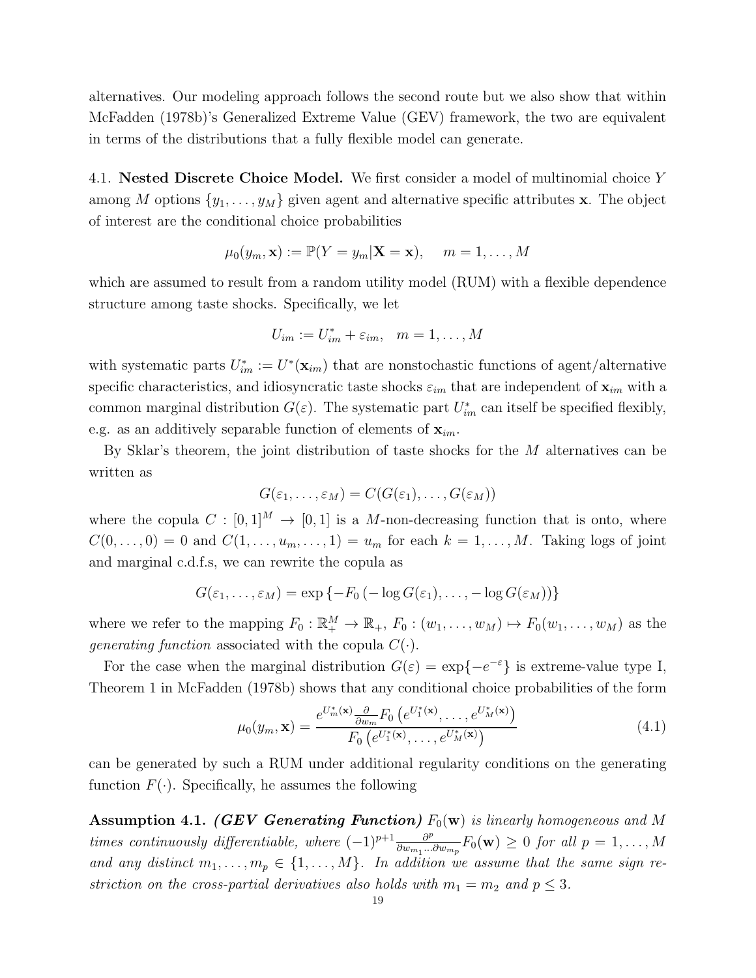alternatives. Our modeling approach follows the second route but we also show that within McFadden (1978b)'s Generalized Extreme Value (GEV) framework, the two are equivalent in terms of the distributions that a fully flexible model can generate.

4.1. Nested Discrete Choice Model. We first consider a model of multinomial choice Y among M options  $\{y_1, \ldots, y_M\}$  given agent and alternative specific attributes x. The object of interest are the conditional choice probabilities

$$
\mu_0(y_m, \mathbf{x}) := \mathbb{P}(Y = y_m | \mathbf{X} = \mathbf{x}), \quad m = 1, \dots, M
$$

which are assumed to result from a random utility model (RUM) with a flexible dependence structure among taste shocks. Specifically, we let

$$
U_{im} := U_{im}^* + \varepsilon_{im}, \quad m = 1, \dots, M
$$

with systematic parts  $U_{im}^* := U^*(\mathbf{x}_{im})$  that are nonstochastic functions of agent/alternative specific characteristics, and idiosyncratic taste shocks  $\varepsilon_{im}$  that are independent of  $\mathbf{x}_{im}$  with a common marginal distribution  $G(\varepsilon)$ . The systematic part  $U_{im}^*$  can itself be specified flexibly, e.g. as an additively separable function of elements of  $\mathbf{x}_{im}$ .

By Sklar's theorem, the joint distribution of taste shocks for the  $M$  alternatives can be written as

$$
G(\varepsilon_1,\ldots,\varepsilon_M)=C(G(\varepsilon_1),\ldots,G(\varepsilon_M))
$$

where the copula  $C : [0,1]^M \to [0,1]$  is a M-non-decreasing function that is onto, where  $C(0,\ldots,0) = 0$  and  $C(1,\ldots,u_m,\ldots,1) = u_m$  for each  $k = 1,\ldots,M$ . Taking logs of joint and marginal c.d.f.s, we can rewrite the copula as

$$
G(\varepsilon_1,\ldots,\varepsilon_M)=\exp\{-F_0(-\log G(\varepsilon_1),\ldots,-\log G(\varepsilon_M))\}
$$

where we refer to the mapping  $F_0: \mathbb{R}^M_+ \to \mathbb{R}_+$ ,  $F_0: (w_1, \ldots, w_M) \mapsto F_0(w_1, \ldots, w_M)$  as the generating function associated with the copula  $C(\cdot)$ .

For the case when the marginal distribution  $G(\varepsilon) = \exp\{-e^{-\varepsilon}\}\$ is extreme-value type I, Theorem 1 in McFadden (1978b) shows that any conditional choice probabilities of the form

$$
\mu_0(y_m, \mathbf{x}) = \frac{e^{U_m^*(\mathbf{x})} \frac{\partial}{\partial w_m} F_0\left(e^{U_1^*(\mathbf{x})}, \dots, e^{U_M^*(\mathbf{x})}\right)}{F_0\left(e^{U_1^*(\mathbf{x})}, \dots, e^{U_M^*(\mathbf{x})}\right)}
$$
(4.1)

can be generated by such a RUM under additional regularity conditions on the generating function  $F(\cdot)$ . Specifically, he assumes the following

**Assumption 4.1.** (GEV Generating Function)  $F_0(\mathbf{w})$  is linearly homogeneous and M times continuously differentiable, where  $(-1)^{p+1} \frac{\partial^p}{\partial w_{p+1}}$  $\frac{\partial^p}{\partial w_{m_1}...\partial w_{m_p}} F_0(\mathbf{w}) \geq 0$  for all  $p = 1, ..., M$ and any distinct  $m_1, \ldots, m_p \in \{1, \ldots, M\}$ . In addition we assume that the same sign restriction on the cross-partial derivatives also holds with  $m_1 = m_2$  and  $p \leq 3$ .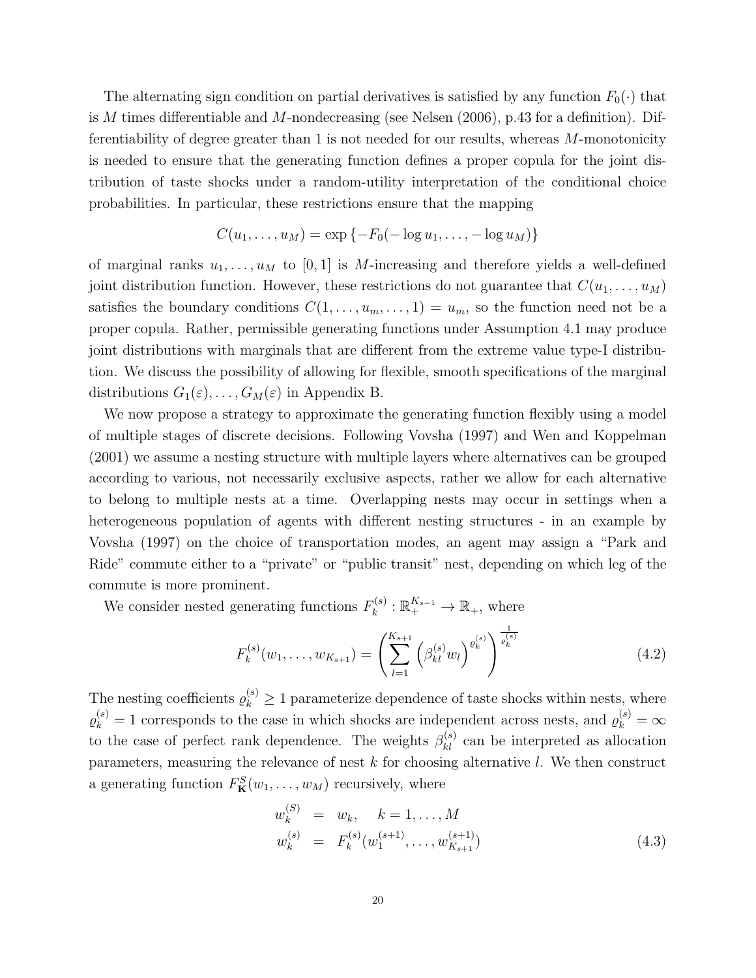The alternating sign condition on partial derivatives is satisfied by any function  $F_0(\cdot)$  that is M times differentiable and M-nondecreasing (see Nelsen  $(2006)$ , p.43 for a definition). Differentiability of degree greater than 1 is not needed for our results, whereas  $M$ -monotonicity is needed to ensure that the generating function defines a proper copula for the joint distribution of taste shocks under a random-utility interpretation of the conditional choice probabilities. In particular, these restrictions ensure that the mapping

$$
C(u_1, \ldots, u_M) = \exp \{-F_0(-\log u_1, \ldots, -\log u_M)\}
$$

of marginal ranks  $u_1, \ldots, u_M$  to [0, 1] is M-increasing and therefore yields a well-defined joint distribution function. However, these restrictions do not guarantee that  $C(u_1, \ldots, u_M)$ satisfies the boundary conditions  $C(1, \ldots, u_m, \ldots, 1) = u_m$ , so the function need not be a proper copula. Rather, permissible generating functions under Assumption 4.1 may produce joint distributions with marginals that are different from the extreme value type-I distribution. We discuss the possibility of allowing for flexible, smooth specifications of the marginal distributions  $G_1(\varepsilon), \ldots, G_M(\varepsilon)$  in Appendix B.

We now propose a strategy to approximate the generating function flexibly using a model of multiple stages of discrete decisions. Following Vovsha (1997) and Wen and Koppelman (2001) we assume a nesting structure with multiple layers where alternatives can be grouped according to various, not necessarily exclusive aspects, rather we allow for each alternative to belong to multiple nests at a time. Overlapping nests may occur in settings when a heterogeneous population of agents with different nesting structures - in an example by Vovsha (1997) on the choice of transportation modes, an agent may assign a "Park and Ride" commute either to a "private" or "public transit" nest, depending on which leg of the commute is more prominent.

We consider nested generating functions  $F_k^{(s)}$  $\mathbb{R}^{K_{s-1}}_k$  :  $\mathbb{R}^{K_{s-1}}_+ \to \mathbb{R}_+$ , where

$$
F_k^{(s)}(w_1, \dots, w_{K_{s+1}}) = \left(\sum_{l=1}^{K_{s+1}} \left(\beta_{kl}^{(s)} w_l\right)^{\varrho_k^{(s)}}\right)^{\frac{1}{\varrho_k^{(s)}}}
$$
(4.2)

The nesting coefficients  $\varrho_k^{(s)} \geq 1$  parameterize dependence of taste shocks within nests, where  $\varrho_k^{(s)} = 1$  corresponds to the case in which shocks are independent across nests, and  $\varrho_k^{(s)} = \infty$ to the case of perfect rank dependence. The weights  $\beta_{kl}^{(s)}$  can be interpreted as allocation parameters, measuring the relevance of nest  $k$  for choosing alternative  $l$ . We then construct a generating function  $F_{\mathbf{K}}^{S}(w_1,\ldots,w_M)$  recursively, where

$$
w_k^{(S)} = w_k, \quad k = 1, ..., M
$$
  
\n
$$
w_k^{(s)} = F_k^{(s)}(w_1^{(s+1)}, ..., w_{K_{s+1}}^{(s+1)})
$$
\n(4.3)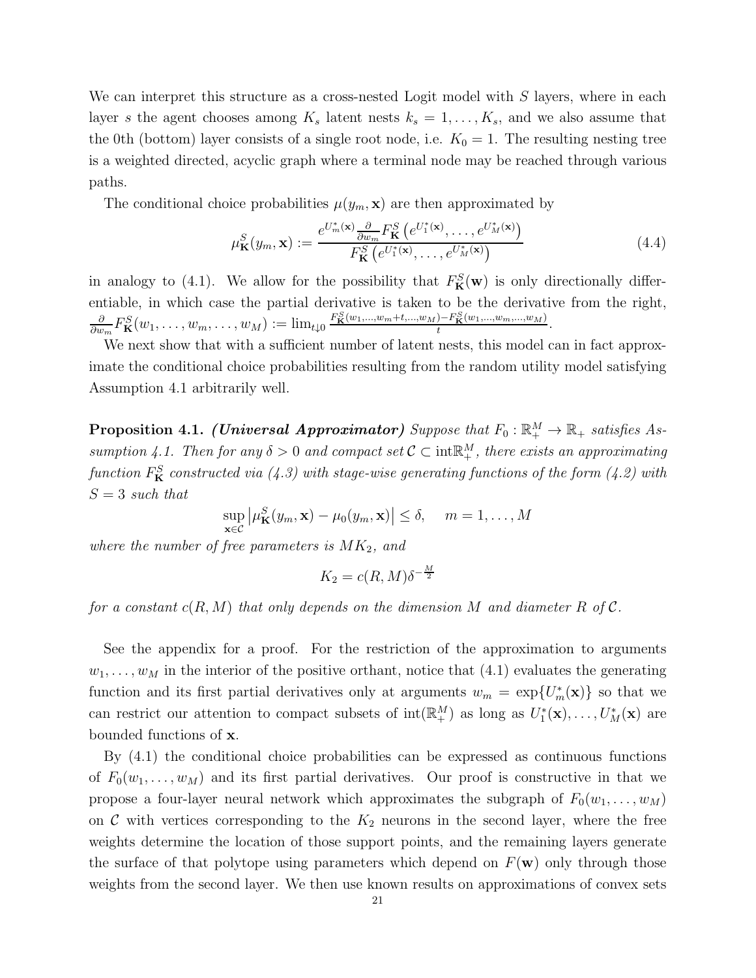We can interpret this structure as a cross-nested Logit model with  $S$  layers, where in each layer s the agent chooses among  $K_s$  latent nests  $k_s = 1, \ldots, K_s$ , and we also assume that the 0th (bottom) layer consists of a single root node, i.e.  $K_0 = 1$ . The resulting nesting tree is a weighted directed, acyclic graph where a terminal node may be reached through various paths.

The conditional choice probabilities  $\mu(y_m, \mathbf{x})$  are then approximated by

$$
\mu_{\mathbf{K}}^{S}(y_{m}, \mathbf{x}) := \frac{e^{U_{m}^{*}(\mathbf{x})} \frac{\partial}{\partial w_{m}} F_{\mathbf{K}}^{S}\left(e^{U_{1}^{*}(\mathbf{x})}, \dots, e^{U_{M}^{*}(\mathbf{x})}\right)}{F_{\mathbf{K}}^{S}\left(e^{U_{1}^{*}(\mathbf{x})}, \dots, e^{U_{M}^{*}(\mathbf{x})}\right)}
$$
(4.4)

in analogy to (4.1). We allow for the possibility that  $F_K^S(\mathbf{w})$  is only directionally differentiable, in which case the partial derivative is taken to be the derivative from the right, ∂  $\frac{\partial}{\partial w_m} F^S_{\mathbf{K}}(w_1,\ldots,w_m,\ldots,w_M) := \lim_{t\downarrow 0} \frac{F^S_{\mathbf{K}}(w_1,...,w_m+t,...,w_M) - F^S_{\mathbf{K}}(w_1,...,w_m,...,w_M)}{t}$  $\frac{f(-r_{\mathbf{K}}(w_1,...,w_m,...,w_M))}{t}.$ 

We next show that with a sufficient number of latent nests, this model can in fact approximate the conditional choice probabilities resulting from the random utility model satisfying Assumption 4.1 arbitrarily well.

**Proposition 4.1.** (Universal Approximator) Suppose that  $F_0: \mathbb{R}^M_+ \to \mathbb{R}_+$  satisfies Assumption 4.1. Then for any  $\delta > 0$  and compact set  $C \subset \text{int}^M$ , there exists an approximating function  $F^S_{\mathbf{K}}$  constructed via (4.3) with stage-wise generating functions of the form (4.2) with  $S = 3$  such that

$$
\sup_{\mathbf{x}\in\mathcal{C}}\left|\mu_{\mathbf{K}}^{S}(y_{m},\mathbf{x})-\mu_{0}(y_{m},\mathbf{x})\right|\leq\delta, \quad m=1,\ldots,M
$$

where the number of free parameters is  $MK_2$ , and

$$
K_2 = c(R, M)\delta^{-\frac{M}{2}}
$$

for a constant  $c(R, M)$  that only depends on the dimension M and diameter R of C.

See the appendix for a proof. For the restriction of the approximation to arguments  $w_1, \ldots, w_M$  in the interior of the positive orthant, notice that (4.1) evaluates the generating function and its first partial derivatives only at arguments  $w_m = \exp\{U_m^*(\mathbf{x})\}$  so that we can restrict our attention to compact subsets of  $\text{int}(\mathbb{R}^M_+)$  as long as  $U_1^*(\mathbf{x}), \ldots, U_M^*(\mathbf{x})$  are bounded functions of x.

By (4.1) the conditional choice probabilities can be expressed as continuous functions of  $F_0(w_1, \ldots, w_M)$  and its first partial derivatives. Our proof is constructive in that we propose a four-layer neural network which approximates the subgraph of  $F_0(w_1, \ldots, w_M)$ on C with vertices corresponding to the  $K_2$  neurons in the second layer, where the free weights determine the location of those support points, and the remaining layers generate the surface of that polytope using parameters which depend on  $F(\mathbf{w})$  only through those weights from the second layer. We then use known results on approximations of convex sets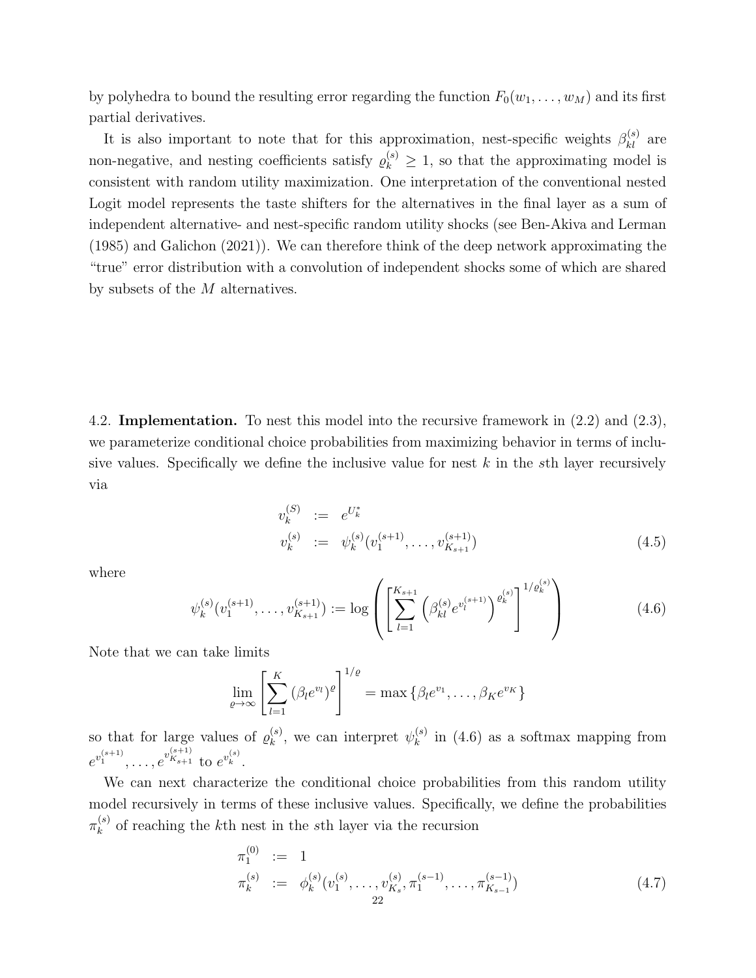by polyhedra to bound the resulting error regarding the function  $F_0(w_1, \ldots, w_M)$  and its first partial derivatives.

It is also important to note that for this approximation, nest-specific weights  $\beta_{kl}^{(s)}$  are non-negative, and nesting coefficients satisfy  $\varrho_k^{(s)} \geq 1$ , so that the approximating model is consistent with random utility maximization. One interpretation of the conventional nested Logit model represents the taste shifters for the alternatives in the final layer as a sum of independent alternative- and nest-specific random utility shocks (see Ben-Akiva and Lerman (1985) and Galichon (2021)). We can therefore think of the deep network approximating the "true" error distribution with a convolution of independent shocks some of which are shared by subsets of the M alternatives.

4.2. Implementation. To nest this model into the recursive framework in (2.2) and (2.3), we parameterize conditional choice probabilities from maximizing behavior in terms of inclusive values. Specifically we define the inclusive value for nest  $k$  in the sth layer recursively via

$$
v_k^{(S)} := e^{U_k^*}
$$
  
\n
$$
v_k^{(s)} := \psi_k^{(s)}(v_1^{(s+1)}, \dots, v_{K_{s+1}}^{(s+1)})
$$
\n
$$
(4.5)
$$

where

$$
\psi_k^{(s)}(v_1^{(s+1)}, \dots, v_{K_{s+1}}^{(s+1)}) := \log \left( \left[ \sum_{l=1}^{K_{s+1}} \left( \beta_{kl}^{(s)} e^{v_l^{(s+1)}} \right)^{\varrho_k^{(s)}} \right]^{1/\varrho_k^{(s)}} \right) \tag{4.6}
$$

Note that we can take limits

$$
\lim_{\varrho \to \infty} \left[ \sum_{l=1}^K \left( \beta_l e^{v_l} \right)^{\varrho} \right]^{1/\varrho} = \max \left\{ \beta_l e^{v_1}, \dots, \beta_K e^{v_K} \right\}
$$

so that for large values of  $\varrho_k^{(s)}$  $\mathbf{v}_k^{(s)}$ , we can interpret  $\psi_k^{(s)}$  $\binom{s}{k}$  in (4.6) as a softmax mapping from  $e^{v_1^{(s+1)}}, \ldots, e^{v_{K_{s+1}}^{(s+1)}}$  to  $e^{v_k^{(s)}}$ .

We can next characterize the conditional choice probabilities from this random utility model recursively in terms of these inclusive values. Specifically, we define the probabilities  $\pi_k^{(s)}$  $\kappa_k^{(s)}$  of reaching the k<sup>th</sup> nest in the sth layer via the recursion

$$
\pi_1^{(0)} := 1
$$
\n
$$
\pi_k^{(s)} := \phi_k^{(s)}(v_1^{(s)}, \dots, v_{K_s}^{(s)}, \pi_1^{(s-1)}, \dots, \pi_{K_{s-1}}^{(s-1)})
$$
\n
$$
\pi_k^{(s)} := \phi_k^{(s)}(v_1^{(s)}, \dots, v_{K_s}^{(s)}, \pi_1^{(s-1)}, \dots, \pi_{K_{s-1}}^{(s-1)})
$$
\n
$$
\tag{4.7}
$$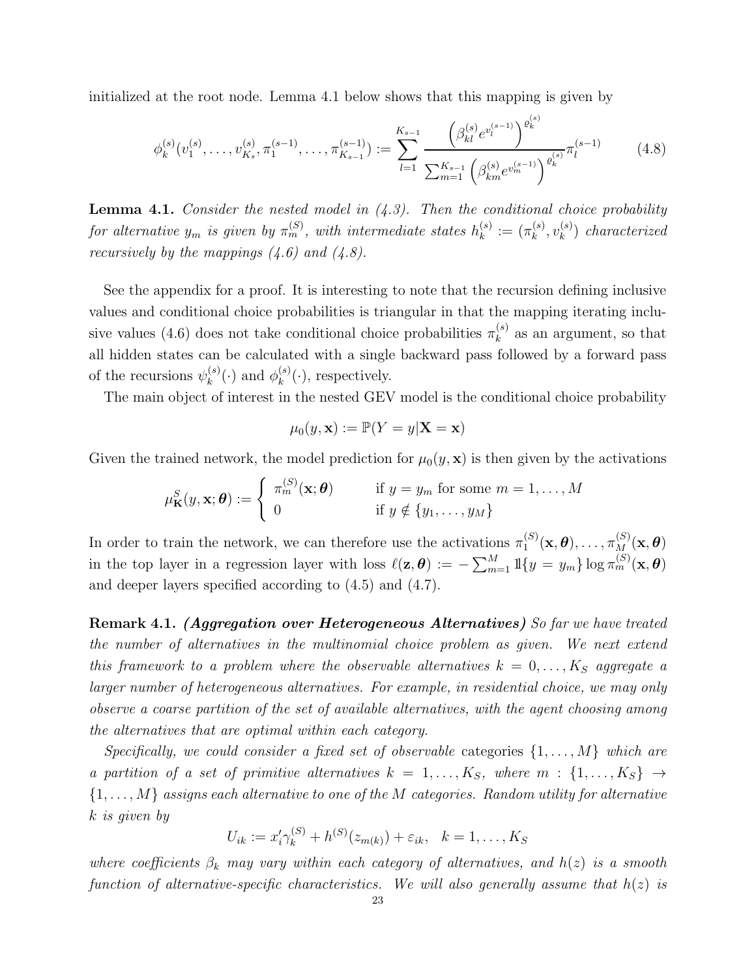initialized at the root node. Lemma 4.1 below shows that this mapping is given by

$$
\phi_k^{(s)}(v_1^{(s)}, \dots, v_{K_s}^{(s)}, \pi_1^{(s-1)}, \dots, \pi_{K_{s-1}}^{(s-1)}) := \sum_{l=1}^{K_{s-1}} \frac{\left(\beta_{kl}^{(s)} e^{v_l^{(s-1)}}\right)^{\varrho_k^{(s)}}}{\sum_{m=1}^{K_{s-1}} \left(\beta_{km}^{(s)} e^{v_m^{(s-1)}}\right)^{\varrho_k^{(s)}}} \pi_l^{(s-1)} \tag{4.8}
$$

**Lemma 4.1.** Consider the nested model in  $(4.3)$ . Then the conditional choice probability for alternative  $y_m$  is given by  $\pi_m^{(S)}$ , with intermediate states  $h_k^{(s)}$  $\binom{s}{k} := (\pi_k^{(s)}$  $\binom{(s)}{k},v_k^{(s)}$  $\binom{s}{k}$  characterized recursively by the mappings  $(4.6)$  and  $(4.8)$ .

See the appendix for a proof. It is interesting to note that the recursion defining inclusive values and conditional choice probabilities is triangular in that the mapping iterating inclusive values (4.6) does not take conditional choice probabilities  $\pi_k^{(s)}$  $\binom{s}{k}$  as an argument, so that all hidden states can be calculated with a single backward pass followed by a forward pass of the recursions  $\psi_k^{(s)}$  $\chi_k^{(s)}(\cdot)$  and  $\phi_k^{(s)}$  $k^{(s)}(\cdot)$ , respectively.

The main object of interest in the nested GEV model is the conditional choice probability

$$
\mu_0(y, \mathbf{x}) := \mathbb{P}(Y = y | \mathbf{X} = \mathbf{x})
$$

Given the trained network, the model prediction for  $\mu_0(y, x)$  is then given by the activations

$$
\mu_{\mathbf{K}}^{S}(y, \mathbf{x}; \boldsymbol{\theta}) := \begin{cases} \pi_{m}^{(S)}(\mathbf{x}; \boldsymbol{\theta}) & \text{if } y = y_{m} \text{ for some } m = 1, \ldots, M \\ 0 & \text{if } y \notin \{y_{1}, \ldots, y_{M}\} \end{cases}
$$

In order to train the network, we can therefore use the activations  $\pi_1^{(S)}$  $\pi_1^{(S)}(\mathbf x, \boldsymbol\theta), \ldots, \pi_M^{(S)}(\mathbf x, \boldsymbol\theta)$ in the top layer in a regression layer with loss  $\ell(\mathbf{z}, \boldsymbol{\theta}) := -\sum_{m=1}^{M} \mathbb{1}\{y = y_m\} \log \pi_m^{(S)}(\mathbf{x}, \boldsymbol{\theta})$ and deeper layers specified according to (4.5) and (4.7).

Remark 4.1. (Aggregation over Heterogeneous Alternatives) So far we have treated the number of alternatives in the multinomial choice problem as given. We next extend this framework to a problem where the observable alternatives  $k = 0, \ldots, K_S$  aggregate a larger number of heterogeneous alternatives. For example, in residential choice, we may only observe a coarse partition of the set of available alternatives, with the agent choosing among the alternatives that are optimal within each category.

Specifically, we could consider a fixed set of observable categories  $\{1, \ldots, M\}$  which are a partition of a set of primitive alternatives  $k = 1, \ldots, K_S$ , where  $m : \{1, \ldots, K_S\} \rightarrow$  $\{1,\ldots,M\}$  assigns each alternative to one of the M categories. Random utility for alternative k is given by

$$
U_{ik} := x'_i \gamma_k^{(S)} + h^{(S)}(z_{m(k)}) + \varepsilon_{ik}, \quad k = 1, \dots, K_S
$$

where coefficients  $\beta_k$  may vary within each category of alternatives, and  $h(z)$  is a smooth function of alternative-specific characteristics. We will also generally assume that  $h(z)$  is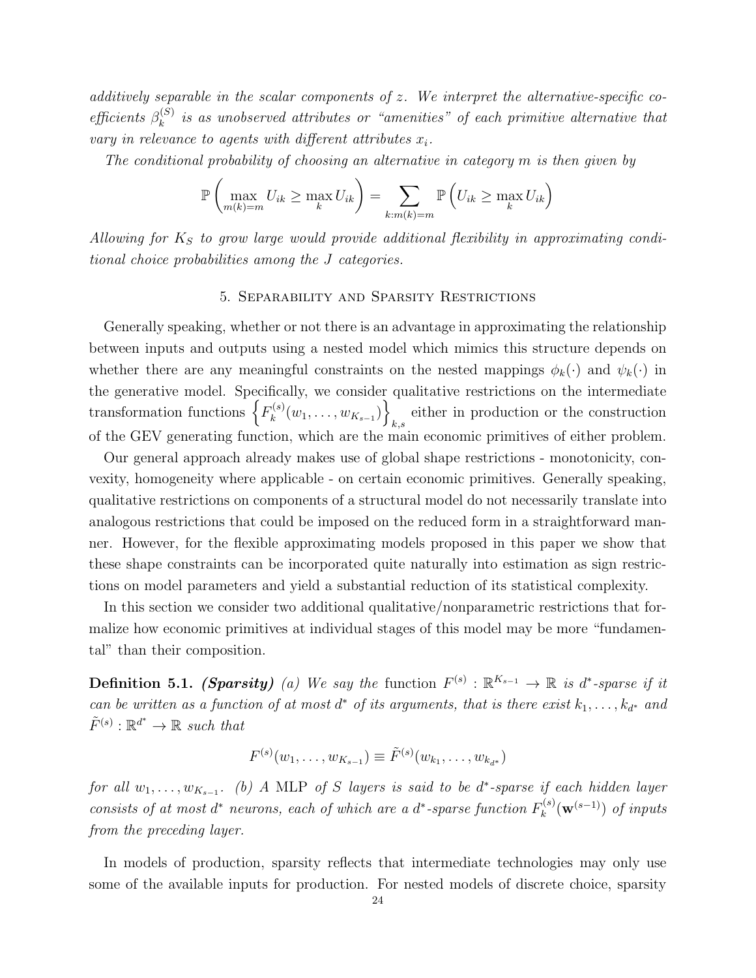additively separable in the scalar components of  $z$ . We interpret the alternative-specific coefficients  $\beta_k^{(S)}$  $\binom{S}{k}$  is as unobserved attributes or "amenities" of each primitive alternative that vary in relevance to agents with different attributes  $x_i$ .

The conditional probability of choosing an alternative in category m is then given by

$$
\mathbb{P}\left(\max_{m(k)=m} U_{ik} \ge \max_{k} U_{ik}\right) = \sum_{k:m(k)=m} \mathbb{P}\left(U_{ik} \ge \max_{k} U_{ik}\right)
$$

Allowing for  $K_S$  to grow large would provide additional flexibility in approximating conditional choice probabilities among the J categories.

## 5. Separability and Sparsity Restrictions

Generally speaking, whether or not there is an advantage in approximating the relationship between inputs and outputs using a nested model which mimics this structure depends on whether there are any meaningful constraints on the nested mappings  $\phi_k(\cdot)$  and  $\psi_k(\cdot)$  in the generative model. Specifically, we consider qualitative restrictions on the intermediate transformation functions  $\left\{F_k^{(s)}\right\}$  $\{w_1^{(s)}(w_1, \ldots, w_{K_{s-1}})\}$ either in production or the construction of the GEV generating function, which are the main economic primitives of either problem.

Our general approach already makes use of global shape restrictions - monotonicity, convexity, homogeneity where applicable - on certain economic primitives. Generally speaking, qualitative restrictions on components of a structural model do not necessarily translate into analogous restrictions that could be imposed on the reduced form in a straightforward manner. However, for the flexible approximating models proposed in this paper we show that these shape constraints can be incorporated quite naturally into estimation as sign restrictions on model parameters and yield a substantial reduction of its statistical complexity.

In this section we consider two additional qualitative/nonparametric restrictions that formalize how economic primitives at individual stages of this model may be more "fundamental" than their composition.

**Definition 5.1.** (Sparsity) (a) We say the function  $F^{(s)} : \mathbb{R}^{K_{s-1}} \to \mathbb{R}$  is d<sup>\*</sup>-sparse if it can be written as a function of at most  $d^*$  of its arguments, that is there exist  $k_1, \ldots, k_{d^*}$  and  $\tilde{F}^{(s)} : \mathbb{R}^{d^*} \to \mathbb{R}$  such that

$$
F^{(s)}(w_1,\ldots,w_{K_{s-1}})\equiv \tilde{F}^{(s)}(w_{k_1},\ldots,w_{k_{d^*}})
$$

for all  $w_1, \ldots, w_{K_{s-1}}$ . (b) A MLP of S layers is said to be d\*-sparse if each hidden layer consists of at most  $d^*$  neurons, each of which are a  $d^*$ -sparse function  $F_k^{(s)}$  $\mathbf{w}_k^{(s)}(\mathbf{w}^{(s-1)})$  of inputs from the preceding layer.

In models of production, sparsity reflects that intermediate technologies may only use some of the available inputs for production. For nested models of discrete choice, sparsity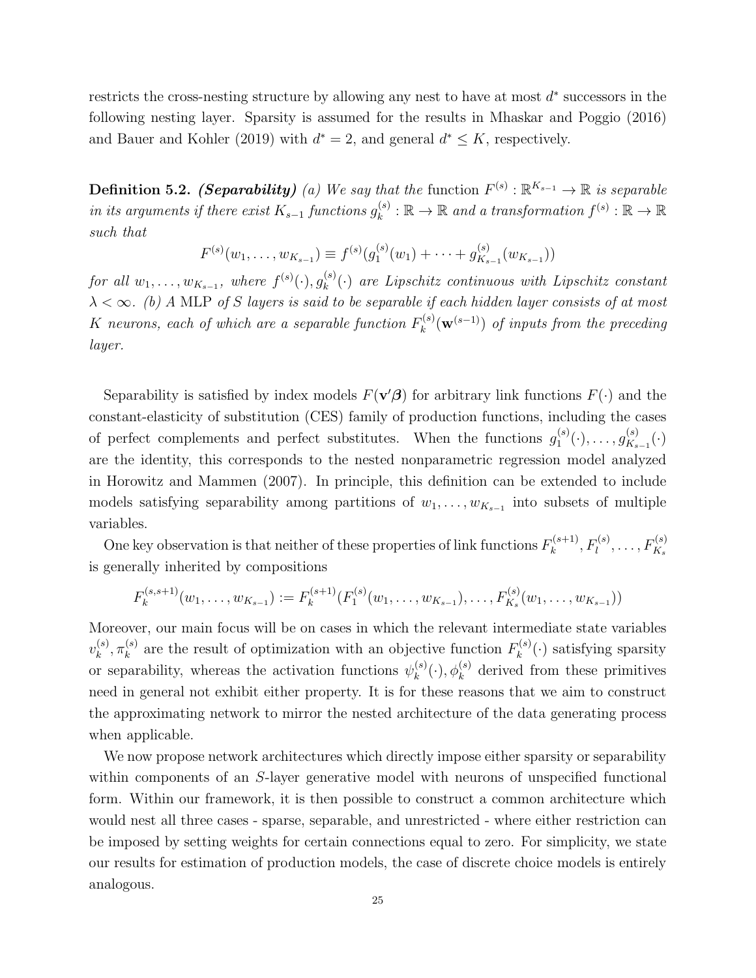restricts the cross-nesting structure by allowing any nest to have at most  $d^*$  successors in the following nesting layer. Sparsity is assumed for the results in Mhaskar and Poggio (2016) and Bauer and Kohler (2019) with  $d^* = 2$ , and general  $d^* \leq K$ , respectively.

**Definition 5.2.** (*Separability*) (a) We say that the function  $F^{(s)} : \mathbb{R}^{K_{s-1}} \to \mathbb{R}$  is separable in its arguments if there exist  $K_{s-1}$  functions  $g_k^{(s)}$  $\mathcal{L}_k^{(s)} : \mathbb{R} \to \mathbb{R}$  and a transformation  $f^{(s)} : \mathbb{R} \to \mathbb{R}$ such that

$$
F^{(s)}(w_1,\ldots,w_{K_{s-1}}) \equiv f^{(s)}(g_1^{(s)}(w_1)+\cdots+g_{K_{s-1}}^{(s)}(w_{K_{s-1}}))
$$

for all  $w_1, \ldots, w_{K_{s-1}},$  where  $f^{(s)}(\cdot), g_k^{(s)}$  $\binom{S}{k}(\cdot)$  are Lipschitz continuous with Lipschitz constant  $\lambda < \infty$ . (b) A MLP of S layers is said to be separable if each hidden layer consists of at most K neurons, each of which are a separable function  $F_k^{(s)}$  $\mathbf{w}_k^{(s)}(\mathbf{w}^{(s-1)})$  of inputs from the preceding layer.

Separability is satisfied by index models  $F(\mathbf{v}'\boldsymbol{\beta})$  for arbitrary link functions  $F(\cdot)$  and the constant-elasticity of substitution (CES) family of production functions, including the cases of perfect complements and perfect substitutes. When the functions  $g_1^{(s)}$  $\overset{(s)}{1}(\cdot),\ldots,\overset{(s)}{g^{(s)}_{K_s}}$  $x_{s-1}^{(s)}(\cdot)$ are the identity, this corresponds to the nested nonparametric regression model analyzed in Horowitz and Mammen (2007). In principle, this definition can be extended to include models satisfying separability among partitions of  $w_1, \ldots, w_{K_{s-1}}$  into subsets of multiple variables.

One key observation is that neither of these properties of link functions  $F_k^{(s+1)}$  $F_k^{(s+1)}, F_l^{(s)}, \ldots, F_{K_s}^{(s)}$ is generally inherited by compositions

$$
F_k^{(s,s+1)}(w_1,\ldots,w_{K_{s-1}}):=F_k^{(s+1)}(F_1^{(s)}(w_1,\ldots,w_{K_{s-1}}),\ldots,F_{K_s}^{(s)}(w_1,\ldots,w_{K_{s-1}}))
$$

Moreover, our main focus will be on cases in which the relevant intermediate state variables  $v_k^{(s)}$  $_{k}^{(s)},\pi _{k}^{(s)}$  $\mathbf{F}_k^{(s)}$  are the result of optimization with an objective function  $F_k^{(s)}$  $\mathbf{R}_k^{(s)}(\cdot)$  satisfying sparsity or separability, whereas the activation functions  $\psi_k^{(s)}$  $k^{(s)}(.)$ ,  $\phi_k^{(s)}$  derived from these primitives need in general not exhibit either property. It is for these reasons that we aim to construct the approximating network to mirror the nested architecture of the data generating process when applicable.

We now propose network architectures which directly impose either sparsity or separability within components of an S-layer generative model with neurons of unspecified functional form. Within our framework, it is then possible to construct a common architecture which would nest all three cases - sparse, separable, and unrestricted - where either restriction can be imposed by setting weights for certain connections equal to zero. For simplicity, we state our results for estimation of production models, the case of discrete choice models is entirely analogous.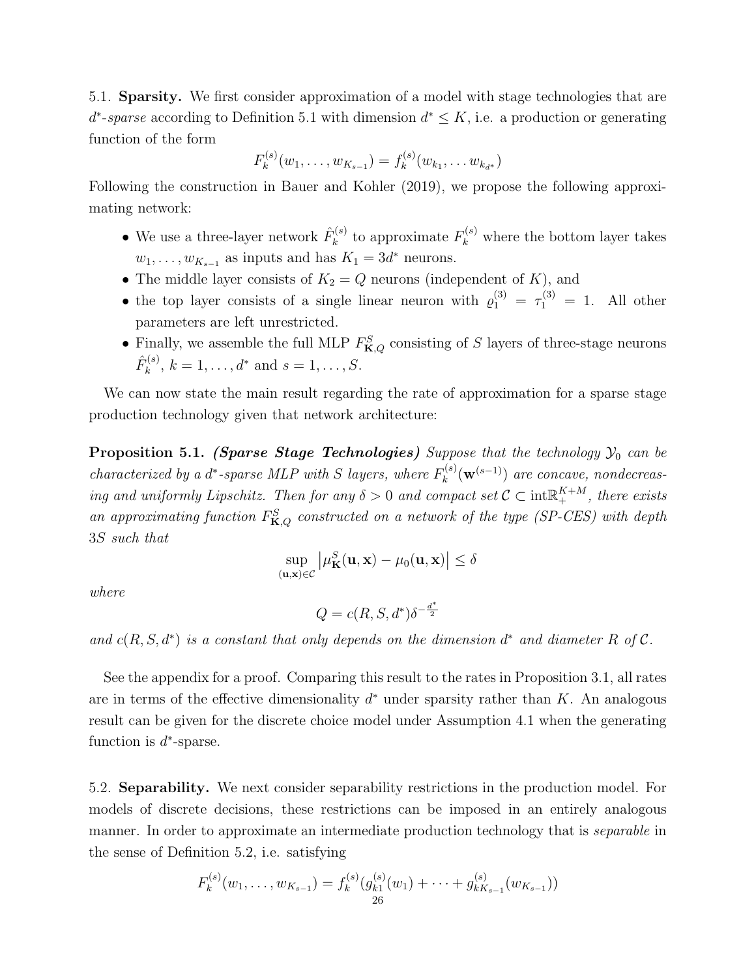5.1. Sparsity. We first consider approximation of a model with stage technologies that are  $d^*$ -sparse according to Definition 5.1 with dimension  $d^* \leq K$ , i.e. a production or generating function of the form

$$
F_k^{(s)}(w_1,\ldots,w_{K_{s-1}})=f_k^{(s)}(w_{k_1},\ldots,w_{k_{d^*}})
$$

Following the construction in Bauer and Kohler (2019), we propose the following approximating network:

- We use a three-layer network  $\hat{F}_k^{(s)}$  $k_k^{(s)}$  to approximate  $F_k^{(s)}$  where the bottom layer takes  $w_1, \ldots, w_{K_{s-1}}$  as inputs and has  $K_1 = 3d^*$  neurons.
- The middle layer consists of  $K_2 = Q$  neurons (independent of K), and
- the top layer consists of a single linear neuron with  $\varrho_1^{(3)} = \tau_1^{(3)} = 1$ . All other parameters are left unrestricted.
- Finally, we assemble the full MLP  $F_{\mathbf{K},Q}^S$  consisting of S layers of three-stage neurons  $\hat{F}^{(s)}_k$  $k^{(s)}$ ,  $k = 1, ..., d^*$  and  $s = 1, ..., S$ .

We can now state the main result regarding the rate of approximation for a sparse stage production technology given that network architecture:

**Proposition 5.1.** (Sparse Stage Technologies) Suppose that the technology  $\mathcal{Y}_0$  can be characterized by a d<sup>\*</sup>-sparse MLP with S layers, where  $F_k^{(s)}$  $\mathbf{w}_k^{(s)}(\mathbf{w}^{(s-1)})$  are concave, nondecreasing and uniformly Lipschitz. Then for any  $\delta > 0$  and compact set  $C \subset \text{int} \mathbb{R}^{K+M}_+$ , there exists an approximating function  $F_{\mathbf{K},Q}^S$  constructed on a network of the type (SP-CES) with depth 3S such that

$$
\sup_{(\mathbf{u},\mathbf{x})\in\mathcal{C}}\left|\mu_{\mathbf{K}}^{S}(\mathbf{u},\mathbf{x})-\mu_{0}(\mathbf{u},\mathbf{x})\right|\leq\delta
$$

where

$$
Q = c(R, S, d^*) \delta^{-\frac{d^*}{2}}
$$

and  $c(R, S, d^*)$  is a constant that only depends on the dimension  $d^*$  and diameter R of C.

See the appendix for a proof. Comparing this result to the rates in Proposition 3.1, all rates are in terms of the effective dimensionality  $d^*$  under sparsity rather than K. An analogous result can be given for the discrete choice model under Assumption 4.1 when the generating function is  $d^*$ -sparse.

5.2. Separability. We next consider separability restrictions in the production model. For models of discrete decisions, these restrictions can be imposed in an entirely analogous manner. In order to approximate an intermediate production technology that is *separable* in the sense of Definition 5.2, i.e. satisfying

$$
F_k^{(s)}(w_1,\ldots,w_{K_{s-1}})=f_k^{(s)}(g_{k1}^{(s)}(w_1)+\cdots+g_{kK_{s-1}}^{(s)}(w_{K_{s-1}}))
$$
  
26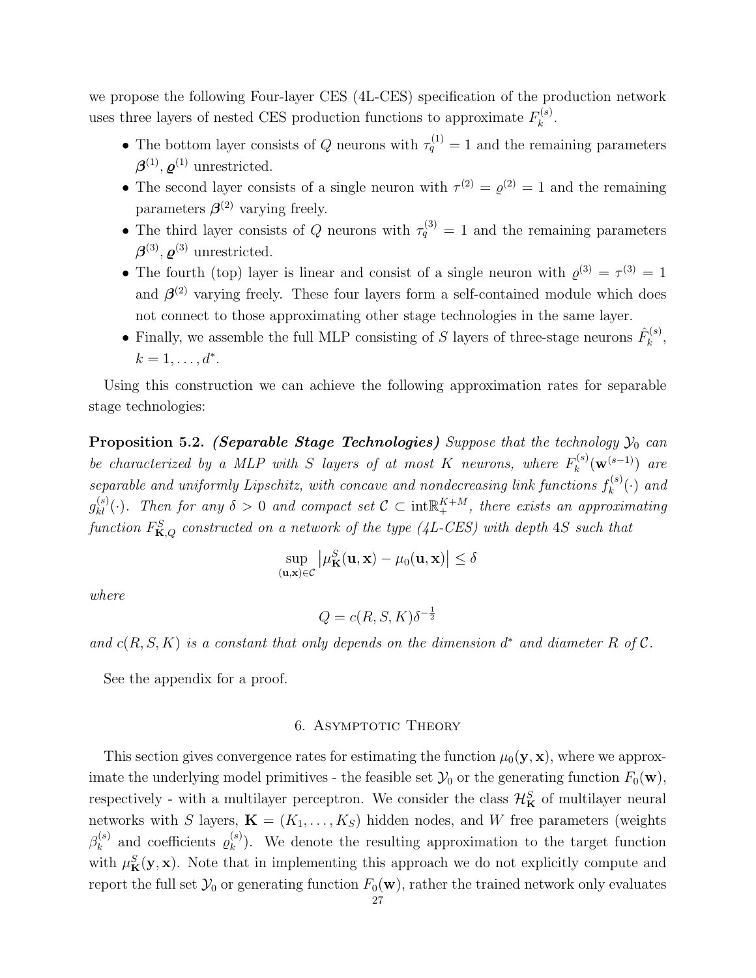we propose the following Four-layer CES (4L-CES) specification of the production network uses three layers of nested CES production functions to approximate  $F_k^{(s)}$  $k^{(s)}$ .

- The bottom layer consists of Q neurons with  $\tau_q^{(1)} = 1$  and the remaining parameters  $\boldsymbol{\beta}^{(1)}$ ,  $\boldsymbol{\varrho}^{(1)}$  unrestricted.
- The second layer consists of a single neuron with  $\tau^{(2)} = \varrho^{(2)} = 1$  and the remaining parameters  $\beta^{(2)}$  varying freely.
- The third layer consists of Q neurons with  $\tau_q^{(3)} = 1$  and the remaining parameters  $\boldsymbol{\beta}^{(3)}$ ,  $\boldsymbol{\varrho}^{(3)}$  unrestricted.
- The fourth (top) layer is linear and consist of a single neuron with  $\varrho^{(3)} = \tau^{(3)} = 1$ and  $\beta^{(2)}$  varying freely. These four layers form a self-contained module which does not connect to those approximating other stage technologies in the same layer.
- Finally, we assemble the full MLP consisting of S layers of three-stage neurons  $\hat{F}_k^{(s)}$  $\frac{1}{k}^{(s)}$  $k = 1, \ldots, d^*$ .

Using this construction we can achieve the following approximation rates for separable stage technologies:

**Proposition 5.2.** (Separable Stage Technologies) Suppose that the technology  $\mathcal{Y}_0$  can be characterized by a MLP with S layers of at most K neurons, where  $F_k^{(s)}$  $\int_k^{\left(s\right)} \left(\mathbf{w}^{\left(s-1\right)}\right)$  are separable and uniformly Lipschitz, with concave and nondecreasing link functions  $f_k^{(s)}$  $\mathcal{C}_k^{(s)}(\cdot)$  and  $g_{kl}^{(s)}(\cdot)$ . Then for any  $\delta > 0$  and compact set  $\mathcal{C} \subset \text{int} \mathbb{R}^{K+M}_+$ , there exists an approximating function  $F_{\mathbf{K},Q}^S$  constructed on a network of the type (4L-CES) with depth 4S such that

$$
\sup_{(\mathbf{u},\mathbf{x})\in\mathcal{C}}\left|\mu_{\mathbf{K}}^{S}(\mathbf{u},\mathbf{x})-\mu_{0}(\mathbf{u},\mathbf{x})\right|\leq\delta
$$

where

$$
Q = c(R, S, K)\delta^{-\frac{1}{2}}
$$

and  $c(R, S, K)$  is a constant that only depends on the dimension  $d^*$  and diameter R of C.

See the appendix for a proof.

# 6. ASYMPTOTIC THEORY

This section gives convergence rates for estimating the function  $\mu_0(\mathbf{y}, \mathbf{x})$ , where we approximate the underlying model primitives - the feasible set  $\mathcal{Y}_0$  or the generating function  $F_0(\mathbf{w})$ , respectively - with a multilayer perceptron. We consider the class  $\mathcal{H}_{\mathbf{K}}^{S}$  of multilayer neural networks with S layers,  $\mathbf{K} = (K_1, \ldots, K_S)$  hidden nodes, and W free parameters (weights  $\beta_k^{(s)}$  $\varrho_k^{(s)}$  and coefficients  $\varrho_k^{(s)}$  $\binom{s}{k}$ . We denote the resulting approximation to the target function with  $\mu_{\mathbf{K}}^{S}(\mathbf{y},\mathbf{x})$ . Note that in implementing this approach we do not explicitly compute and report the full set  $\mathcal{Y}_0$  or generating function  $F_0(\mathbf{w})$ , rather the trained network only evaluates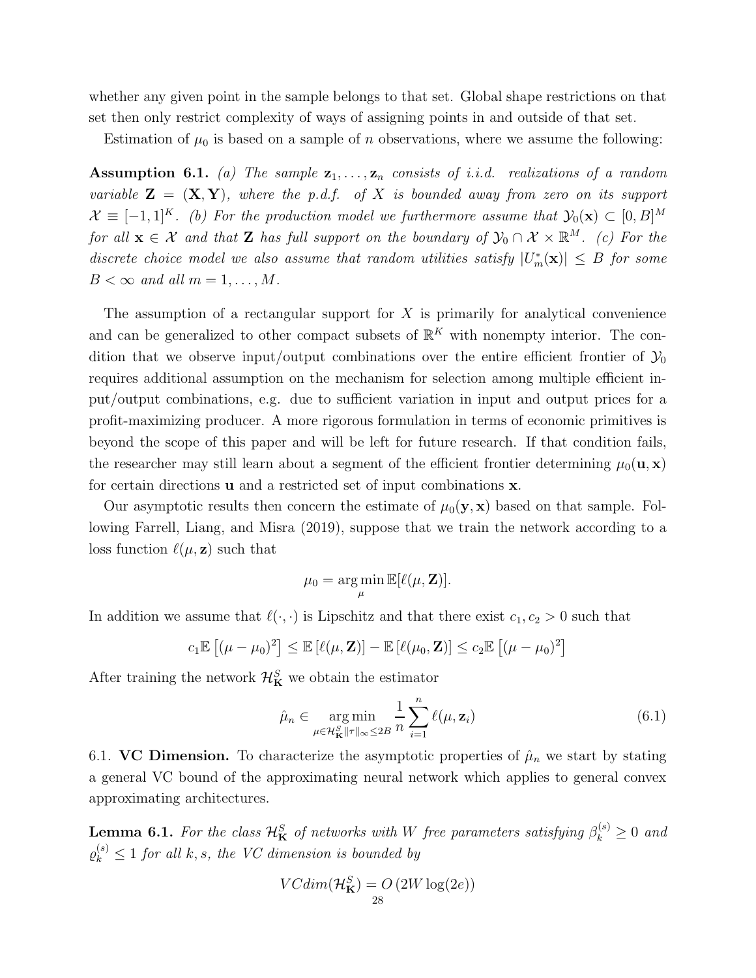whether any given point in the sample belongs to that set. Global shape restrictions on that set then only restrict complexity of ways of assigning points in and outside of that set.

Estimation of  $\mu_0$  is based on a sample of *n* observations, where we assume the following:

**Assumption 6.1.** (a) The sample  $z_1, \ldots, z_n$  consists of i.i.d. realizations of a random variable  $\mathbf{Z} = (\mathbf{X}, \mathbf{Y})$ , where the p.d.f. of X is bounded away from zero on its support  $\mathcal{X} \equiv [-1,1]^K$ . (b) For the production model we furthermore assume that  $\mathcal{Y}_0(\mathbf{x}) \subset [0,B]^M$ for all  $\mathbf{x} \in \mathcal{X}$  and that Z has full support on the boundary of  $\mathcal{Y}_0 \cap \mathcal{X} \times \mathbb{R}^M$ . (c) For the discrete choice model we also assume that random utilities satisfy  $|U_m^*(\mathbf{x})| \leq B$  for some  $B < \infty$  and all  $m = 1, \ldots, M$ .

The assumption of a rectangular support for  $X$  is primarily for analytical convenience and can be generalized to other compact subsets of  $\mathbb{R}^K$  with nonempty interior. The condition that we observe input/output combinations over the entire efficient frontier of  $\mathcal{Y}_0$ requires additional assumption on the mechanism for selection among multiple efficient input/output combinations, e.g. due to sufficient variation in input and output prices for a profit-maximizing producer. A more rigorous formulation in terms of economic primitives is beyond the scope of this paper and will be left for future research. If that condition fails, the researcher may still learn about a segment of the efficient frontier determining  $\mu_0(\mathbf{u}, \mathbf{x})$ for certain directions u and a restricted set of input combinations x.

Our asymptotic results then concern the estimate of  $\mu_0(\mathbf{y}, \mathbf{x})$  based on that sample. Following Farrell, Liang, and Misra (2019), suppose that we train the network according to a loss function  $\ell(\mu, \mathbf{z})$  such that

$$
\mu_0 = \argmin_{\mu} \mathbb{E}[\ell(\mu, \mathbf{Z})].
$$

In addition we assume that  $\ell(\cdot, \cdot)$  is Lipschitz and that there exist  $c_1, c_2 > 0$  such that

$$
c_1 \mathbb{E} \left[ (\mu - \mu_0)^2 \right] \leq \mathbb{E} \left[ \ell(\mu, \mathbf{Z}) \right] - \mathbb{E} \left[ \ell(\mu_0, \mathbf{Z}) \right] \leq c_2 \mathbb{E} \left[ (\mu - \mu_0)^2 \right]
$$

After training the network  $\mathcal{H}_{\mathbf{K}}^{S}$  we obtain the estimator

$$
\hat{\mu}_n \in \underset{\mu \in \mathcal{H}_{\mathbf{K}}^S \|\tau\|_{\infty} \leq 2B}{\arg \min} \frac{1}{n} \sum_{i=1}^n \ell(\mu, \mathbf{z}_i)
$$
\n(6.1)

6.1. VC Dimension. To characterize the asymptotic properties of  $\hat{\mu}_n$  we start by stating a general VC bound of the approximating neural network which applies to general convex approximating architectures.

**Lemma 6.1.** For the class  $\mathcal{H}_{\mathbf{K}}^{S}$  of networks with W free parameters satisfying  $\beta_k^{(s)} \geq 0$  and  $\varrho_k^{(s)} \leq 1$  for all k, s, the VC dimension is bounded by

$$
VCdim(\mathcal{H}_{\mathbf{K}}^{S}) = O(2W \log(2e))
$$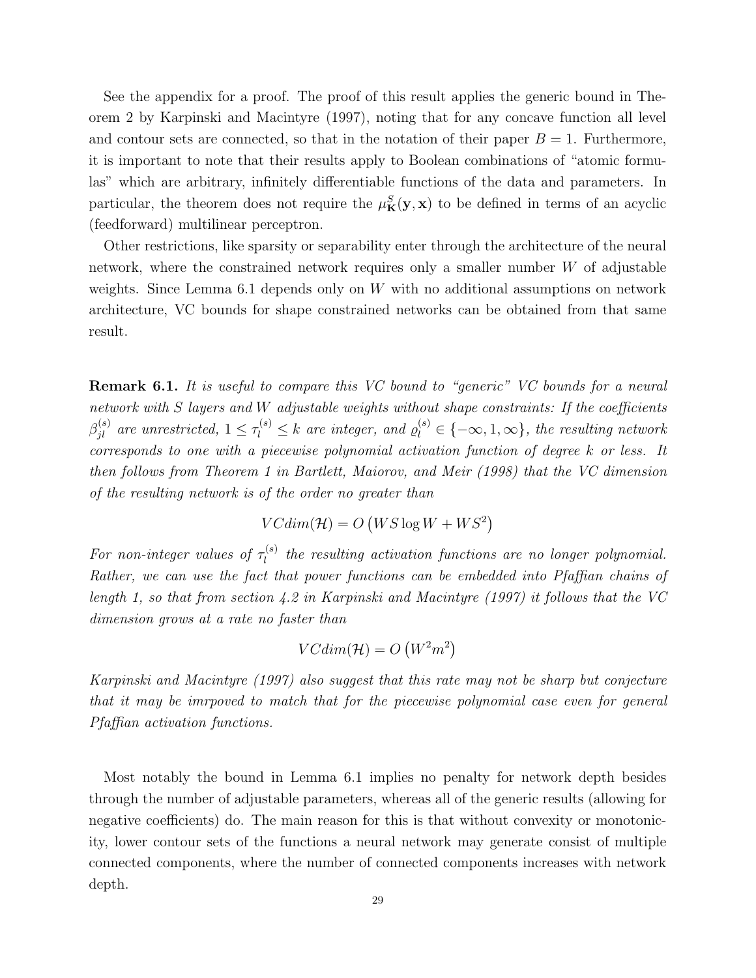See the appendix for a proof. The proof of this result applies the generic bound in Theorem 2 by Karpinski and Macintyre (1997), noting that for any concave function all level and contour sets are connected, so that in the notation of their paper  $B = 1$ . Furthermore, it is important to note that their results apply to Boolean combinations of "atomic formulas" which are arbitrary, infinitely differentiable functions of the data and parameters. In particular, the theorem does not require the  $\mu_{\mathbf{K}}^{S}(\mathbf{y}, \mathbf{x})$  to be defined in terms of an acyclic (feedforward) multilinear perceptron.

Other restrictions, like sparsity or separability enter through the architecture of the neural network, where the constrained network requires only a smaller number  $W$  of adjustable weights. Since Lemma  $6.1$  depends only on W with no additional assumptions on network architecture, VC bounds for shape constrained networks can be obtained from that same result.

**Remark 6.1.** It is useful to compare this VC bound to "generic" VC bounds for a neural network with S layers and W adjustable weights without shape constraints: If the coefficients  $\beta_{jl}^{(s)}$  are unrestricted,  $1 \leq \tau_l^{(s)} \leq k$  are integer, and  $\varrho_l^{(s)} \in \{-\infty, 1, \infty\}$ , the resulting network corresponds to one with a piecewise polynomial activation function of degree k or less. It then follows from Theorem 1 in Bartlett, Maiorov, and Meir (1998) that the VC dimension of the resulting network is of the order no greater than

$$
VCdim(\mathcal{H}) = O\left(WS\log W + WS^2\right)
$$

For non-integer values of  $\tau_l^{(s)}$  $\mathcal{L}_l^{(s)}$  the resulting activation functions are no longer polynomial. Rather, we can use the fact that power functions can be embedded into Pfaffian chains of length 1, so that from section 4.2 in Karpinski and Macintyre (1997) it follows that the VC dimension grows at a rate no faster than

$$
VCdim(\mathcal{H}) = O\left(W^2m^2\right)
$$

Karpinski and Macintyre (1997) also suggest that this rate may not be sharp but conjecture that it may be imrpoved to match that for the piecewise polynomial case even for general Pfaffian activation functions.

Most notably the bound in Lemma 6.1 implies no penalty for network depth besides through the number of adjustable parameters, whereas all of the generic results (allowing for negative coefficients) do. The main reason for this is that without convexity or monotonicity, lower contour sets of the functions a neural network may generate consist of multiple connected components, where the number of connected components increases with network depth.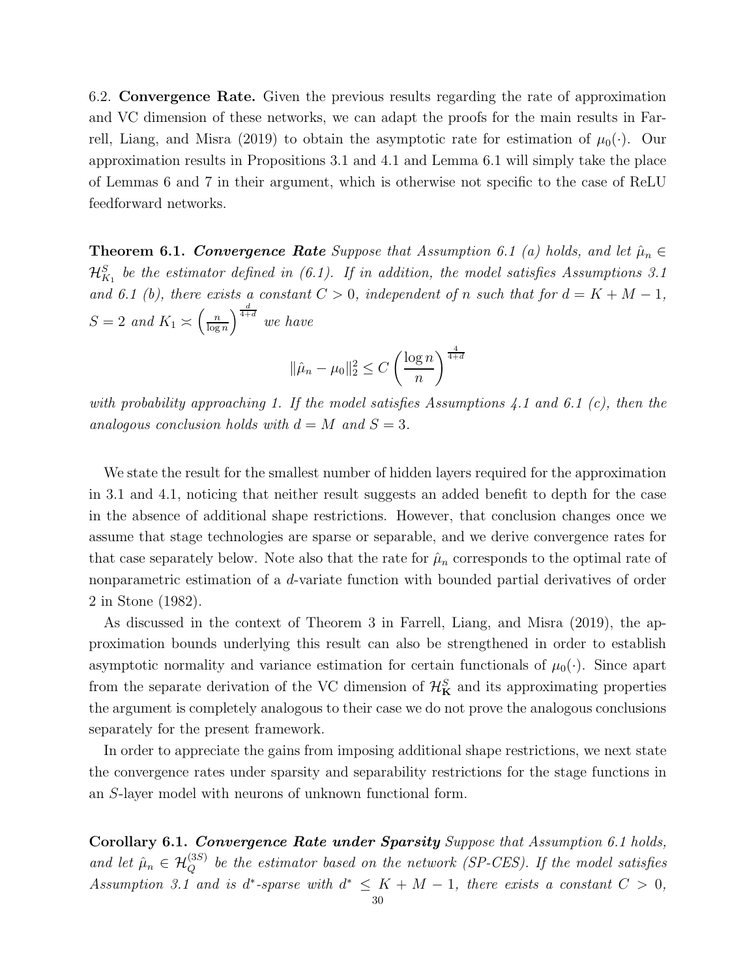6.2. Convergence Rate. Given the previous results regarding the rate of approximation and VC dimension of these networks, we can adapt the proofs for the main results in Farrell, Liang, and Misra (2019) to obtain the asymptotic rate for estimation of  $\mu_0(\cdot)$ . Our approximation results in Propositions 3.1 and 4.1 and Lemma 6.1 will simply take the place of Lemmas 6 and 7 in their argument, which is otherwise not specific to the case of ReLU feedforward networks.

**Theorem 6.1. Convergence Rate** Suppose that Assumption 6.1 (a) holds, and let  $\hat{\mu}_n \in$  ${\cal H}^S_{K_1}$  be the estimator defined in (6.1). If in addition, the model satisfies Assumptions 3.1 and 6.1 (b), there exists a constant  $C > 0$ , independent of n such that for  $d = K + M - 1$ ,  $S=2$  and  $K_1 \asymp \left(\frac{n}{\log n}\right)$  $\frac{n}{\log n}$  and  $\frac{d}{1+d}$  we have

$$
\|\hat{\mu}_n - \mu_0\|_2^2 \le C \left(\frac{\log n}{n}\right)^{\frac{4}{4+d}}
$$

with probability approaching 1. If the model satisfies Assumptions 4.1 and 6.1 (c), then the analogous conclusion holds with  $d = M$  and  $S = 3$ .

We state the result for the smallest number of hidden layers required for the approximation in 3.1 and 4.1, noticing that neither result suggests an added benefit to depth for the case in the absence of additional shape restrictions. However, that conclusion changes once we assume that stage technologies are sparse or separable, and we derive convergence rates for that case separately below. Note also that the rate for  $\hat{\mu}_n$  corresponds to the optimal rate of nonparametric estimation of a d-variate function with bounded partial derivatives of order 2 in Stone (1982).

As discussed in the context of Theorem 3 in Farrell, Liang, and Misra (2019), the approximation bounds underlying this result can also be strengthened in order to establish asymptotic normality and variance estimation for certain functionals of  $\mu_0(\cdot)$ . Since apart from the separate derivation of the VC dimension of  $\mathcal{H}_{\mathbf{K}}^S$  and its approximating properties the argument is completely analogous to their case we do not prove the analogous conclusions separately for the present framework.

In order to appreciate the gains from imposing additional shape restrictions, we next state the convergence rates under sparsity and separability restrictions for the stage functions in an S-layer model with neurons of unknown functional form.

Corollary 6.1. Convergence Rate under Sparsity Suppose that Assumption 6.1 holds, and let  $\hat{\mu}_n \in \mathcal{H}_Q^{(3S)}$  be the estimator based on the network (SP-CES). If the model satisfies Assumption 3.1 and is d<sup>\*</sup>-sparse with  $d^* \leq K + M - 1$ , there exists a constant  $C > 0$ ,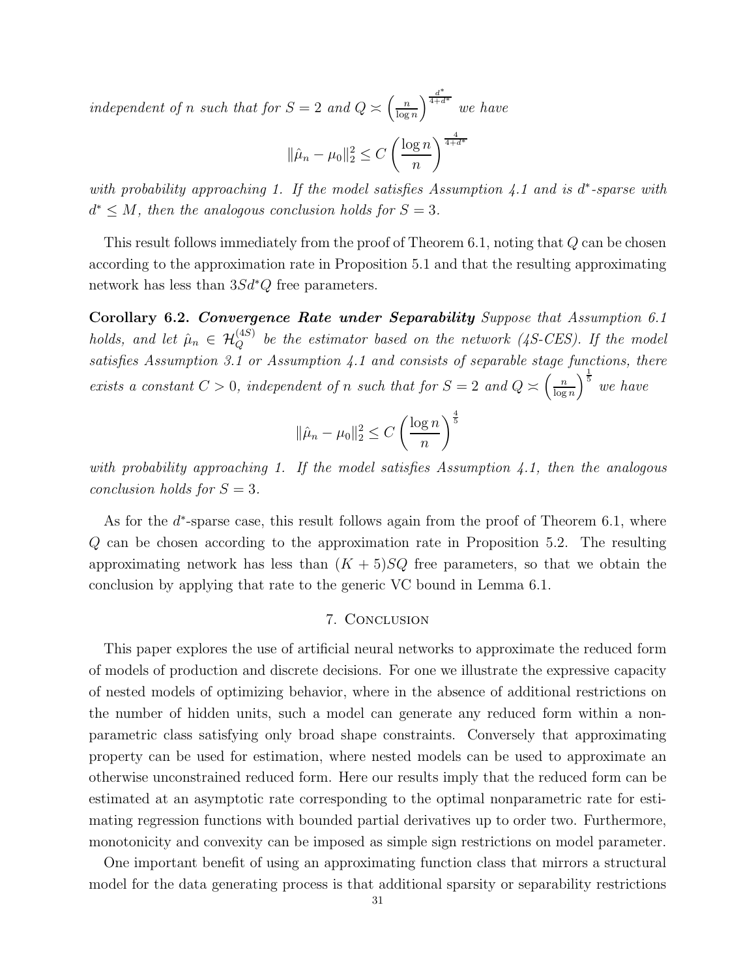independent of n such that for  $S = 2$  and  $Q \approx \left(\frac{n}{\log n}\right)$  $\frac{n}{\log n}$ <sup>d<sup>\*</sup><sub>4+d\*</sub></sup> we have

$$
\|\hat{\mu}_n - \mu_0\|_2^2 \le C\left(\frac{\log n}{n}\right)^{\frac{4}{4+d^*}}
$$

with probability approaching 1. If the model satisfies Assumption  $4.1$  and is d\*-sparse with  $d^* \leq M$ , then the analogous conclusion holds for  $S = 3$ .

This result follows immediately from the proof of Theorem 6.1, noting that Q can be chosen according to the approximation rate in Proposition 5.1 and that the resulting approximating network has less than 3Sd<sup>\*</sup>Q free parameters.

Corollary 6.2. Convergence Rate under Separability Suppose that Assumption 6.1 holds, and let  $\hat{\mu}_n \in \mathcal{H}_Q^{(4S)}$  be the estimator based on the network (4S-CES). If the model satisfies Assumption 3.1 or Assumption 4.1 and consists of separable stage functions, there exists a constant  $C > 0$ , independent of n such that for  $S = 2$  and  $Q \approx \left(\frac{n}{\log n}\right)$  $\left(\frac{n}{\log n}\right)^{\frac{1}{5}}$  we have

$$
\|\hat{\mu}_n - \mu_0\|_2^2 \le C \left(\frac{\log n}{n}\right)^{\frac{4}{5}}
$$

with probability approaching 1. If the model satisfies Assumption 4.1, then the analogous conclusion holds for  $S = 3$ .

As for the  $d^*$ -sparse case, this result follows again from the proof of Theorem 6.1, where Q can be chosen according to the approximation rate in Proposition 5.2. The resulting approximating network has less than  $(K + 5)SQ$  free parameters, so that we obtain the conclusion by applying that rate to the generic VC bound in Lemma 6.1.

## 7. Conclusion

This paper explores the use of artificial neural networks to approximate the reduced form of models of production and discrete decisions. For one we illustrate the expressive capacity of nested models of optimizing behavior, where in the absence of additional restrictions on the number of hidden units, such a model can generate any reduced form within a nonparametric class satisfying only broad shape constraints. Conversely that approximating property can be used for estimation, where nested models can be used to approximate an otherwise unconstrained reduced form. Here our results imply that the reduced form can be estimated at an asymptotic rate corresponding to the optimal nonparametric rate for estimating regression functions with bounded partial derivatives up to order two. Furthermore, monotonicity and convexity can be imposed as simple sign restrictions on model parameter.

One important benefit of using an approximating function class that mirrors a structural model for the data generating process is that additional sparsity or separability restrictions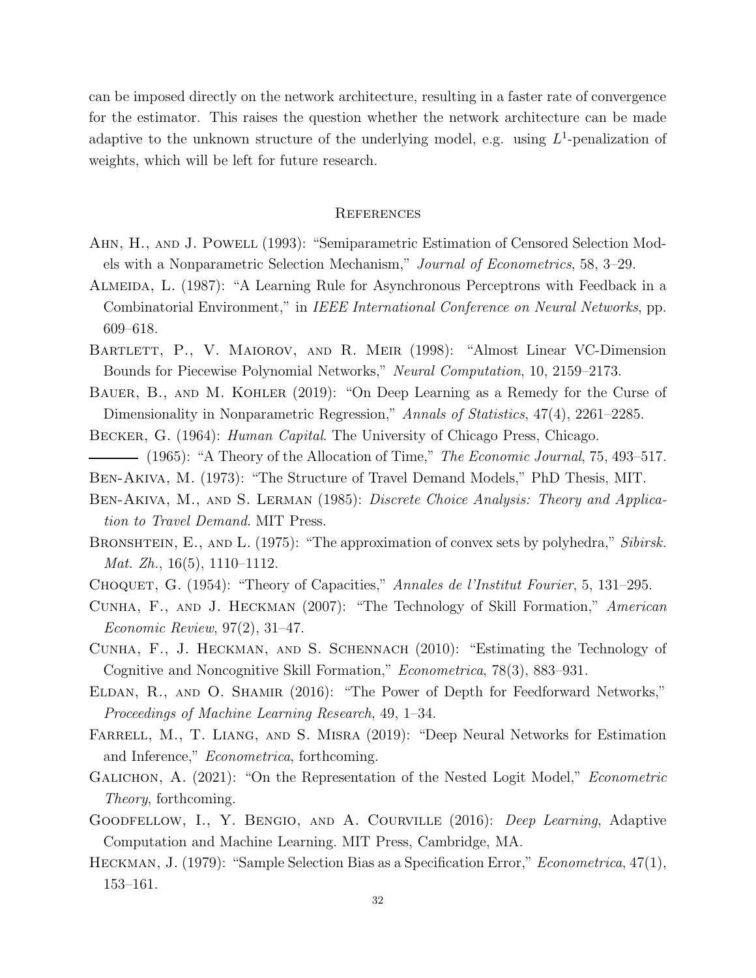can be imposed directly on the network architecture, resulting in a faster rate of convergence for the estimator. This raises the question whether the network architecture can be made adaptive to the unknown structure of the underlying model, e.g. using  $L^1$ -penalization of weights, which will be left for future research.

## **REFERENCES**

- Ahn, H., and J. Powell (1993): "Semiparametric Estimation of Censored Selection Models with a Nonparametric Selection Mechanism," Journal of Econometrics, 58, 3–29.
- Almeida, L. (1987): "A Learning Rule for Asynchronous Perceptrons with Feedback in a Combinatorial Environment," in IEEE International Conference on Neural Networks, pp. 609–618.
- Bartlett, P., V. Maiorov, and R. Meir (1998): "Almost Linear VC-Dimension Bounds for Piecewise Polynomial Networks," Neural Computation, 10, 2159–2173.
- BAUER, B., AND M. KOHLER (2019): "On Deep Learning as a Remedy for the Curse of Dimensionality in Nonparametric Regression," Annals of Statistics, 47(4), 2261–2285.
- Becker, G. (1964): Human Capital. The University of Chicago Press, Chicago.
- $-$  (1965): "A Theory of the Allocation of Time," The Economic Journal, 75, 493–517.
- Ben-Akiva, M. (1973): "The Structure of Travel Demand Models," PhD Thesis, MIT.
- BEN-AKIVA, M., AND S. LERMAN (1985): *Discrete Choice Analysis: Theory and Applica*tion to Travel Demand. MIT Press.
- BRONSHTEIN, E., AND L. (1975): "The approximation of convex sets by polyhedra," Sibirsk. *Mat. Zh.*, 16(5), 1110–1112.
- CHOQUET, G. (1954): "Theory of Capacities," Annales de l'Institut Fourier, 5, 131–295.
- Cunha, F., and J. Heckman (2007): "The Technology of Skill Formation," American Economic Review, 97(2), 31–47.
- Cunha, F., J. Heckman, and S. Schennach (2010): "Estimating the Technology of Cognitive and Noncognitive Skill Formation," Econometrica, 78(3), 883–931.
- ELDAN, R., AND O. SHAMIR (2016): "The Power of Depth for Feedforward Networks," Proceedings of Machine Learning Research, 49, 1–34.
- Farrell, M., T. Liang, and S. Misra (2019): "Deep Neural Networks for Estimation and Inference," Econometrica, forthcoming.
- GALICHON, A. (2021): "On the Representation of the Nested Logit Model," *Econometric* Theory, forthcoming.
- GOODFELLOW, I., Y. BENGIO, AND A. COURVILLE (2016): *Deep Learning*, Adaptive Computation and Machine Learning. MIT Press, Cambridge, MA.
- HECKMAN, J. (1979): "Sample Selection Bias as a Specification Error," *Econometrica*, 47(1), 153–161.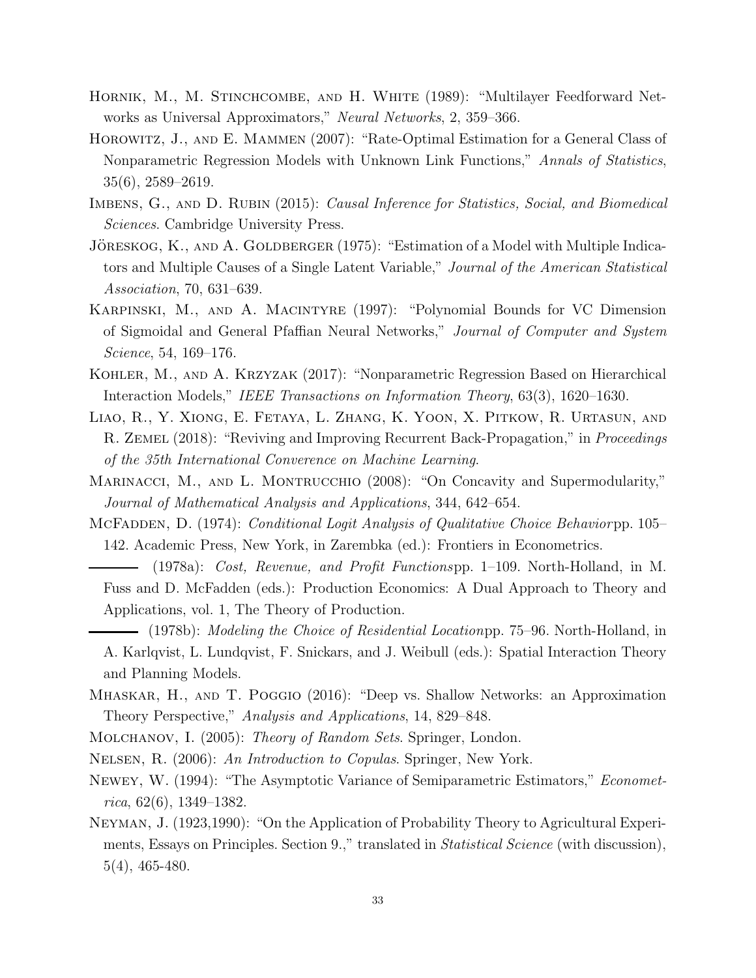- HORNIK, M., M. STINCHCOMBE, AND H. WHITE (1989): "Multilayer Feedforward Networks as Universal Approximators," Neural Networks, 2, 359–366.
- Horowitz, J., and E. Mammen (2007): "Rate-Optimal Estimation for a General Class of Nonparametric Regression Models with Unknown Link Functions," Annals of Statistics, 35(6), 2589–2619.
- IMBENS, G., AND D. RUBIN (2015): Causal Inference for Statistics, Social, and Biomedical Sciences. Cambridge University Press.
- JÖRESKOG, K., AND A. GOLDBERGER (1975): "Estimation of a Model with Multiple Indicators and Multiple Causes of a Single Latent Variable," Journal of the American Statistical Association, 70, 631–639.
- Karpinski, M., and A. Macintyre (1997): "Polynomial Bounds for VC Dimension of Sigmoidal and General Pfaffian Neural Networks," Journal of Computer and System Science, 54, 169–176.
- Kohler, M., and A. Krzyzak (2017): "Nonparametric Regression Based on Hierarchical Interaction Models," IEEE Transactions on Information Theory, 63(3), 1620–1630.
- Liao, R., Y. Xiong, E. Fetaya, L. Zhang, K. Yoon, X. Pitkow, R. Urtasun, and R. ZEMEL (2018): "Reviving and Improving Recurrent Back-Propagation," in *Proceedings* of the 35th International Converence on Machine Learning.
- MARINACCI, M., AND L. MONTRUCCHIO (2008): "On Concavity and Supermodularity," Journal of Mathematical Analysis and Applications, 344, 642–654.
- MCFADDEN, D. (1974): *Conditional Logit Analysis of Qualitative Choice Behaviorpp.* 105– 142. Academic Press, New York, in Zarembka (ed.): Frontiers in Econometrics.
	- (1978a): Cost, Revenue, and Profit Functionspp. 1–109. North-Holland, in M. Fuss and D. McFadden (eds.): Production Economics: A Dual Approach to Theory and Applications, vol. 1, The Theory of Production.
	- $-$  (1978b): *Modeling the Choice of Residential Locationpp.* 75–96. North-Holland, in A. Karlqvist, L. Lundqvist, F. Snickars, and J. Weibull (eds.): Spatial Interaction Theory and Planning Models.
- Mhaskar, H., and T. Poggio (2016): "Deep vs. Shallow Networks: an Approximation Theory Perspective," Analysis and Applications, 14, 829–848.
- MOLCHANOV, I. (2005): *Theory of Random Sets.* Springer, London.
- Nelsen, R. (2006): An Introduction to Copulas. Springer, New York.
- Newey, W. (1994): "The Asymptotic Variance of Semiparametric Estimators," Economet $rica, 62(6), 1349-1382.$
- Neyman, J. (1923,1990): "On the Application of Probability Theory to Agricultural Experiments, Essays on Principles. Section 9.," translated in *Statistical Science* (with discussion), 5(4), 465-480.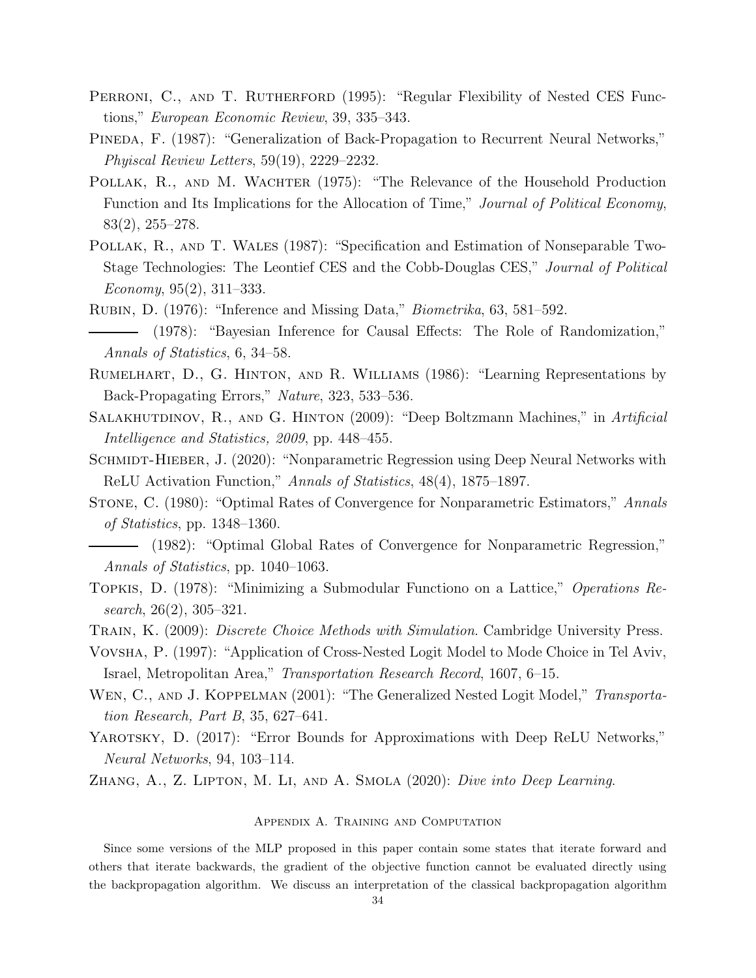- PERRONI, C., AND T. RUTHERFORD (1995): "Regular Flexibility of Nested CES Functions," European Economic Review, 39, 335–343.
- Pineda, F. (1987): "Generalization of Back-Propagation to Recurrent Neural Networks," Phyiscal Review Letters, 59(19), 2229–2232.
- POLLAK, R., AND M. WACHTER (1975): "The Relevance of the Household Production Function and Its Implications for the Allocation of Time," Journal of Political Economy, 83(2), 255–278.
- Pollak, R., and T. Wales (1987): "Specification and Estimation of Nonseparable Two-Stage Technologies: The Leontief CES and the Cobb-Douglas CES," Journal of Political Economy,  $95(2)$ ,  $311-333$ .
- Rubin, D. (1976): "Inference and Missing Data," Biometrika, 63, 581–592. (1978): "Bayesian Inference for Causal Effects: The Role of Randomization," Annals of Statistics, 6, 34–58.
- Rumelhart, D., G. Hinton, and R. Williams (1986): "Learning Representations by Back-Propagating Errors," Nature, 323, 533–536.
- SALAKHUTDINOV, R., AND G. HINTON (2009): "Deep Boltzmann Machines," in Artificial Intelligence and Statistics, 2009, pp. 448–455.
- SCHMIDT-HIEBER, J. (2020): "Nonparametric Regression using Deep Neural Networks with ReLU Activation Function," Annals of Statistics, 48(4), 1875–1897.
- Stone, C. (1980): "Optimal Rates of Convergence for Nonparametric Estimators," Annals of Statistics, pp. 1348–1360.
- (1982): "Optimal Global Rates of Convergence for Nonparametric Regression," Annals of Statistics, pp. 1040–1063.
- Topkis, D. (1978): "Minimizing a Submodular Functiono on a Lattice," Operations Research, 26(2), 305–321.

TRAIN, K. (2009): *Discrete Choice Methods with Simulation*. Cambridge University Press.

- Vovsha, P. (1997): "Application of Cross-Nested Logit Model to Mode Choice in Tel Aviv, Israel, Metropolitan Area," Transportation Research Record, 1607, 6–15.
- WEN, C., AND J. KOPPELMAN (2001): "The Generalized Nested Logit Model," Transportation Research, Part B, 35, 627–641.
- YAROTSKY, D. (2017): "Error Bounds for Approximations with Deep ReLU Networks," Neural Networks, 94, 103–114.

Zhang, A., Z. Lipton, M. Li, and A. Smola (2020): Dive into Deep Learning.

#### Appendix A. Training and Computation

Since some versions of the MLP proposed in this paper contain some states that iterate forward and others that iterate backwards, the gradient of the objective function cannot be evaluated directly using the backpropagation algorithm. We discuss an interpretation of the classical backpropagation algorithm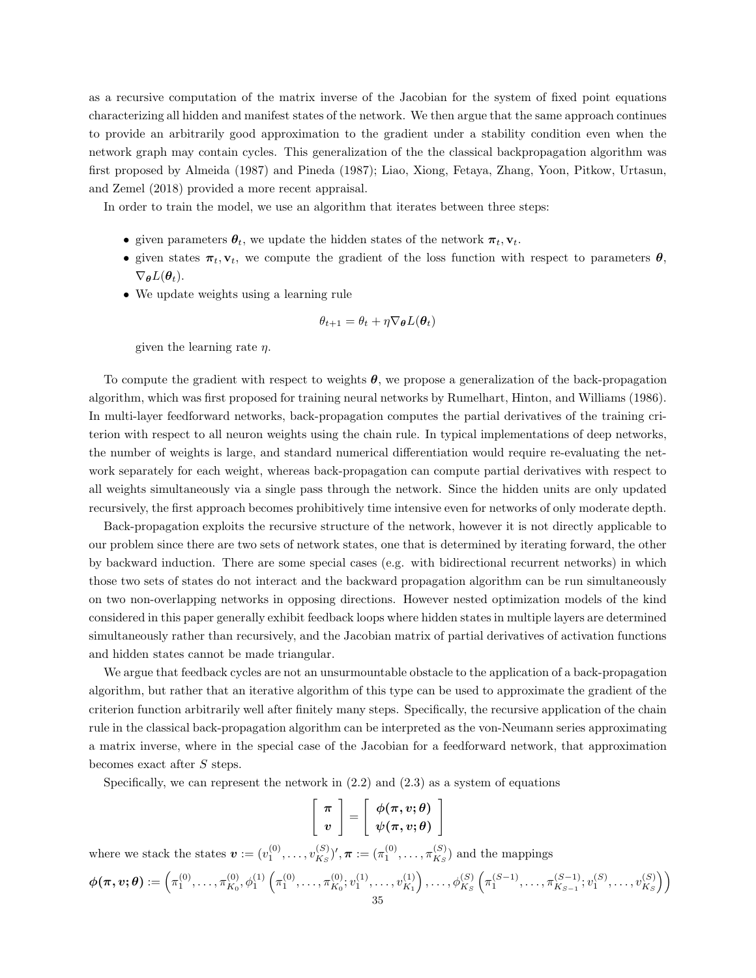as a recursive computation of the matrix inverse of the Jacobian for the system of fixed point equations characterizing all hidden and manifest states of the network. We then argue that the same approach continues to provide an arbitrarily good approximation to the gradient under a stability condition even when the network graph may contain cycles. This generalization of the the classical backpropagation algorithm was first proposed by Almeida (1987) and Pineda (1987); Liao, Xiong, Fetaya, Zhang, Yoon, Pitkow, Urtasun, and Zemel (2018) provided a more recent appraisal.

In order to train the model, we use an algorithm that iterates between three steps:

- given parameters  $\theta_t$ , we update the hidden states of the network  $\pi_t$ ,  $v_t$ .
- given states  $\pi_t$ ,  $\mathbf{v}_t$ , we compute the gradient of the loss function with respect to parameters  $\theta$ ,  $\nabla_{\boldsymbol{\theta}}L(\boldsymbol{\theta}_t).$
- We update weights using a learning rule

$$
\theta_{t+1} = \theta_t + \eta \nabla_{\boldsymbol{\theta}} L(\boldsymbol{\theta}_t)
$$

given the learning rate  $\eta$ .

To compute the gradient with respect to weights  $\theta$ , we propose a generalization of the back-propagation algorithm, which was first proposed for training neural networks by Rumelhart, Hinton, and Williams (1986). In multi-layer feedforward networks, back-propagation computes the partial derivatives of the training criterion with respect to all neuron weights using the chain rule. In typical implementations of deep networks, the number of weights is large, and standard numerical differentiation would require re-evaluating the network separately for each weight, whereas back-propagation can compute partial derivatives with respect to all weights simultaneously via a single pass through the network. Since the hidden units are only updated recursively, the first approach becomes prohibitively time intensive even for networks of only moderate depth.

Back-propagation exploits the recursive structure of the network, however it is not directly applicable to our problem since there are two sets of network states, one that is determined by iterating forward, the other by backward induction. There are some special cases (e.g. with bidirectional recurrent networks) in which those two sets of states do not interact and the backward propagation algorithm can be run simultaneously on two non-overlapping networks in opposing directions. However nested optimization models of the kind considered in this paper generally exhibit feedback loops where hidden states in multiple layers are determined simultaneously rather than recursively, and the Jacobian matrix of partial derivatives of activation functions and hidden states cannot be made triangular.

We argue that feedback cycles are not an unsurmountable obstacle to the application of a back-propagation algorithm, but rather that an iterative algorithm of this type can be used to approximate the gradient of the criterion function arbitrarily well after finitely many steps. Specifically, the recursive application of the chain rule in the classical back-propagation algorithm can be interpreted as the von-Neumann series approximating a matrix inverse, where in the special case of the Jacobian for a feedforward network, that approximation becomes exact after S steps.

Specifically, we can represent the network in  $(2.2)$  and  $(2.3)$  as a system of equations

$$
\left[\begin{array}{c}\pi\\v\end{array}\right]=\left[\begin{array}{c}\phi(\pi,v;\theta)\\\psi(\pi,v;\theta)\end{array}\right]
$$

where we stack the states  $\boldsymbol{v} := (v_1^{(0)}, \dots, v_{K_S}^{(S)})$  $_{K_S}^{(S)})', \bm{\pi} := (\pi_1^{(0)}, \dots, \pi_{K_S}^{(S)})$  $\binom{S}{K_S}$  and the mappings

$$
\boldsymbol{\phi}(\boldsymbol{\pi}, \boldsymbol{v}; \boldsymbol{\theta}) := \left(\pi_1^{(0)}, \ldots, \pi_{K_0}^{(0)}, \phi_1^{(1)}\left(\pi_1^{(0)}, \ldots, \pi_{K_0}^{(0)}; v_1^{(1)}, \ldots, v_{K_1}^{(1)}\right), \ldots, \phi_{K_S}^{(S)}\left(\pi_1^{(S-1)}, \ldots, \pi_{K_{S-1}}^{(S-1)}; v_1^{(S)}, \ldots, v_{K_S}^{(S)}\right)\right)
$$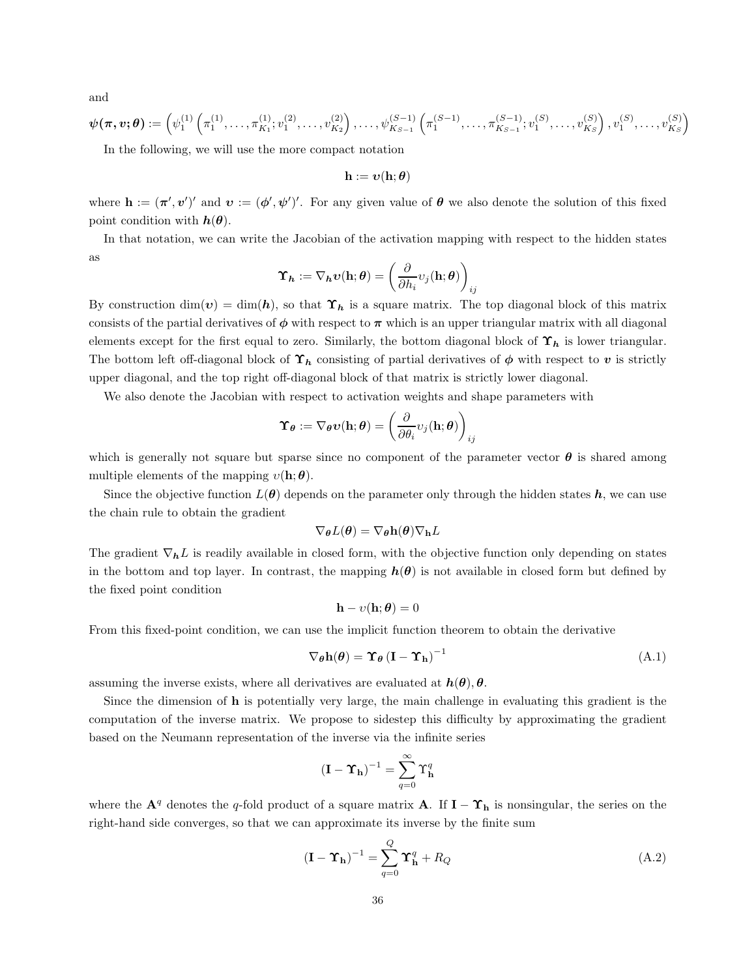and

$$
\boldsymbol{\psi}(\boldsymbol{\pi}, \boldsymbol{v}; \boldsymbol{\theta}) := \left( \psi_1^{(1)} \left( \pi_1^{(1)}, \ldots, \pi_{K_1}^{(1)}; v_1^{(2)}, \ldots, v_{K_2}^{(2)} \right), \ldots, \psi_{K_{S-1}}^{(S-1)} \left( \pi_1^{(S-1)}, \ldots, \pi_{K_{S-1}}^{(S-1)}; v_1^{(S)}, \ldots, v_{K_S}^{(S)} \right), v_1^{(S)}, \ldots, v_{K_S}^{(S)} \right)
$$

In the following, we will use the more compact notation

 $\mathbf{h} := \boldsymbol{v}(\mathbf{h}; \boldsymbol{\theta})$ 

where  $\mathbf{h} := (\pi', v')'$  and  $v := (\phi', \psi')'$ . For any given value of  $\theta$  we also denote the solution of this fixed point condition with  $h(\theta)$ .

In that notation, we can write the Jacobian of the activation mapping with respect to the hidden states as

$$
\boldsymbol{\Upsilon}_{\boldsymbol{h}}:=\nabla_{\boldsymbol{h}}\boldsymbol{v}(\boldsymbol{\rm h};\boldsymbol{\theta})=\left(\frac{\partial}{\partial h_i}v_j(\boldsymbol{\rm h};\boldsymbol{\theta})\right)_{ij}
$$

By construction  $\dim(v) = \dim(h)$ , so that  $\Upsilon_h$  is a square matrix. The top diagonal block of this matrix consists of the partial derivatives of  $\phi$  with respect to  $\pi$  which is an upper triangular matrix with all diagonal elements except for the first equal to zero. Similarly, the bottom diagonal block of  $\Upsilon_h$  is lower triangular. The bottom left off-diagonal block of  $\Upsilon_h$  consisting of partial derivatives of  $\phi$  with respect to v is strictly upper diagonal, and the top right off-diagonal block of that matrix is strictly lower diagonal.

We also denote the Jacobian with respect to activation weights and shape parameters with

$$
\boldsymbol{\Upsilon}_{\boldsymbol{\theta}} := \nabla_{\boldsymbol{\theta}} \boldsymbol{v}(\mathbf{h}; \boldsymbol{\theta}) = \left( \frac{\partial}{\partial \theta_i} v_j(\mathbf{h}; \boldsymbol{\theta}) \right)_{ij}
$$

which is generally not square but sparse since no component of the parameter vector  $\theta$  is shared among multiple elements of the mapping  $v(\mathbf{h}; \theta)$ .

Since the objective function  $L(\theta)$  depends on the parameter only through the hidden states  $h$ , we can use the chain rule to obtain the gradient

$$
\nabla_{\boldsymbol{\theta}}L(\boldsymbol{\theta}) = \nabla_{\boldsymbol{\theta}}\mathbf{h}(\boldsymbol{\theta})\nabla_{\mathbf{h}}L
$$

The gradient  $\nabla_h L$  is readily available in closed form, with the objective function only depending on states in the bottom and top layer. In contrast, the mapping  $h(\theta)$  is not available in closed form but defined by the fixed point condition

$$
\mathbf{h} - \upsilon(\mathbf{h}; \boldsymbol{\theta}) = 0
$$

From this fixed-point condition, we can use the implicit function theorem to obtain the derivative

$$
\nabla_{\theta} \mathbf{h}(\theta) = \Upsilon_{\theta} \left( \mathbf{I} - \Upsilon_{\mathbf{h}} \right)^{-1} \tag{A.1}
$$

assuming the inverse exists, where all derivatives are evaluated at  $h(\theta), \theta$ .

Since the dimension of h is potentially very large, the main challenge in evaluating this gradient is the computation of the inverse matrix. We propose to sidestep this difficulty by approximating the gradient based on the Neumann representation of the inverse via the infinite series

$$
\left(\mathbf{I}-\boldsymbol{\Upsilon}_{\mathbf{h}}\right)^{-1}=\sum_{q=0}^{\infty}\Upsilon_{\mathbf{h}}^{q}
$$

where the  $\mathbf{A}^q$  denotes the q-fold product of a square matrix  $\mathbf{A}$ . If  $\mathbf{I} - \Upsilon_{\mathbf{h}}$  is nonsingular, the series on the right-hand side converges, so that we can approximate its inverse by the finite sum

$$
(\mathbf{I} - \mathbf{\Upsilon}_{\mathbf{h}})^{-1} = \sum_{q=0}^{Q} \mathbf{\Upsilon}_{\mathbf{h}}^{q} + R_{Q}
$$
(A.2)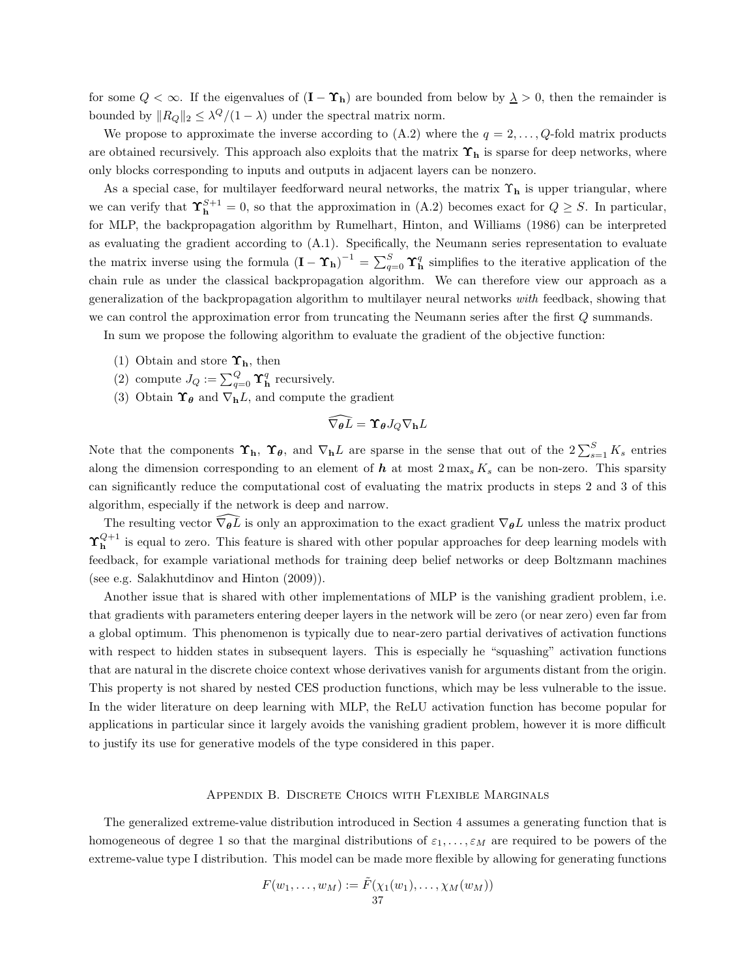for some  $Q < \infty$ . If the eigenvalues of  $(I - \Upsilon_h)$  are bounded from below by  $\lambda > 0$ , then the remainder is bounded by  $||R_Q||_2 \leq \lambda^Q/(1-\lambda)$  under the spectral matrix norm.

We propose to approximate the inverse according to  $(A.2)$  where the  $q = 2, \ldots, Q$ -fold matrix products are obtained recursively. This approach also exploits that the matrix  $\Upsilon_h$  is sparse for deep networks, where only blocks corresponding to inputs and outputs in adjacent layers can be nonzero.

As a special case, for multilayer feedforward neural networks, the matrix  $\Upsilon_h$  is upper triangular, where we can verify that  $\Upsilon_{h}^{S+1} = 0$ , so that the approximation in (A.2) becomes exact for  $Q \geq S$ . In particular, for MLP, the backpropagation algorithm by Rumelhart, Hinton, and Williams (1986) can be interpreted as evaluating the gradient according to (A.1). Specifically, the Neumann series representation to evaluate the matrix inverse using the formula  $(I - \Upsilon_h)^{-1} = \sum_{q=0}^{S} \Upsilon_h^q$  simplifies to the iterative application of the chain rule as under the classical backpropagation algorithm. We can therefore view our approach as a generalization of the backpropagation algorithm to multilayer neural networks with feedback, showing that we can control the approximation error from truncating the Neumann series after the first Q summands.

In sum we propose the following algorithm to evaluate the gradient of the objective function:

- (1) Obtain and store  $\Upsilon_h$ , then
- (2) compute  $J_Q := \sum_{q=0}^Q \Upsilon^q_{\mathbf{h}}$  recursively.
- (3) Obtain  $\Upsilon_{\theta}$  and  $\nabla_{h}L$ , and compute the gradient

$$
\widehat{\nabla_{{\bm{\theta}}}L} = \Upsilon_{{\bm{\theta}}} J_Q \nabla_{{\bf h}}L
$$

Note that the components  $\Upsilon_h$ ,  $\Upsilon_\theta$ , and  $\nabla_h L$  are sparse in the sense that out of the  $2\sum_{s=1}^S K_s$  entries along the dimension corresponding to an element of  $h$  at most  $2 \max_s K_s$  can be non-zero. This sparsity can significantly reduce the computational cost of evaluating the matrix products in steps 2 and 3 of this algorithm, especially if the network is deep and narrow.

The resulting vector  $\widehat{\nabla_{\theta}L}$  is only an approximation to the exact gradient  $\nabla_{\theta}L$  unless the matrix product  $\Upsilon_h^{Q+1}$  is equal to zero. This feature is shared with other popular approaches for deep learning models with feedback, for example variational methods for training deep belief networks or deep Boltzmann machines (see e.g. Salakhutdinov and Hinton (2009)).

Another issue that is shared with other implementations of MLP is the vanishing gradient problem, i.e. that gradients with parameters entering deeper layers in the network will be zero (or near zero) even far from a global optimum. This phenomenon is typically due to near-zero partial derivatives of activation functions with respect to hidden states in subsequent layers. This is especially he "squashing" activation functions that are natural in the discrete choice context whose derivatives vanish for arguments distant from the origin. This property is not shared by nested CES production functions, which may be less vulnerable to the issue. In the wider literature on deep learning with MLP, the ReLU activation function has become popular for applications in particular since it largely avoids the vanishing gradient problem, however it is more difficult to justify its use for generative models of the type considered in this paper.

#### Appendix B. Discrete Choics with Flexible Marginals

The generalized extreme-value distribution introduced in Section 4 assumes a generating function that is homogeneous of degree 1 so that the marginal distributions of  $\varepsilon_1, \ldots, \varepsilon_M$  are required to be powers of the extreme-value type I distribution. This model can be made more flexible by allowing for generating functions

$$
F(w_1,\ldots,w_M):=\tilde{F}(\chi_1(w_1),\ldots,\chi_M(w_M))
$$
  
37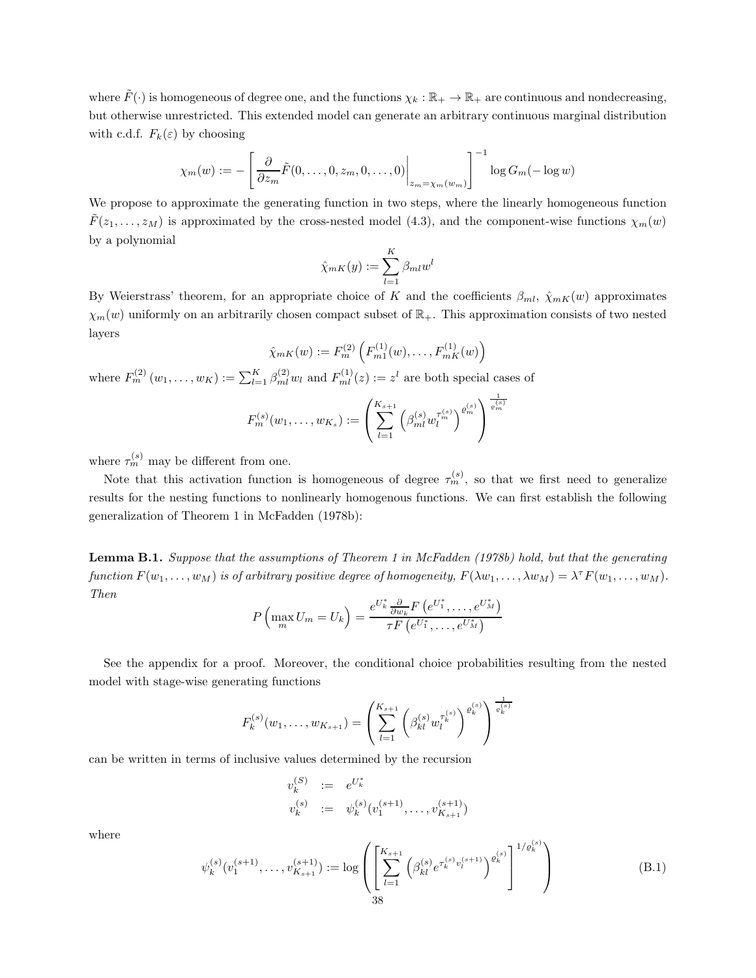where  $\tilde{F}(\cdot)$  is homogeneous of degree one, and the functions  $\chi_k : \mathbb{R}_+ \to \mathbb{R}_+$  are continuous and nondecreasing, but otherwise unrestricted. This extended model can generate an arbitrary continuous marginal distribution with c.d.f.  $F_k(\varepsilon)$  by choosing

$$
\chi_m(w) := -\left[\left.\frac{\partial}{\partial z_m}\tilde{F}(0,\ldots,0,z_m,0,\ldots,0)\right|_{z_m=\chi_m(w_m)}\right]^{-1}\log G_m(-\log w)
$$

We propose to approximate the generating function in two steps, where the linearly homogeneous function  $\tilde{F}(z_1,\ldots,z_M)$  is approximated by the cross-nested model (4.3), and the component-wise functions  $\chi_m(w)$ by a polynomial

$$
\hat{\chi}_{mK}(y) := \sum_{l=1}^{K} \beta_{ml} w^l
$$

By Weierstrass' theorem, for an appropriate choice of K and the coefficients  $\beta_{ml}$ ,  $\hat{\chi}_{mK}(w)$  approximates  $\chi_m(w)$  uniformly on an arbitrarily chosen compact subset of  $\mathbb{R}_+$ . This approximation consists of two nested layers

$$
\hat{\chi}_{mK}(w) := F_m^{(2)}\left(F_{m1}^{(1)}(w), \ldots, F_{mK}^{(1)}(w)\right)
$$

where  $F_m^{(2)}(w_1,\ldots,w_K) := \sum_{l=1}^K \beta_{ml}^{(2)} w_l$  and  $F_{ml}^{(1)}(z) := z^l$  are both special cases of

$$
F_m^{(s)}(w_1, \ldots, w_{K_s}) := \left(\sum_{l=1}^{K_{s+1}} \left(\beta_{ml}^{(s)} w_l^{\tau_m^{(s)}}\right)^{\varrho_m^{(s)}}\right)^{\frac{1}{\varrho_m^{(s)}}}
$$

where  $\tau_m^{(s)}$  may be different from one.

Note that this activation function is homogeneous of degree  $\tau_m^{(s)}$ , so that we first need to generalize results for the nesting functions to nonlinearly homogenous functions. We can first establish the following generalization of Theorem 1 in McFadden (1978b):

Lemma B.1. Suppose that the assumptions of Theorem 1 in McFadden (1978b) hold, but that the generating function  $F(w_1, \ldots, w_M)$  is of arbitrary positive degree of homogeneity,  $F(\lambda w_1, \ldots, \lambda w_M) = \lambda^{\tau} F(w_1, \ldots, w_M)$ . Then ∗ ∗ ∗

$$
P\left(\max_m U_m=U_k\right)=\frac{e^{U_k^*}\frac{\partial}{\partial w_k}F\left(e^{U_1^*},\ldots,e^{U_M^*}\right)}{\tau F\left(e^{U_1^*},\ldots,e^{U_M^*}\right)}
$$

See the appendix for a proof. Moreover, the conditional choice probabilities resulting from the nested model with stage-wise generating functions

$$
F_k^{(s)}(w_1,\ldots,w_{K_{s+1}}) = \left(\sum_{l=1}^{K_{s+1}} \left(\beta_{kl}^{(s)} w_l^{\tau_k^{(s)}}\right)^{\varrho_k^{(s)}}\right)^{\frac{1}{\varrho_k^{(s)}}}
$$

can be written in terms of inclusive values determined by the recursion

$$
v_k^{(S)} := e^{U_k^*}
$$
  
\n
$$
v_k^{(s)} := \psi_k^{(s)}(v_1^{(s+1)}, \dots, v_{K_{s+1}}^{(s+1)})
$$

where

$$
\psi_k^{(s)}(v_1^{(s+1)}, \dots, v_{K_{s+1}}^{(s+1)}) := \log \left( \left[ \sum_{l=1}^{K_{s+1}} \left( \beta_{kl}^{(s)} e^{\tau_k^{(s)} v_l^{(s+1)}} \right)^{\varrho_k^{(s)}} \right]^{1/\varrho_k^{(s)}} \right)
$$
(B.1)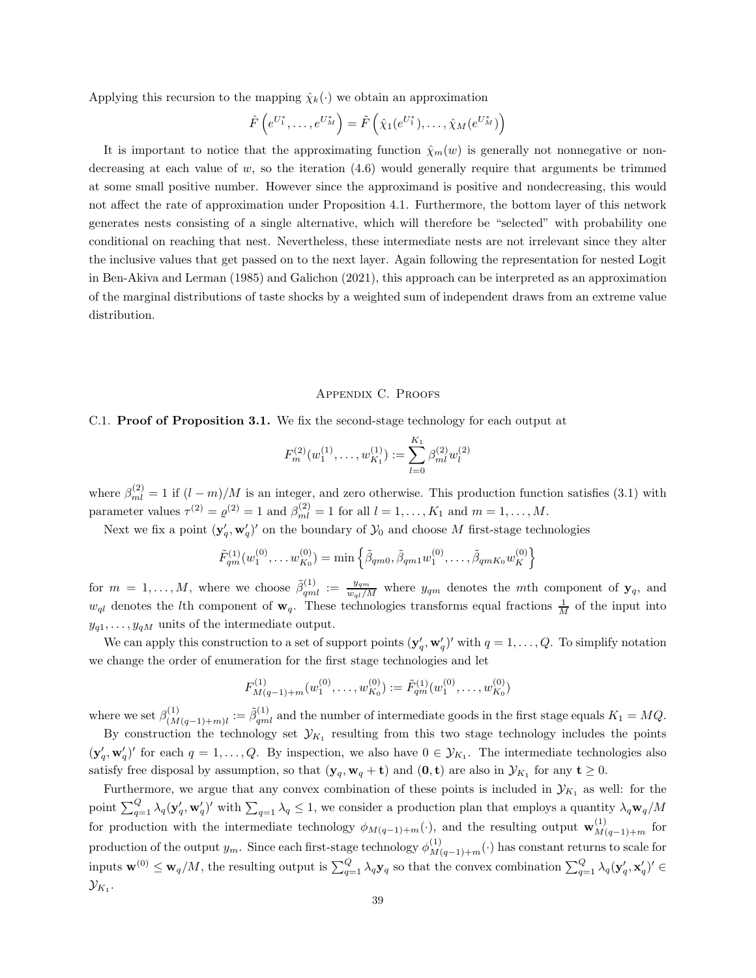Applying this recursion to the mapping  $\hat{\chi}_k(\cdot)$  we obtain an approximation

$$
\hat{F}\left(e^{U_1^*},\ldots,e^{U_M^*}\right)=\tilde{F}\left(\hat{\chi}_1(e^{U_1^*}),\ldots,\hat{\chi}_M(e^{U_M^*})\right)
$$

It is important to notice that the approximating function  $\hat{\chi}_m(w)$  is generally not nonnegative or nondecreasing at each value of  $w$ , so the iteration  $(4.6)$  would generally require that arguments be trimmed at some small positive number. However since the approximand is positive and nondecreasing, this would not affect the rate of approximation under Proposition 4.1. Furthermore, the bottom layer of this network generates nests consisting of a single alternative, which will therefore be "selected" with probability one conditional on reaching that nest. Nevertheless, these intermediate nests are not irrelevant since they alter the inclusive values that get passed on to the next layer. Again following the representation for nested Logit in Ben-Akiva and Lerman (1985) and Galichon (2021), this approach can be interpreted as an approximation of the marginal distributions of taste shocks by a weighted sum of independent draws from an extreme value distribution.

#### Appendix C. Proofs

#### C.1. Proof of Proposition 3.1. We fix the second-stage technology for each output at

$$
F_m^{(2)}(w_1^{(1)}, \dots, w_{K_1}^{(1)}) := \sum_{l=0}^{K_1} \beta_{ml}^{(2)} w_l^{(2)}
$$

where  $\beta_{ml}^{(2)} = 1$  if  $(l-m)/M$  is an integer, and zero otherwise. This production function satisfies (3.1) with parameter values  $\tau^{(2)} = \varrho^{(2)} = 1$  and  $\beta_{ml}^{(2)} = 1$  for all  $l = 1, ..., K_1$  and  $m = 1, ..., M$ .

Next we fix a point  $(\mathbf{y}'_q, \mathbf{w}'_q)'$  on the boundary of  $\mathcal{Y}_0$  and choose M first-stage technologies

$$
\tilde{F}_{qm}^{(1)}(w_1^{(0)}, \dots w_{K_0}^{(0)}) = \min \left\{ \tilde{\beta}_{qm0}, \tilde{\beta}_{qm1} w_1^{(0)}, \dots, \tilde{\beta}_{qmK_0} w_K^{(0)} \right\}
$$

for  $m = 1, \ldots, M$ , where we choose  $\tilde{\beta}_{qml}^{(1)} := \frac{y_{qm}}{w_{ql}/M}$  where  $y_{qm}$  denotes the mth component of  $y_q$ , and  $w_{ql}$  denotes the *l*th component of  $w_q$ . These technologies transforms equal fractions  $\frac{1}{M}$  of the input into  $y_{q1}, \ldots, y_{qM}$  units of the intermediate output.

We can apply this construction to a set of support points  $(\mathbf{y}'_q, \mathbf{w}'_q)'$  with  $q = 1, \ldots, Q$ . To simplify notation we change the order of enumeration for the first stage technologies and let

$$
F_{M(q-1)+m}^{(1)}(w_1^{(0)},\ldots,w_{K_0}^{(0)}) := \tilde{F}_{qm}^{(1)}(w_1^{(0)},\ldots,w_{K_0}^{(0)})
$$

where we set  $\beta_{(M(q-1)+m)l}^{(1)} := \tilde{\beta}_{qml}^{(1)}$  and the number of intermediate goods in the first stage equals  $K_1 = MQ$ . By construction the technology set  $\mathcal{Y}_{K_1}$  resulting from this two stage technology includes the points  $(\mathbf{y}'_q, \mathbf{w}'_q)'$  for each  $q = 1, \ldots, Q$ . By inspection, we also have  $0 \in \mathcal{Y}_{K_1}$ . The intermediate technologies also satisfy free disposal by assumption, so that  $(\mathbf{y}_q, \mathbf{w}_q + \mathbf{t})$  and  $(\mathbf{0}, \mathbf{t})$  are also in  $\mathcal{Y}_{K_1}$  for any  $\mathbf{t} \geq 0$ .

Furthermore, we argue that any convex combination of these points is included in  $\mathcal{Y}_{K_1}$  as well: for the point  $\sum_{q=1}^Q \lambda_q (\mathbf{y}'_q, \mathbf{w}'_q)'$  with  $\sum_{q=1} \lambda_q \leq 1$ , we consider a production plan that employs a quantity  $\lambda_q \mathbf{w}_q/M$ for production with the intermediate technology  $\phi_{M(q-1)+m}(\cdot)$ , and the resulting output  $\mathbf{w}_{M(q-1)+m}^{(1)}$  for production of the output  $y_m$ . Since each first-stage technology  $\phi_{M(q-1)+m}^{(1)}(\cdot)$  has constant returns to scale for inputs  $\mathbf{w}^{(0)} \leq \mathbf{w}_q/M$ , the resulting output is  $\sum_{q=1}^Q \lambda_q \mathbf{y}_q$  so that the convex combination  $\sum_{q=1}^Q \lambda_q (\mathbf{y}'_q, \mathbf{x}'_q)' \in$  $\mathcal{Y}_{K_1}.$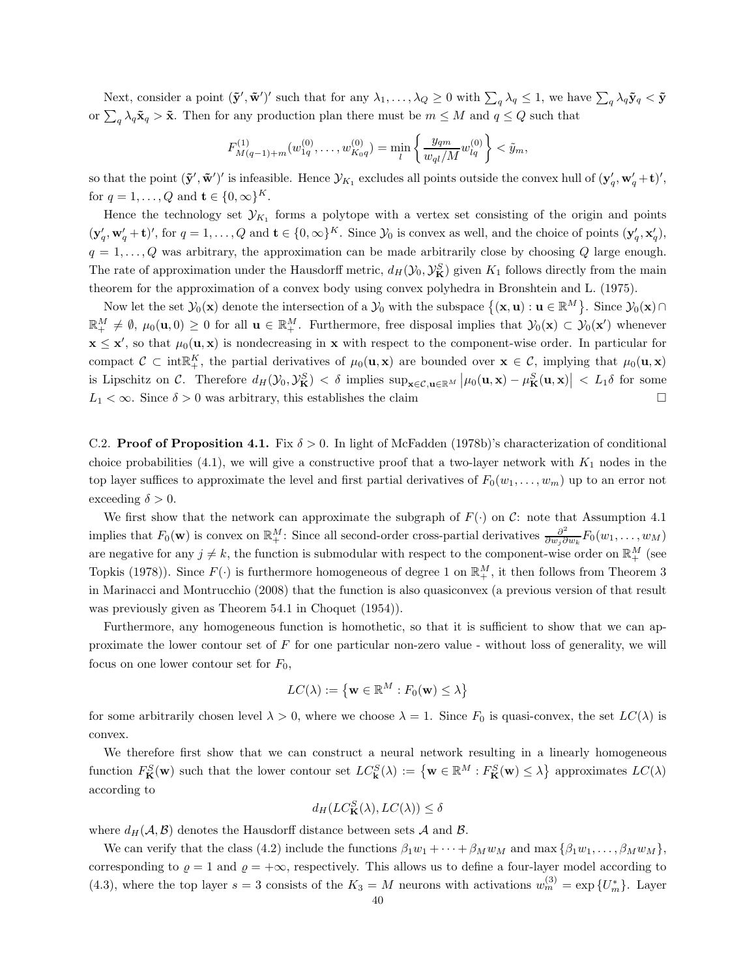Next, consider a point  $(\tilde{\mathbf{y}}', \tilde{\mathbf{w}}')'$  such that for any  $\lambda_1, \ldots, \lambda_Q \geq 0$  with  $\sum_q \lambda_q \leq 1$ , we have  $\sum_q \lambda_q \tilde{\mathbf{y}}_q < \tilde{\mathbf{y}}$ or  $\sum_{q} \lambda_q \tilde{\mathbf{x}}_q > \tilde{\mathbf{x}}$ . Then for any production plan there must be  $m \leq M$  and  $q \leq Q$  such that

$$
F_{M(q-1)+m}^{(1)}(w_{1q}^{(0)},...,w_{K_0q}^{(0)}) = \min_{l} \left\{ \frac{y_{qm}}{w_{ql}/M} w_{lq}^{(0)} \right\} < \tilde{y}_m,
$$

so that the point  $(\tilde{\mathbf{y}}', \tilde{\mathbf{w}}')'$  is infeasible. Hence  $\mathcal{Y}_{K_1}$  excludes all points outside the convex hull of  $(\mathbf{y}'_q, \mathbf{w}'_q + \mathbf{t})'$ , for  $q = 1, \ldots, Q$  and  $\mathbf{t} \in \{0, \infty\}^K$ .

Hence the technology set  $\mathcal{Y}_{K_1}$  forms a polytope with a vertex set consisting of the origin and points  $(\mathbf{y}'_q, \mathbf{w}'_q + \mathbf{t})'$ , for  $q = 1, \ldots, Q$  and  $\mathbf{t} \in \{0, \infty\}^K$ . Since  $\mathcal{Y}_0$  is convex as well, and the choice of points  $(\mathbf{y}'_q, \mathbf{x}'_q)$ ,  $q = 1, \ldots, Q$  was arbitrary, the approximation can be made arbitrarily close by choosing Q large enough. The rate of approximation under the Hausdorff metric,  $d_H(\mathcal{Y}_0, \mathcal{Y}_{\mathbf{K}}^S)$  given  $K_1$  follows directly from the main theorem for the approximation of a convex body using convex polyhedra in Bronshtein and L. (1975).

Now let the set  $\mathcal{Y}_0(\mathbf{x})$  denote the intersection of a  $\mathcal{Y}_0$  with the subspace  $\{(\mathbf{x}, \mathbf{u}) : \mathbf{u} \in \mathbb{R}^M\}$ . Since  $\mathcal{Y}_0(\mathbf{x}) \cap$  $\mathbb{R}^M_+ \neq \emptyset$ ,  $\mu_0(\mathbf{u},0) \geq 0$  for all  $\mathbf{u} \in \mathbb{R}^M_+$ . Furthermore, free disposal implies that  $\mathcal{Y}_0(\mathbf{x}) \subset \mathcal{Y}_0(\mathbf{x}')$  whenever  $x \leq x'$ , so that  $\mu_0(\mathbf{u}, \mathbf{x})$  is nondecreasing in x with respect to the component-wise order. In particular for compact  $\mathcal{C} \subset \text{int}^K$ , the partial derivatives of  $\mu_0(\mathbf{u}, \mathbf{x})$  are bounded over  $\mathbf{x} \in \mathcal{C}$ , implying that  $\mu_0(\mathbf{u}, \mathbf{x})$ is Lipschitz on C. Therefore  $d_H(\mathcal{Y}_0, \mathcal{Y}_{\mathbf{K}}^S) < \delta$  implies  $\sup_{\mathbf{x}\in\mathcal{C},\mathbf{u}\in\mathbb{R}^M} |\mu_0(\mathbf{u},\mathbf{x}) - \mu_{\mathbf{K}}^S(\mathbf{u},\mathbf{x})| < L_1\delta$  for some  $L_1 < \infty$ . Since  $\delta > 0$  was arbitrary, this establishes the claim

C.2. **Proof of Proposition 4.1.** Fix  $\delta > 0$ . In light of McFadden (1978b)'s characterization of conditional choice probabilities  $(4.1)$ , we will give a constructive proof that a two-layer network with  $K_1$  nodes in the top layer suffices to approximate the level and first partial derivatives of  $F_0(w_1, \ldots, w_m)$  up to an error not exceeding  $\delta > 0$ .

We first show that the network can approximate the subgraph of  $F(\cdot)$  on C: note that Assumption 4.1 implies that  $F_0(\mathbf{w})$  is convex on  $\mathbb{R}^M_+$ : Since all second-order cross-partial derivatives  $\frac{\partial^2}{\partial w_i \partial w_j}$  $\frac{\partial^2}{\partial w_j \partial w_k} F_0(w_1, \ldots, w_M)$ are negative for any  $j \neq k$ , the function is submodular with respect to the component-wise order on  $\mathbb{R}^M_+$  (see Topkis (1978)). Since  $F(\cdot)$  is furthermore homogeneous of degree 1 on  $\mathbb{R}^M_+$ , it then follows from Theorem 3 in Marinacci and Montrucchio (2008) that the function is also quasiconvex (a previous version of that result was previously given as Theorem 54.1 in Choquet  $(1954)$ .

Furthermore, any homogeneous function is homothetic, so that it is sufficient to show that we can approximate the lower contour set of  $F$  for one particular non-zero value - without loss of generality, we will focus on one lower contour set for  $F_0$ ,

$$
LC(\lambda) := \left\{ \mathbf{w} \in \mathbb{R}^M : F_0(\mathbf{w}) \le \lambda \right\}
$$

for some arbitrarily chosen level  $\lambda > 0$ , where we choose  $\lambda = 1$ . Since  $F_0$  is quasi-convex, the set  $LC(\lambda)$  is convex.

We therefore first show that we can construct a neural network resulting in a linearly homogeneous function  $F_{\mathbf{K}}^{S}(\mathbf{w})$  such that the lower contour set  $LC_{\mathbf{k}}^{S}(\lambda) := \{ \mathbf{w} \in \mathbb{R}^{M} : F_{\mathbf{K}}^{S}(\mathbf{w}) \leq \lambda \}$  approximates  $LC(\lambda)$ according to

$$
d_H(LC^S_{\mathbf{K}}(\lambda), LC(\lambda)) \le \delta
$$

where  $d_H(\mathcal{A}, \mathcal{B})$  denotes the Hausdorff distance between sets  $\mathcal{A}$  and  $\mathcal{B}$ .

We can verify that the class (4.2) include the functions  $\beta_1w_1 + \cdots + \beta_Mw_M$  and max  $\{\beta_1w_1, \ldots, \beta_Mw_M\}$ , corresponding to  $\varrho = 1$  and  $\varrho = +\infty$ , respectively. This allows us to define a four-layer model according to (4.3), where the top layer  $s = 3$  consists of the  $K_3 = M$  neurons with activations  $w_m^{(3)} = \exp\{U_m^*\}$ . Layer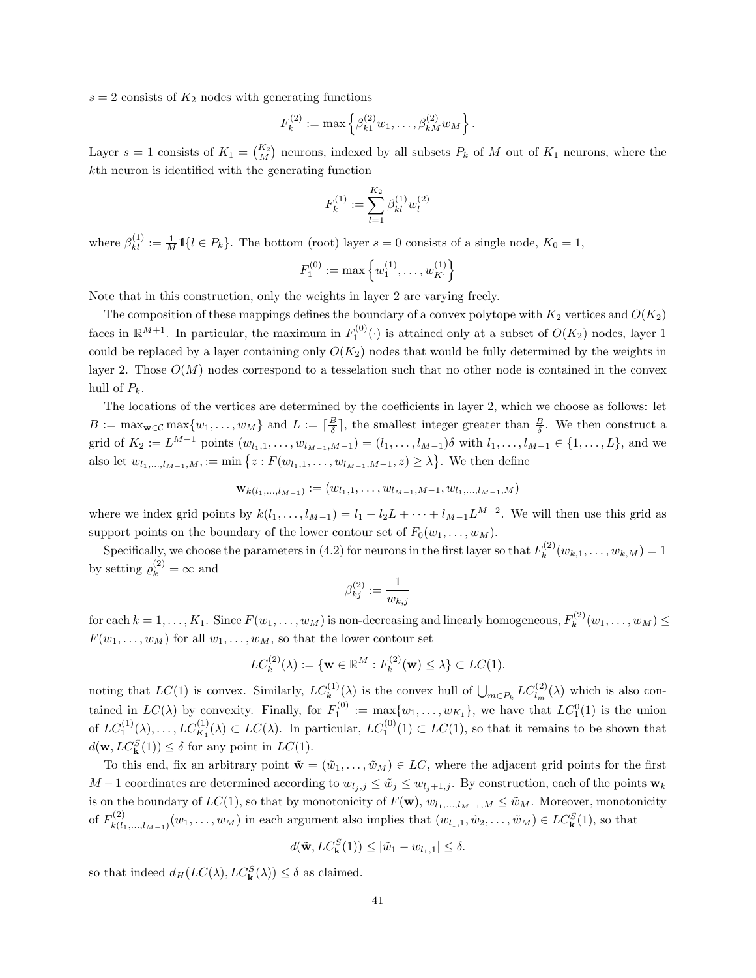$s = 2$  consists of  $K_2$  nodes with generating functions

$$
F_k^{(2)} := \max \left\{ \beta_{k1}^{(2)} w_1, \dots, \beta_{kM}^{(2)} w_M \right\}.
$$

Layer  $s = 1$  consists of  $K_1 = \binom{K_2}{M}$  neurons, indexed by all subsets  $P_k$  of M out of  $K_1$  neurons, where the kth neuron is identified with the generating function

$$
F_k^{(1)}:=\sum_{l=1}^{K_2}\beta^{(1)}_{kl}w_l^{(2)}
$$

where  $\beta_{kl}^{(1)} := \frac{1}{M} 1\{l \in P_k\}$ . The bottom (root) layer  $s = 0$  consists of a single node,  $K_0 = 1$ ,

$$
F_1^{(0)} := \max\left\{w_1^{(1)}, \ldots, w_{K_1}^{(1)}\right\}
$$

Note that in this construction, only the weights in layer 2 are varying freely.

The composition of these mappings defines the boundary of a convex polytope with  $K_2$  vertices and  $O(K_2)$ faces in  $\mathbb{R}^{M+1}$ . In particular, the maximum in  $F_1^{(0)}(\cdot)$  is attained only at a subset of  $O(K_2)$  nodes, layer 1 could be replaced by a layer containing only  $O(K_2)$  nodes that would be fully determined by the weights in layer 2. Those  $O(M)$  nodes correspond to a tesselation such that no other node is contained in the convex hull of  $P_k$ .

The locations of the vertices are determined by the coefficients in layer 2, which we choose as follows: let  $B := \max_{\mathbf{w} \in \mathcal{C}} \max\{w_1, \ldots, w_M\}$  and  $L := \lceil \frac{B}{\delta} \rceil$ , the smallest integer greater than  $\frac{B}{\delta}$ . We then construct a grid of  $K_2 := L^{M-1}$  points  $(w_{l_1,1}, \ldots, w_{l_{M-1},M-1}) = (l_1, \ldots, l_{M-1})\delta$  with  $l_1, \ldots, l_{M-1} \in \{1, \ldots, L\}$ , and we also let  $w_{l_1,...,l_{M-1},M} := \min \{ z : F(w_{l_1,1},...,w_{l_{M-1},M-1}, z) \geq \lambda \}.$  We then define

$$
\mathbf{w}_{k(l_1,\ldots,l_{M-1})} := (w_{l_1,1},\ldots,w_{l_{M-1},M-1},w_{l_1,\ldots,l_{M-1},M})
$$

where we index grid points by  $k(l_1, \ldots, l_{M-1}) = l_1 + l_2 L + \cdots + l_{M-1} L^{M-2}$ . We will then use this grid as support points on the boundary of the lower contour set of  $F_0(w_1, \ldots, w_M)$ .

Specifically, we choose the parameters in (4.2) for neurons in the first layer so that  $F_k^{(2)}$  $k^{(2)}(w_{k,1},\ldots,w_{k,M})=1$ by setting  $\rho_k^{(2)} = \infty$  and

$$
\beta^{(2)}_{kj}:=\frac{1}{w_{k,j}}
$$

for each  $k = 1, ..., K_1$ . Since  $F(w_1, ..., w_M)$  is non-decreasing and linearly homogeneous,  $F_k^{(2)}$  $k^{(2)}(w_1, \ldots, w_M) \le$  $F(w_1, \ldots, w_M)$  for all  $w_1, \ldots, w_M$ , so that the lower contour set

$$
LC_k^{(2)}(\lambda) := \{ \mathbf{w} \in \mathbb{R}^M : F_k^{(2)}(\mathbf{w}) \le \lambda \} \subset LC(1).
$$

noting that  $LC(1)$  is convex. Similarly,  $LC_k^{(1)}(\lambda)$  is the convex hull of  $\bigcup_{m\in P_k} LC_{l_m}^{(2)}(\lambda)$  which is also contained in  $LC(\lambda)$  by convexity. Finally, for  $F_1^{(0)} := \max\{w_1, \ldots, w_{K_1}\}$ , we have that  $LC_1^0(1)$  is the union of  $LC_1^{(1)}(\lambda), \ldots, LC_{K_1}^{(1)}(\lambda) \subset LC(\lambda)$ . In particular,  $LC_1^{(0)}(1) \subset LC(1)$ , so that it remains to be shown that  $d(\mathbf{w}, LC^S_{\mathbf{k}}(1)) \leq \delta$  for any point in  $LC(1)$ .

To this end, fix an arbitrary point  $\tilde{\mathbf{w}} = (\tilde{w}_1, \dots, \tilde{w}_M) \in LC$ , where the adjacent grid points for the first M – 1 coordinates are determined according to  $w_{l_i,j} \le \tilde{w}_j \le w_{l_i+1,j}$ . By construction, each of the points  $\mathbf{w}_k$ is on the boundary of  $LC(1)$ , so that by monotonicity of  $F(\mathbf{w})$ ,  $w_{l_1,...,l_{M-1},M} \leq \tilde{w}_M$ . Moreover, monotonicity of  $F_{k(l)}^{(2)}$  $(k_{k(l_1,...,l_{M-1})}(w_1,...,w_M)$  in each argument also implies that  $(w_{l_1,1}, \tilde{w}_2,..., \tilde{w}_M) \in LC^S_{\mathbf{k}}(1)$ , so that

$$
d(\tilde{\mathbf{w}}, LC^S_{\mathbf{k}}(1)) \leq |\tilde{w}_1 - w_{l_1,1}| \leq \delta.
$$

so that indeed  $d_H(LC(\lambda), LC^S_{\mathbf{k}}(\lambda)) \leq \delta$  as claimed.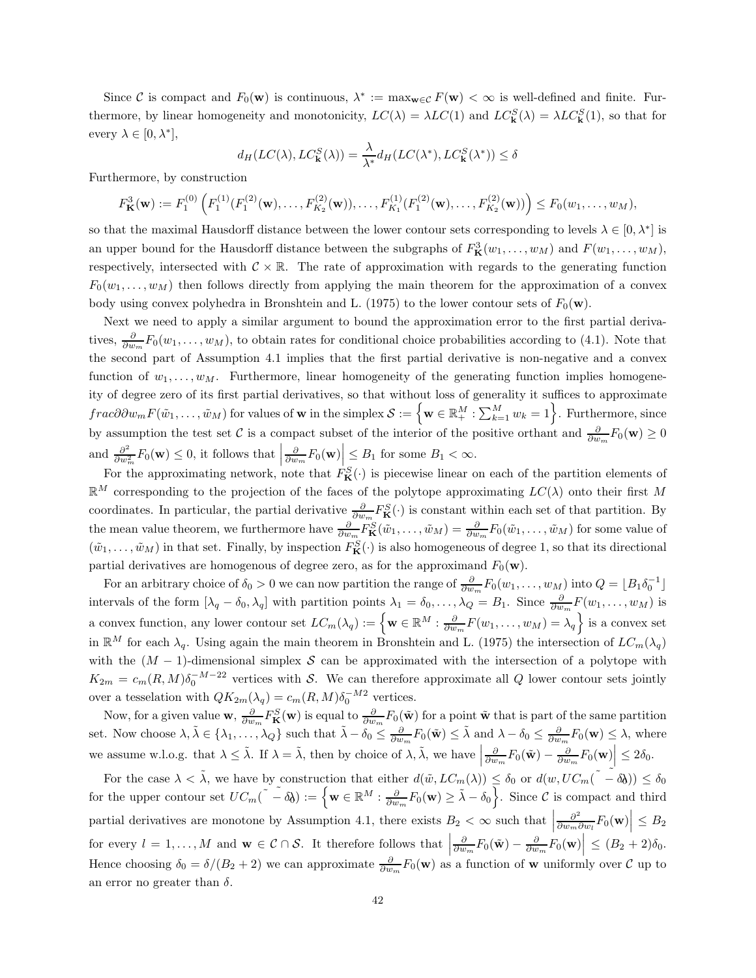Since C is compact and  $F_0(\mathbf{w})$  is continuous,  $\lambda^* := \max_{\mathbf{w} \in \mathcal{C}} F(\mathbf{w}) < \infty$  is well-defined and finite. Furthermore, by linear homogeneity and monotonicity,  $LC(\lambda) = \lambda LC(1)$  and  $LC^S_{\bf k}(\lambda) = \lambda LC^S_{\bf k}(1)$ , so that for every  $\lambda \in [0, \lambda^*],$ 

$$
d_H(LC(\lambda), LC^S_{\mathbf{k}}(\lambda)) = \frac{\lambda}{\lambda^*} d_H(LC(\lambda^*), LC^S_{\mathbf{k}}(\lambda^*)) \le \delta
$$

Furthermore, by construction

$$
F_{\mathbf{K}}^3(\mathbf{w}) := F_1^{(0)}\left(F_1^{(1)}(F_1^{(2)}(\mathbf{w}),\ldots,F_{K_2}^{(2)}(\mathbf{w})),\ldots,F_{K_1}^{(1)}(F_1^{(2)}(\mathbf{w}),\ldots,F_{K_2}^{(2)}(\mathbf{w}))\right) \le F_0(w_1,\ldots,w_M),
$$

so that the maximal Hausdorff distance between the lower contour sets corresponding to levels  $\lambda \in [0, \lambda^*]$  is an upper bound for the Hausdorff distance between the subgraphs of  $F^3_{\mathbf{K}}(w_1,\ldots,w_M)$  and  $F(w_1,\ldots,w_M)$ , respectively, intersected with  $\mathcal{C} \times \mathbb{R}$ . The rate of approximation with regards to the generating function  $F_0(w_1, \ldots, w_M)$  then follows directly from applying the main theorem for the approximation of a convex body using convex polyhedra in Bronshtein and L. (1975) to the lower contour sets of  $F_0(\mathbf{w})$ .

Next we need to apply a similar argument to bound the approximation error to the first partial derivatives,  $\frac{\partial}{\partial w_m} F_0(w_1,\ldots,w_M)$ , to obtain rates for conditional choice probabilities according to (4.1). Note that the second part of Assumption 4.1 implies that the first partial derivative is non-negative and a convex function of  $w_1, \ldots, w_M$ . Furthermore, linear homogeneity of the generating function implies homogeneity of degree zero of its first partial derivatives, so that without loss of generality it suffices to approximate  $frac{\partial \partial w_m F(\tilde{w}_1, \ldots, \tilde{w}_M)$  for values of **w** in the simplex  $\mathcal{S} := \left\{ \mathbf{w} \in \mathbb{R}^M_+ : \sum_{k=1}^M w_k = 1 \right\}$ . Furthermore, since by assumption the test set C is a compact subset of the interior of the positive orthant and  $\frac{\partial}{\partial w_m}F_0(\mathbf{w}) \ge 0$ and  $\frac{\partial^2}{\partial w^2}$  $\frac{\partial^2}{\partial w_m^2} F_0(\mathbf{w}) \leq 0$ , it follows that  $\Big|$  $\frac{\partial}{\partial w_m} F_0(\mathbf{w}) \leq B_1$  for some  $B_1 < \infty$ .

For the approximating network, note that  $F_{\mathbf{K}}^{S}(\cdot)$  is piecewise linear on each of the partition elements of  $\mathbb{R}^M$  corresponding to the projection of the faces of the polytope approximating  $LC(\lambda)$  onto their first M coordinates. In particular, the partial derivative  $\frac{\partial}{\partial w_m} F^S_{\mathbf{K}}(\cdot)$  is constant within each set of that partition. By the mean value theorem, we furthermore have  $\frac{\partial}{\partial w_m} F_{\mathbf{K}}^S(\tilde{w}_1,\ldots,\tilde{w}_M) = \frac{\partial}{\partial w_m} F_0(\tilde{w}_1,\ldots,\tilde{w}_M)$  for some value of  $(\tilde{w}_1,\ldots,\tilde{w}_M)$  in that set. Finally, by inspection  $F^S_{\mathbf{K}}(\cdot)$  is also homogeneous of degree 1, so that its directional partial derivatives are homogenous of degree zero, as for the approximand  $F_0(\mathbf{w})$ .

For an arbitrary choice of  $\delta_0 > 0$  we can now partition the range of  $\frac{\partial}{\partial w_m} F_0(w_1, \dots, w_M)$  into  $Q = \lfloor B_1 \delta_0^{-1} \rfloor$ intervals of the form  $[\lambda_q - \delta_0, \lambda_q]$  with partition points  $\lambda_1 = \delta_0, \ldots, \lambda_Q = B_1$ . Since  $\frac{\partial}{\partial w_m} F(w_1, \ldots, w_M)$  is a convex function, any lower contour set  $LC_m(\lambda_q) := \left\{ \mathbf{w} \in \mathbb{R}^M : \frac{\partial}{\partial w_m} F(w_1, \dots, w_M) = \lambda_q \right\}$  is a convex set in  $\mathbb{R}^M$  for each  $\lambda_q$ . Using again the main theorem in Bronshtein and L. (1975) the intersection of  $LC_m(\lambda_q)$ with the  $(M - 1)$ -dimensional simplex S can be approximated with the intersection of a polytope with  $K_{2m} = c_m(R,M)\delta_0^{-M-22}$  vertices with S. We can therefore approximate all Q lower contour sets jointly over a tesselation with  $QK_{2m}(\lambda_q) = c_m(R, M)\delta_0^{-M2}$  vertices.

Now, for a given value  $\mathbf{w}, \frac{\partial}{\partial w_m} F_{\mathbf{K}}^S(\mathbf{w})$  is equal to  $\frac{\partial}{\partial w_m} F_0(\tilde{\mathbf{w}})$  for a point  $\tilde{\mathbf{w}}$  that is part of the same partition set. Now choose  $\lambda, \tilde{\lambda} \in \{\lambda_1, \ldots, \lambda_Q\}$  such that  $\tilde{\lambda} - \delta_0 \leq \frac{\partial}{\partial w_m} F_0(\tilde{\mathbf{w}}) \leq \tilde{\lambda}$  and  $\lambda - \delta_0 \leq \frac{\partial}{\partial w_m} F_0(\mathbf{w}) \leq \lambda$ , where we assume w.l.o.g. that  $\lambda \leq \tilde{\lambda}$ . If  $\lambda = \tilde{\lambda}$ , then by choice of  $\lambda$ ,  $\tilde{\lambda}$ , we have  $\frac{\partial}{\partial w_m} F_0(\tilde{\mathbf{w}}) - \frac{\partial}{\partial w_m} F_0(\mathbf{w}) \leq 2\delta_0.$ 

For the case  $\lambda < \tilde{\lambda}$ , we have by construction that either  $d(\tilde{w}, LC_m(\lambda)) \leq \delta_0$  or  $d(w, UC_m(\tilde{\lambda} - \delta_0)) \leq \delta_0$ for the upper contour set  $UC_m(\tilde{\phantom{a}} - \delta \delta) := \{ \mathbf{w} \in \mathbb{R}^M : \frac{\partial}{\partial w_m} F_0(\mathbf{w}) \geq \tilde{\lambda} - \delta_0 \}.$  Since C is compact and third partial derivatives are monotone by Assumption 4.1, there exists  $B_2 < \infty$  such that  $\partial^2$  $\frac{\partial^2}{\partial w_m \partial w_l} F_0(\mathbf{w}) \Big| \leq B_2$ for every  $l = 1, ..., M$  and  $\mathbf{w} \in C \cap S$ . It therefore follows that  $\begin{bmatrix} 1 & 0 \\ 0 & 0 \end{bmatrix}$  $\frac{\partial}{\partial w_m} F_0(\tilde{\mathbf{w}}) - \frac{\partial}{\partial w_m} F_0(\mathbf{w}) \Big| \leq (B_2 + 2)\delta_0.$ Hence choosing  $\delta_0 = \delta/(B_2 + 2)$  we can approximate  $\frac{\partial}{\partial w_m} F_0(\mathbf{w})$  as a function of w uniformly over  $\mathcal C$  up to an error no greater than  $\delta$ .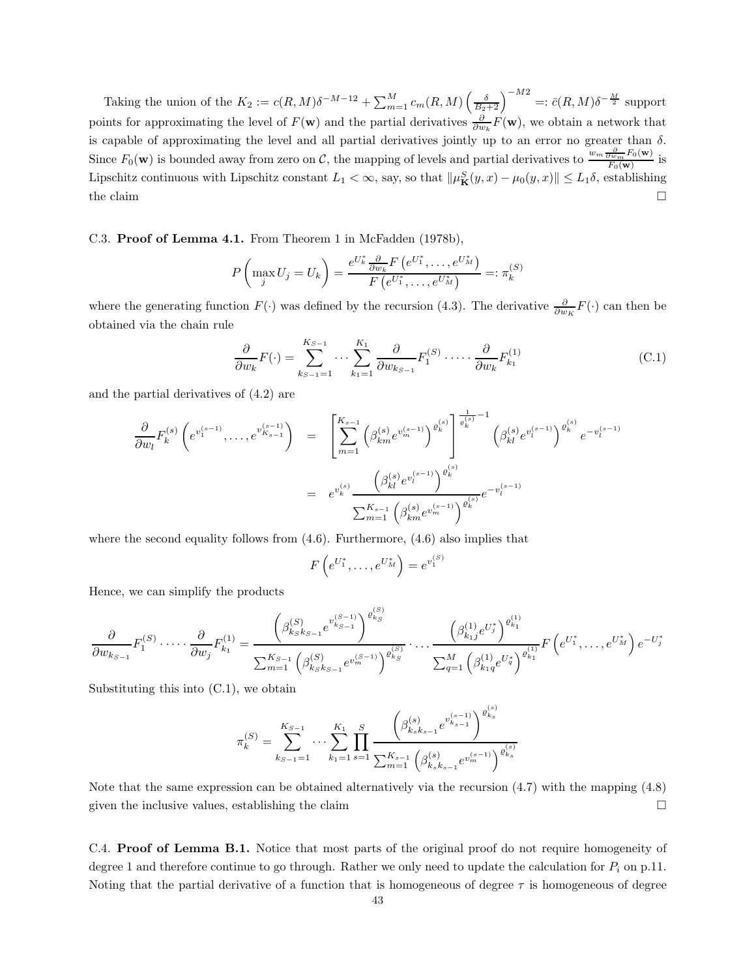Taking the union of the  $K_2 := c(R, M)\delta^{-M-12} + \sum_{m=1}^M c_m(R, M) \left(\frac{\delta}{B_2+2}\right)^{-M2} =: \bar{c}(R, M)\delta^{-\frac{M}{2}}$  support points for approximating the level of  $F(\mathbf{w})$  and the partial derivatives  $\frac{\partial}{\partial w_k}F(\mathbf{w})$ , we obtain a network that is capable of approximating the level and all partial derivatives jointly up to an error no greater than  $\delta$ . Since  $F_0(\mathbf{w})$  is bounded away from zero on C, the mapping of levels and partial derivatives to  $\frac{w_m \frac{\partial}{\partial w_m} F_0(\mathbf{w})}{F_0(\mathbf{w})}$  $\frac{\partial w_m^{10}(\mathbf{w})}{F_0(\mathbf{w})}$  is Lipschitz continuous with Lipschitz constant  $L_1 < \infty$ , say, so that  $\|\mu_{\mathbf{K}}^S(y, x) - \mu_0(y, x)\| \le L_1 \delta$ , establishing the claim  $\Box$ 

C.3. Proof of Lemma 4.1. From Theorem 1 in McFadden (1978b),

$$
P\left(\max_{j} U_j = U_k\right) = \frac{e^{U_k^*} \frac{\partial}{\partial w_k} F\left(e^{U_1^*}, \dots, e^{U_M^*}\right)}{F\left(e^{U_1^*}, \dots, e^{U_M^*}\right)} =: \pi_k^{(S)}
$$

where the generating function  $F(\cdot)$  was defined by the recursion (4.3). The derivative  $\frac{\partial}{\partial w_K}F(\cdot)$  can then be obtained via the chain rule

$$
\frac{\partial}{\partial w_k} F(\cdot) = \sum_{k_{S-1}=1}^{K_{S-1}} \cdots \sum_{k_1=1}^{K_1} \frac{\partial}{\partial w_{k_{S-1}}} F_1^{(S)} \cdots \cdots \frac{\partial}{\partial w_k} F_{k_1}^{(1)}
$$
(C.1)

and the partial derivatives of (4.2) are

$$
\frac{\partial}{\partial w_l} F_k^{(s)} \left( e^{v_1^{(s-1)}}, \dots, e^{v_{K_{s-1}}^{(s-1)}} \right) = \left[ \sum_{m=1}^{K_{s-1}} \left( \beta_{km}^{(s)} e^{v_m^{(s-1)}} \right)^{\varrho_k^{(s)}} \right]^{1 - \frac{1}{\varrho_k^{(s)}} - 1} \left( \beta_{kl}^{(s)} e^{v_l^{(s-1)}} \right)^{\varrho_k^{(s)}} e^{-v_l^{(s-1)}}
$$
\n
$$
= e^{v_k^{(s)}} \frac{\left( \beta_{kl}^{(s)} e^{v_l^{(s-1)}} \right)^{\varrho_k^{(s)}}}{\sum_{m=1}^{K_{s-1}} \left( \beta_{km}^{(s)} e^{v_m^{(s-1)}} \right)^{\varrho_k^{(s)}}} e^{-v_l^{(s-1)}}
$$

where the second equality follows from  $(4.6)$ . Furthermore,  $(4.6)$  also implies that

$$
F(e^{U_1^*}, \ldots, e^{U_M^*}) = e^{v_1^{(S)}}
$$

Hence, we can simplify the products

$$
\frac{\partial}{\partial w_{k_{S-1}}}F_1^{(S)}\cdot\dots\cdot\frac{\partial}{\partial w_j}F_{k_1}^{(1)} = \frac{\left(\beta_{k_Sk_{S-1}}^{(S)}e^{v_{k_S-1}^{(S-1)}}\right)^{e_{k_S}^{(S)}}}{\sum_{m=1}^{K_{S-1}}\left(\beta_{k_Sk_{S-1}}^{(S)}e^{v_m^{(S-1)}}\right)^{e_{k_S}^{(S)}}}\cdot\dots\cdot\frac{\left(\beta_{k_1j}^{(1)}e^{U_j^*}\right)^{e_{k_1}^{(1)}}}{\sum_{q=1}^{M}\left(\beta_{k_1q}^{(1)}e^{U_q^*}\right)^{e_{k_1}^{(1)}}}F\left(e^{U_1^*},\dots,e^{U_M^*}\right)e^{-U_j^*}
$$

Substituting this into  $(C.1)$ , we obtain

$$
\pi_k^{(S)} = \sum_{k_{S-1}=1}^{K_{S-1}} \cdots \sum_{k_1=1}^{K_1} \prod_{s=1}^S \frac{\left(\beta_{k_sk_{s-1}}^{(s)}e^{v_{k_{s-1}}^{(s-1)}}\right)^{\varrho_{k_s}^{(s)}}}{\sum_{m=1}^{K_{s-1}}\left(\beta_{k_sk_{s-1}}^{(s)}e^{v_m^{(s-1)}}\right)^{\varrho_{k_s}^{(s)}}}
$$

Note that the same expression can be obtained alternatively via the recursion (4.7) with the mapping (4.8) given the inclusive values, establishing the claim  $\square$ 

C.4. Proof of Lemma B.1. Notice that most parts of the original proof do not require homogeneity of degree 1 and therefore continue to go through. Rather we only need to update the calculation for  $P_i$  on p.11. Noting that the partial derivative of a function that is homogeneous of degree  $\tau$  is homogeneous of degree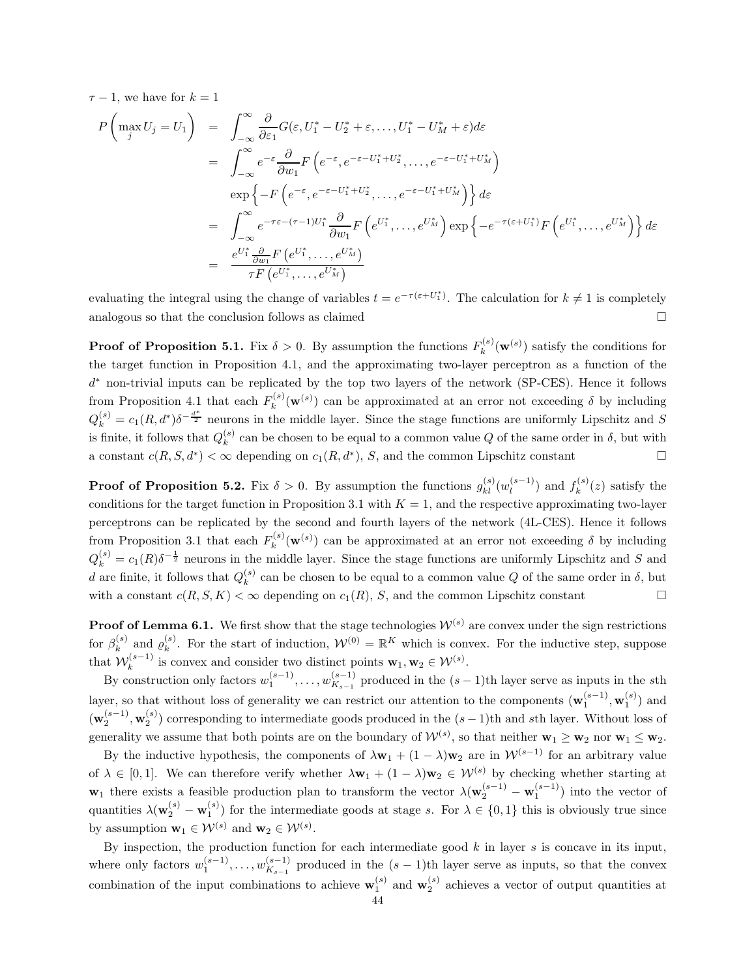$\tau - 1$ , we have for  $k = 1$ 

$$
P\left(\max_{j} U_{j} = U_{1}\right) = \int_{-\infty}^{\infty} \frac{\partial}{\partial \varepsilon_{1}} G(\varepsilon, U_{1}^{*} - U_{2}^{*} + \varepsilon, ..., U_{1}^{*} - U_{M}^{*} + \varepsilon) d\varepsilon
$$
  
\n
$$
= \int_{-\infty}^{\infty} e^{-\varepsilon} \frac{\partial}{\partial w_{1}} F\left(e^{-\varepsilon}, e^{-\varepsilon - U_{1}^{*} + U_{2}^{*}}, ..., e^{-\varepsilon - U_{1}^{*} + U_{M}^{*}}\right)
$$
  
\n
$$
\exp\left\{-F\left(e^{-\varepsilon}, e^{-\varepsilon - U_{1}^{*} + U_{2}^{*}}, ..., e^{-\varepsilon - U_{1}^{*} + U_{M}^{*}}\right)\right\} d\varepsilon
$$
  
\n
$$
= \int_{-\infty}^{\infty} e^{-\tau \varepsilon - (\tau - 1)U_{1}^{*}} \frac{\partial}{\partial w_{1}} F\left(e^{U_{1}^{*}}, ..., e^{U_{M}^{*}}\right) \exp\left\{-e^{-\tau(\varepsilon + U_{1}^{*})} F\left(e^{U_{1}^{*}}, ..., e^{U_{M}^{*}}\right)\right\} d\varepsilon
$$
  
\n
$$
= \frac{e^{U_{1}^{*}} \frac{\partial}{\partial w_{1}} F\left(e^{U_{1}^{*}}, ..., e^{U_{M}^{*}}\right)}{\tau F\left(e^{U_{1}^{*}}, ..., e^{U_{M}^{*}}\right)}
$$

evaluating the integral using the change of variables  $t = e^{-\tau(\varepsilon + U_1^*)}$ . The calculation for  $k \neq 1$  is completely analogous so that the conclusion follows as claimed

**Proof of Proposition 5.1.** Fix  $\delta > 0$ . By assumption the functions  $F_k^{(s)}$  $\mathbf{w}_k^{(s)}(\mathbf{w}^{(s)})$  satisfy the conditions for the target function in Proposition 4.1, and the approximating two-layer perceptron as a function of the d <sup>∗</sup> non-trivial inputs can be replicated by the top two layers of the network (SP-CES). Hence it follows from Proposition 4.1 that each  $F_k^{(s)}$  $\kappa_k^{(s)}(\mathbf{w}^{(s)})$  can be approximated at an error not exceeding  $\delta$  by including  $Q_k^{(s)} = c_1(R, d^*) \delta^{-\frac{d^*}{2}}$  neurons in the middle layer. Since the stage functions are uniformly Lipschitz and S is finite, it follows that  $Q_k^{(s)}$  $\kappa^{(s)}$  can be chosen to be equal to a common value Q of the same order in  $\delta$ , but with a constant  $c(R, S, d^*) < \infty$  depending on  $c_1(R, d^*)$ , S, and the common Lipschitz constant

**Proof of Proposition 5.2.** Fix  $\delta > 0$ . By assumption the functions  $g_{kl}^{(s)}(w_l^{(s-1)})$  $\binom{s-1}{l}$  and  $f_k^{(s)}$  $\kappa^{(s)}(z)$  satisfy the conditions for the target function in Proposition 3.1 with  $K = 1$ , and the respective approximating two-layer perceptrons can be replicated by the second and fourth layers of the network (4L-CES). Hence it follows from Proposition 3.1 that each  $F_k^{(s)}$  $\kappa_k^{(s)}(\mathbf{w}^{(s)})$  can be approximated at an error not exceeding  $\delta$  by including  $Q_k^{(s)} = c_1(R)\delta^{-\frac{1}{2}}$  neurons in the middle layer. Since the stage functions are uniformly Lipschitz and S and d are finite, it follows that  $Q_k^{(s)}$  $\kappa_k^{(s)}$  can be chosen to be equal to a common value Q of the same order in  $\delta$ , but with a constant  $c(R, S, K) < \infty$  depending on  $c_1(R)$ , S, and the common Lipschitz constant

**Proof of Lemma 6.1.** We first show that the stage technologies  $\mathcal{W}^{(s)}$  are convex under the sign restrictions for  $\beta_k^{(s)}$  $\ell_k^{(s)}$  and  $\varrho_k^{(s)}$ <sup>(s)</sup>. For the start of induction,  $W^{(0)} = \mathbb{R}^K$  which is convex. For the inductive step, suppose that  $W_k^{(s-1)}$  $\mathbf{w}_k^{(s-1)}$  is convex and consider two distinct points  $\mathbf{w}_1, \mathbf{w}_2 \in \mathcal{W}^{(s)}$ .

By construction only factors  $w_1^{(s-1)}, \ldots, w_{K_{s-1}}^{(s-1)}$  $\binom{8-1}{K_{s-1}}$  produced in the  $(s-1)$ th layer serve as inputs in the sth layer, so that without loss of generality we can restrict our attention to the components  $(\mathbf{w}_1^{(s-1)}, \mathbf{w}_1^{(s)})$  and  $(\mathbf{w}_2^{(s-1)}, \mathbf{w}_2^{(s)})$  corresponding to intermediate goods produced in the  $(s-1)$ th and sth layer. Without loss of generality we assume that both points are on the boundary of  $W^{(s)}$ , so that neither  $\mathbf{w}_1 \geq \mathbf{w}_2$  nor  $\mathbf{w}_1 \leq \mathbf{w}_2$ .

By the inductive hypothesis, the components of  $\lambda \mathbf{w}_1 + (1 - \lambda) \mathbf{w}_2$  are in  $\mathcal{W}^{(s-1)}$  for an arbitrary value of  $\lambda \in [0,1]$ . We can therefore verify whether  $\lambda \mathbf{w}_1 + (1 - \lambda) \mathbf{w}_2 \in \mathcal{W}^{(s)}$  by checking whether starting at  $\mathbf{w}_1$  there exists a feasible production plan to transform the vector  $\lambda(\mathbf{w}_2^{(s-1)} - \mathbf{w}_1^{(s-1)})$  into the vector of quantities  $\lambda(\mathbf{w}_2^{(s)} - \mathbf{w}_1^{(s)})$  for the intermediate goods at stage s. For  $\lambda \in \{0,1\}$  this is obviously true since by assumption  $\mathbf{w}_1 \in \mathcal{W}^{(s)}$  and  $\mathbf{w}_2 \in \mathcal{W}^{(s)}$ .

By inspection, the production function for each intermediate good  $k$  in layer  $s$  is concave in its input, where only factors  $w_1^{(s-1)}, \ldots, w_{K_{s-1}}^{(s-1)}$  $\binom{s-1}{K_{s-1}}$  produced in the  $(s-1)$ th layer serve as inputs, so that the convex combination of the input combinations to achieve  $\mathbf{w}_1^{(s)}$  and  $\mathbf{w}_2^{(s)}$  achieves a vector of output quantities at